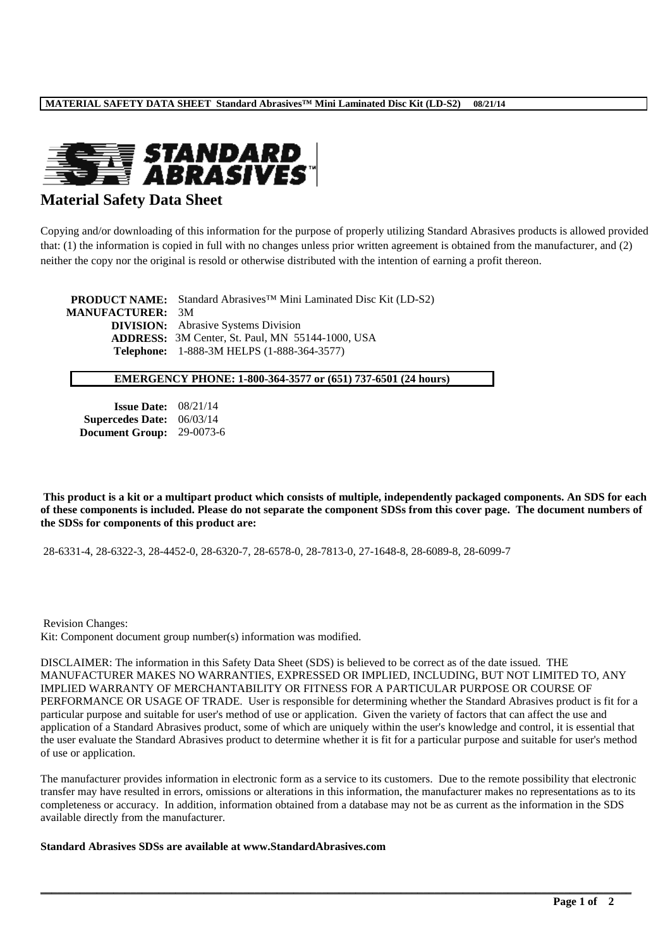

## **Material Safety Data Sheet**

Copying and/or downloading of this information for the purpose of properly utilizing Standard Abrasives products is allowed provided that: (1) the information is copied in full with no changes unless prior written agreement is obtained from the manufacturer, and (2) neither the copy nor the original is resold or otherwise distributed with the intention of earning a profit thereon.

**PRODUCT NAME:** Standard Abrasives™ Mini Laminated Disc Kit (LD-S2) **MANUFACTURER:** 3M **DIVISION:** Abrasive Systems Division **ADDRESS:** 3M Center, St. Paul, MN 55144-1000, USA **Telephone:** 1-888-3M HELPS (1-888-364-3577)

#### **EMERGENCY PHONE: 1-800-364-3577 or (651) 737-6501 (24 hours)**

| <b>Issue Date:</b>      | 08/21/14  |
|-------------------------|-----------|
| <b>Supercedes Date:</b> | 06/03/14  |
| <b>Document Group:</b>  | 29-0073-6 |

**This product is a kit or a multipart product which consists of multiple, independently packaged components. An SDS for each of these components is included. Please do not separate the component SDSs from this cover page. The document numbers of the SDSs for components of this product are:**

28-6331-4, 28-6322-3, 28-4452-0, 28-6320-7, 28-6578-0, 28-7813-0, 27-1648-8, 28-6089-8, 28-6099-7

Revision Changes:

Kit: Component document group number(s) information was modified.

DISCLAIMER: The information in this Safety Data Sheet (SDS) is believed to be correct as of the date issued. THE MANUFACTURER MAKES NO WARRANTIES, EXPRESSED OR IMPLIED, INCLUDING, BUT NOT LIMITED TO, ANY IMPLIED WARRANTY OF MERCHANTABILITY OR FITNESS FOR A PARTICULAR PURPOSE OR COURSE OF PERFORMANCE OR USAGE OF TRADE. User is responsible for determining whether the Standard Abrasives product is fit for a particular purpose and suitable for user's method of use or application. Given the variety of factors that can affect the use and application of a Standard Abrasives product, some of which are uniquely within the user's knowledge and control, it is essential that the user evaluate the Standard Abrasives product to determine whether it is fit for a particular purpose and suitable for user's method of use or application.

The manufacturer provides information in electronic form as a service to its customers. Due to the remote possibility that electronic transfer may have resulted in errors, omissions or alterations in this information, the manufacturer makes no representations as to its completeness or accuracy. In addition, information obtained from a database may not be as current as the information in the SDS available directly from the manufacturer.

**\_\_\_\_\_\_\_\_\_\_\_\_\_\_\_\_\_\_\_\_\_\_\_\_\_\_\_\_\_\_\_\_\_\_\_\_\_\_\_\_\_\_\_\_\_\_\_\_\_\_\_\_\_\_\_\_\_\_\_\_\_\_\_\_\_\_\_\_\_\_\_\_\_\_\_\_\_\_\_\_\_\_\_\_\_\_\_\_\_\_\_\_\_\_\_\_\_\_\_\_\_\_\_\_\_**

**Standard Abrasives SDSs are available at www.StandardAbrasives.com**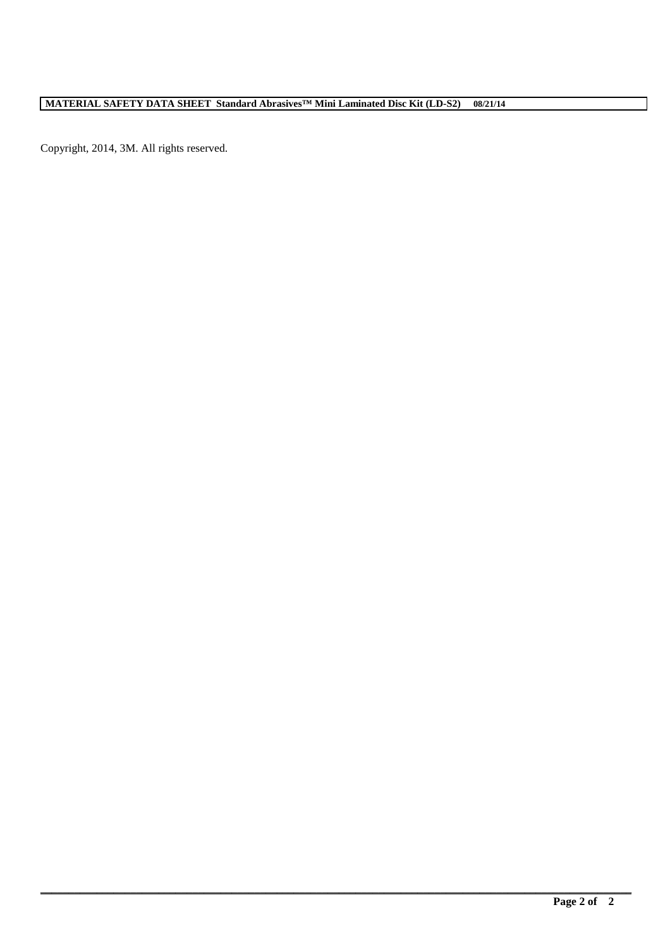**\_\_\_\_\_\_\_\_\_\_\_\_\_\_\_\_\_\_\_\_\_\_\_\_\_\_\_\_\_\_\_\_\_\_\_\_\_\_\_\_\_\_\_\_\_\_\_\_\_\_\_\_\_\_\_\_\_\_\_\_\_\_\_\_\_\_\_\_\_\_\_\_\_\_\_\_\_\_\_\_\_\_\_\_\_\_\_\_\_\_\_\_\_\_\_\_\_\_\_\_\_\_\_\_\_**

Copyright, 2014, 3M. All rights reserved.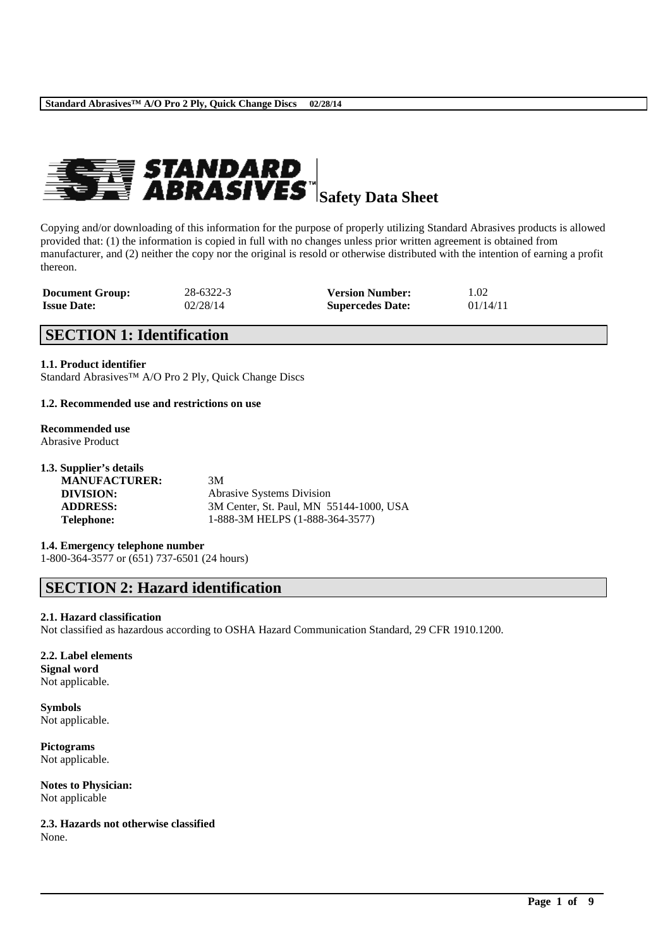

Copying and/or downloading of this information for the purpose of properly utilizing Standard Abrasives products is allowed provided that: (1) the information is copied in full with no changes unless prior written agreement is obtained from manufacturer, and (2) neither the copy nor the original is resold or otherwise distributed with the intention of earning a profit thereon.

| <b>Document Group:</b> | 28-6322-3 | <b>Version Number:</b>  | 1.02     |
|------------------------|-----------|-------------------------|----------|
| <b>Issue Date:</b>     | 02/28/14  | <b>Supercedes Date:</b> | 01/14/11 |

## **SECTION 1: Identification**

#### **1.1. Product identifier**

Standard Abrasives™ A/O Pro 2 Ply, Quick Change Discs

#### **1.2. Recommended use and restrictions on use**

## **Recommended use**

Abrasive Product

| 1.3. Supplier's details |                    |
|-------------------------|--------------------|
| <b>MANUFACTURER:</b>    | 3M                 |
| DIVISION:               | Abrasive Systems 1 |

**Division ADDRESS:** 3M Center, St. Paul, MN 55144-1000, USA **Telephone:** 1-888-3M HELPS (1-888-364-3577)

\_\_\_\_\_\_\_\_\_\_\_\_\_\_\_\_\_\_\_\_\_\_\_\_\_\_\_\_\_\_\_\_\_\_\_\_\_\_\_\_\_\_\_\_\_\_\_\_\_\_\_\_\_\_\_\_\_\_\_\_\_\_\_\_\_\_\_\_\_\_\_\_\_\_\_\_\_\_\_\_\_\_\_\_\_\_\_\_\_\_

**1.4. Emergency telephone number**

1-800-364-3577 or (651) 737-6501 (24 hours)

## **SECTION 2: Hazard identification**

#### **2.1. Hazard classification**

Not classified as hazardous according to OSHA Hazard Communication Standard, 29 CFR 1910.1200.

#### **2.2. Label elements**

**Signal word** Not applicable.

**Symbols** Not applicable.

**Pictograms** Not applicable.

**Notes to Physician:** Not applicable

**2.3. Hazards not otherwise classified** None.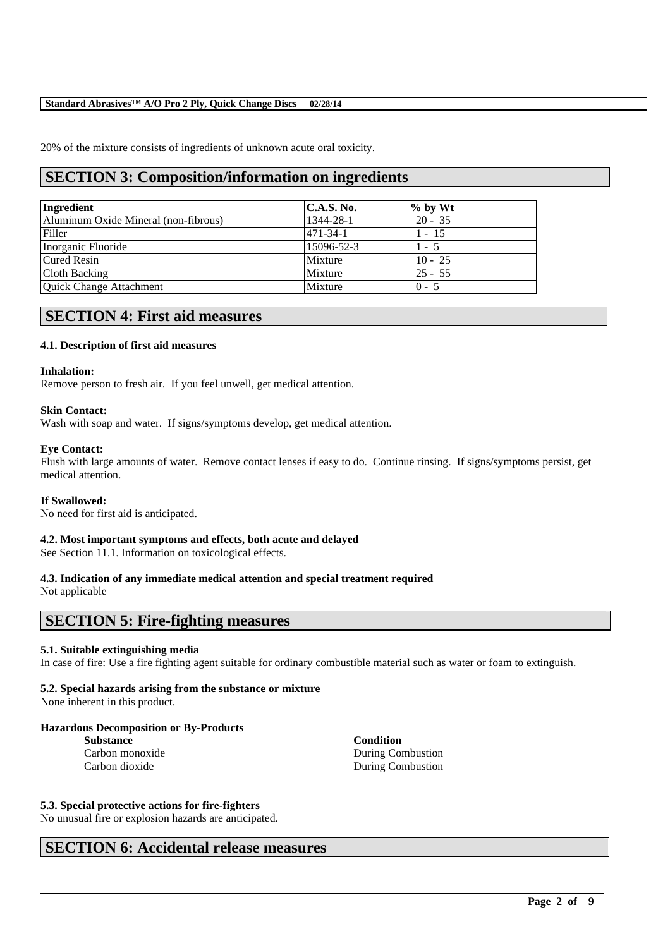20% of the mixture consists of ingredients of unknown acute oral toxicity.

## **SECTION 3: Composition/information on ingredients**

| Ingredient                           | <b>C.A.S. No.</b> | $%$ by Wt |
|--------------------------------------|-------------------|-----------|
| Aluminum Oxide Mineral (non-fibrous) | 1344-28-1         | $20 - 35$ |
| Filler                               | $471 - 34 - 1$    | $1 - 15$  |
| Inorganic Fluoride                   | 15096-52-3        | $1 - 5$   |
| <b>Cured Resin</b>                   | Mixture           | $10 - 25$ |
| Cloth Backing                        | Mixture           | $25 - 55$ |
| Quick Change Attachment              | Mixture           | $0 - 5$   |

## **SECTION 4: First aid measures**

#### **4.1. Description of first aid measures**

#### **Inhalation:**

Remove person to fresh air. If you feel unwell, get medical attention.

#### **Skin Contact:**

Wash with soap and water. If signs/symptoms develop, get medical attention.

#### **Eye Contact:**

Flush with large amounts of water. Remove contact lenses if easy to do. Continue rinsing. If signs/symptoms persist, get medical attention.

#### **If Swallowed:**

No need for first aid is anticipated.

#### **4.2. Most important symptoms and effects, both acute and delayed**

See Section 11.1. Information on toxicological effects.

## **4.3. Indication of any immediate medical attention and special treatment required**

Not applicable

## **SECTION 5: Fire-fighting measures**

#### **5.1. Suitable extinguishing media**

In case of fire: Use a fire fighting agent suitable for ordinary combustible material such as water or foam to extinguish.

\_\_\_\_\_\_\_\_\_\_\_\_\_\_\_\_\_\_\_\_\_\_\_\_\_\_\_\_\_\_\_\_\_\_\_\_\_\_\_\_\_\_\_\_\_\_\_\_\_\_\_\_\_\_\_\_\_\_\_\_\_\_\_\_\_\_\_\_\_\_\_\_\_\_\_\_\_\_\_\_\_\_\_\_\_\_\_\_\_\_

#### **5.2. Special hazards arising from the substance or mixture**

None inherent in this product.

#### **Hazardous Decomposition or By-Products**

**Substance Condition**

Carbon monoxide During Combustion Carbon dioxide During Combustion

#### **5.3. Special protective actions for fire-fighters**

No unusual fire or explosion hazards are anticipated.

## **SECTION 6: Accidental release measures**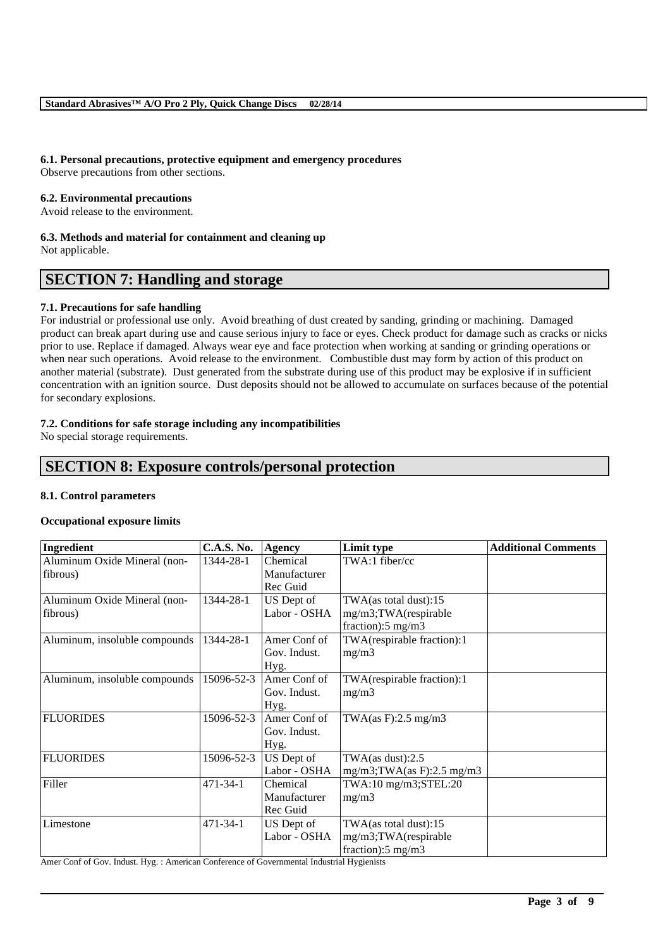#### **6.1. Personal precautions, protective equipment and emergency procedures**

Observe precautions from other sections.

#### **6.2. Environmental precautions**

Avoid release to the environment.

#### **6.3. Methods and material for containment and cleaning up**

Not applicable.

## **SECTION 7: Handling and storage**

#### **7.1. Precautions for safe handling**

For industrial or professional use only. Avoid breathing of dust created by sanding, grinding or machining. Damaged product can break apart during use and cause serious injury to face or eyes. Check product for damage such as cracks or nicks prior to use. Replace if damaged. Always wear eye and face protection when working at sanding or grinding operations or when near such operations. Avoid release to the environment. Combustible dust may form by action of this product on another material (substrate). Dust generated from the substrate during use of this product may be explosive if in sufficient concentration with an ignition source. Dust deposits should not be allowed to accumulate on surfaces because of the potential for secondary explosions.

#### **7.2. Conditions for safe storage including any incompatibilities**

No special storage requirements.

## **SECTION 8: Exposure controls/personal protection**

#### **8.1. Control parameters**

#### **Occupational exposure limits**

| Ingredient                    | <b>C.A.S. No.</b> | <b>Agency</b> | Limit type                     | <b>Additional Comments</b> |
|-------------------------------|-------------------|---------------|--------------------------------|----------------------------|
| Aluminum Oxide Mineral (non-  | 1344-28-1         | Chemical      | TWA:1 fiber/cc                 |                            |
| fibrous)                      |                   | Manufacturer  |                                |                            |
|                               |                   | Rec Guid      |                                |                            |
| Aluminum Oxide Mineral (non-  | 1344-28-1         | US Dept of    | TWA(as total dust):15          |                            |
| fibrous)                      |                   | Labor - OSHA  | mg/m3;TWA(respirable           |                            |
|                               |                   |               | fraction): $5 \text{ mg/m}$ 3  |                            |
| Aluminum, insoluble compounds | 1344-28-1         | Amer Conf of  | TWA(respirable fraction):1     |                            |
|                               |                   | Gov. Indust.  | mg/m3                          |                            |
|                               |                   | Hyg.          |                                |                            |
| Aluminum, insoluble compounds | 15096-52-3        | Amer Conf of  | TWA(respirable fraction):1     |                            |
|                               |                   | Gov. Indust.  | mg/m3                          |                            |
|                               |                   | Hyg.          |                                |                            |
| <b>FLUORIDES</b>              | 15096-52-3        | Amer Conf of  | TWA $(as F): 2.5 mg/m3$        |                            |
|                               |                   | Gov. Indust.  |                                |                            |
|                               |                   | Hyg.          |                                |                            |
| <b>FLUORIDES</b>              | 15096-52-3        | US Dept of    | TWA $(as dust):2.5$            |                            |
|                               |                   | Labor - OSHA  | $mg/m3$ ; TWA(as F): 2.5 mg/m3 |                            |
| Filler                        | 471-34-1          | Chemical      | TWA:10 mg/m3;STEL:20           |                            |
|                               |                   | Manufacturer  | mg/m3                          |                            |
|                               |                   | Rec Guid      |                                |                            |
| Limestone                     | 471-34-1          | US Dept of    | TWA(as total dust):15          |                            |
|                               |                   | Labor - OSHA  | mg/m3;TWA(respirable           |                            |
|                               |                   |               | fraction): $5 \text{ mg/m}$ 3  |                            |

\_\_\_\_\_\_\_\_\_\_\_\_\_\_\_\_\_\_\_\_\_\_\_\_\_\_\_\_\_\_\_\_\_\_\_\_\_\_\_\_\_\_\_\_\_\_\_\_\_\_\_\_\_\_\_\_\_\_\_\_\_\_\_\_\_\_\_\_\_\_\_\_\_\_\_\_\_\_\_\_\_\_\_\_\_\_\_\_\_\_

Amer Conf of Gov. Indust. Hyg. : American Conference of Governmental Industrial Hygienists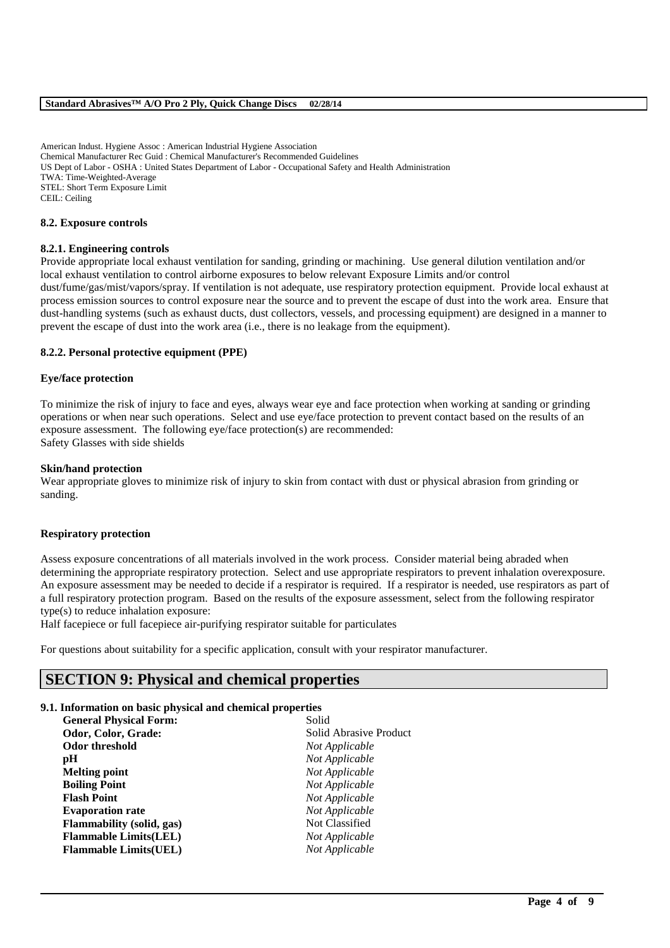American Indust. Hygiene Assoc : American Industrial Hygiene Association Chemical Manufacturer Rec Guid : Chemical Manufacturer's Recommended Guidelines US Dept of Labor - OSHA : United States Department of Labor - Occupational Safety and Health Administration TWA: Time-Weighted-Average STEL: Short Term Exposure Limit CEIL: Ceiling

#### **8.2. Exposure controls**

#### **8.2.1. Engineering controls**

Provide appropriate local exhaust ventilation for sanding, grinding or machining. Use general dilution ventilation and/or local exhaust ventilation to control airborne exposures to below relevant Exposure Limits and/or control dust/fume/gas/mist/vapors/spray. If ventilation is not adequate, use respiratory protection equipment. Provide local exhaust at process emission sources to control exposure near the source and to prevent the escape of dust into the work area. Ensure that dust-handling systems (such as exhaust ducts, dust collectors, vessels, and processing equipment) are designed in a manner to prevent the escape of dust into the work area (i.e., there is no leakage from the equipment).

#### **8.2.2. Personal protective equipment (PPE)**

#### **Eye/face protection**

To minimize the risk of injury to face and eyes, always wear eye and face protection when working at sanding or grinding operations or when near such operations. Select and use eye/face protection to prevent contact based on the results of an exposure assessment. The following eye/face protection(s) are recommended: Safety Glasses with side shields

#### **Skin/hand protection**

Wear appropriate gloves to minimize risk of injury to skin from contact with dust or physical abrasion from grinding or sanding.

#### **Respiratory protection**

Assess exposure concentrations of all materials involved in the work process. Consider material being abraded when determining the appropriate respiratory protection. Select and use appropriate respirators to prevent inhalation overexposure. An exposure assessment may be needed to decide if a respirator is required. If a respirator is needed, use respirators as part of a full respiratory protection program. Based on the results of the exposure assessment, select from the following respirator type(s) to reduce inhalation exposure:

\_\_\_\_\_\_\_\_\_\_\_\_\_\_\_\_\_\_\_\_\_\_\_\_\_\_\_\_\_\_\_\_\_\_\_\_\_\_\_\_\_\_\_\_\_\_\_\_\_\_\_\_\_\_\_\_\_\_\_\_\_\_\_\_\_\_\_\_\_\_\_\_\_\_\_\_\_\_\_\_\_\_\_\_\_\_\_\_\_\_

Half facepiece or full facepiece air-purifying respirator suitable for particulates

For questions about suitability for a specific application, consult with your respirator manufacturer.

## **SECTION 9: Physical and chemical properties**

#### **9.1. Information on basic physical and chemical properties**

| <b>General Physical Form:</b>    | Solid                  |
|----------------------------------|------------------------|
| Odor, Color, Grade:              | Solid Abrasive Product |
| <b>Odor threshold</b>            | Not Applicable         |
| рH                               | Not Applicable         |
| <b>Melting point</b>             | Not Applicable         |
| <b>Boiling Point</b>             | Not Applicable         |
| <b>Flash Point</b>               | Not Applicable         |
| <b>Evaporation rate</b>          | Not Applicable         |
| <b>Flammability</b> (solid, gas) | Not Classified         |
| <b>Flammable Limits(LEL)</b>     | Not Applicable         |
| <b>Flammable Limits(UEL)</b>     | Not Applicable         |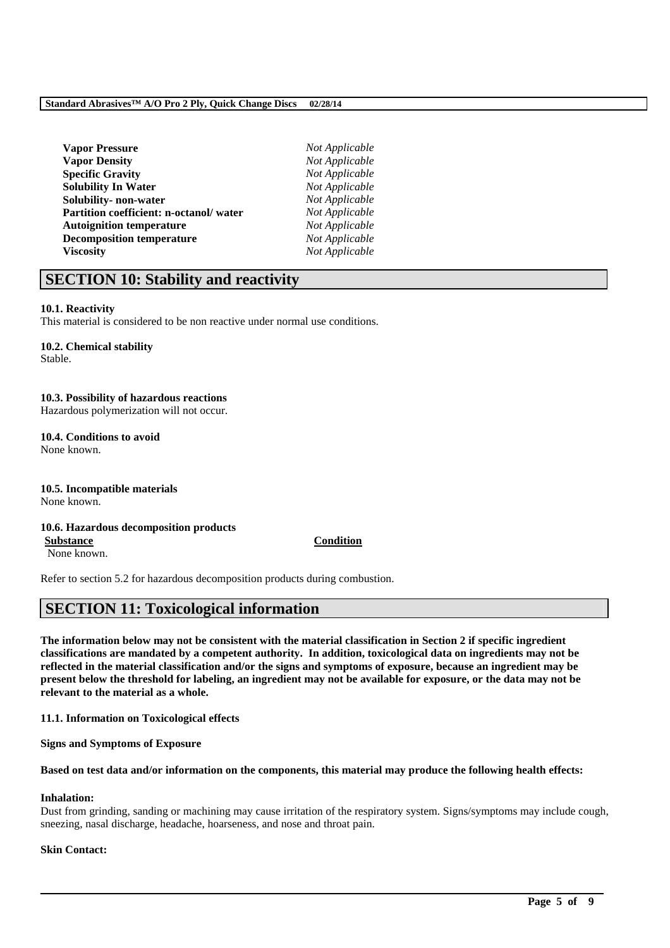| <b>Vapor Pressure</b>                  |
|----------------------------------------|
| <b>Vapor Density</b>                   |
| <b>Specific Gravity</b>                |
| <b>Solubility In Water</b>             |
| Solubility- non-water                  |
| Partition coefficient: n-octanol/water |
| <b>Autoignition temperature</b>        |
| <b>Decomposition temperature</b>       |
| <b>Viscosity</b>                       |

 $Not Applicable$  $Not Applicable$ **Specific Gravity** *Not Applicable*  $Not Apolicable$  $Not Appliedble$ **Not Applicable Not Applicable**  $Not Applicable$  $Not Applicable$ 

## **SECTION 10: Stability and reactivity**

#### **10.1. Reactivity**

This material is considered to be non reactive under normal use conditions.

## **10.2. Chemical stability**

Stable.

#### **10.3. Possibility of hazardous reactions** Hazardous polymerization will not occur.

**10.4. Conditions to avoid**

None known.

#### **10.5. Incompatible materials** None known.

#### **10.6. Hazardous decomposition products Substance Condition**

None known.

Refer to section 5.2 for hazardous decomposition products during combustion.

## **SECTION 11: Toxicological information**

**The information below may not be consistent with the material classification in Section 2 if specific ingredient classifications are mandated by a competent authority. In addition, toxicological data on ingredients may not be reflected in the material classification and/or the signs and symptoms of exposure, because an ingredient may be present below the threshold for labeling, an ingredient may not be available for exposure, or the data may not be relevant to the material as a whole.**

**11.1. Information on Toxicological effects**

**Signs and Symptoms of Exposure**

**Based on test data and/or information on the components, this material may produce the following health effects:**

#### **Inhalation:**

Dust from grinding, sanding or machining may cause irritation of the respiratory system. Signs/symptoms may include cough, sneezing, nasal discharge, headache, hoarseness, and nose and throat pain.

\_\_\_\_\_\_\_\_\_\_\_\_\_\_\_\_\_\_\_\_\_\_\_\_\_\_\_\_\_\_\_\_\_\_\_\_\_\_\_\_\_\_\_\_\_\_\_\_\_\_\_\_\_\_\_\_\_\_\_\_\_\_\_\_\_\_\_\_\_\_\_\_\_\_\_\_\_\_\_\_\_\_\_\_\_\_\_\_\_\_

#### **Skin Contact:**

#### **Page 5 of 9**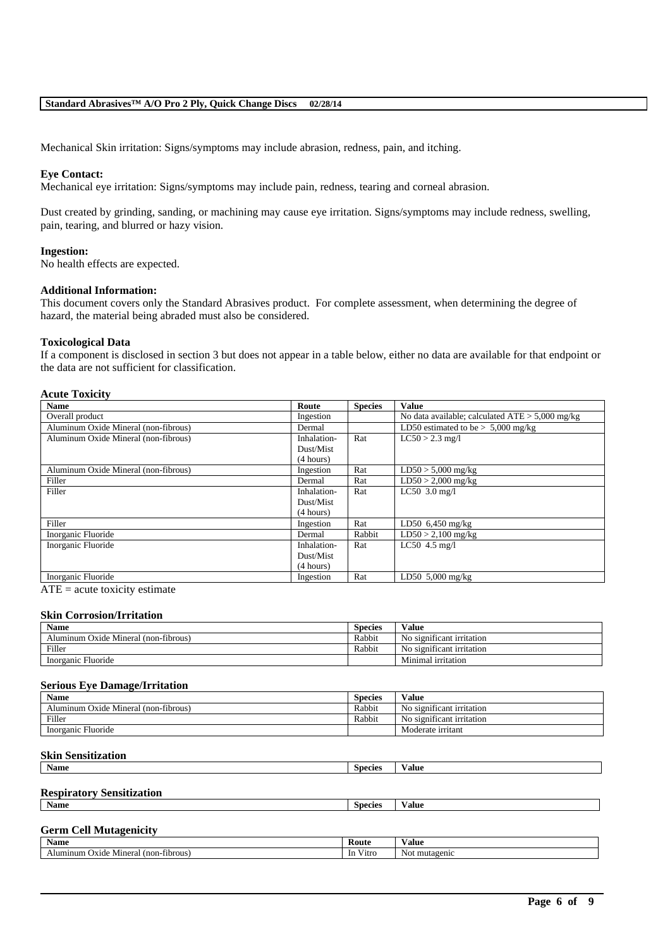Mechanical Skin irritation: Signs/symptoms may include abrasion, redness, pain, and itching.

#### **Eye Contact:**

Mechanical eye irritation: Signs/symptoms may include pain, redness, tearing and corneal abrasion.

Dust created by grinding, sanding, or machining may cause eye irritation. Signs/symptoms may include redness, swelling, pain, tearing, and blurred or hazy vision.

#### **Ingestion:**

No health effects are expected.

#### **Additional Information:**

This document covers only the Standard Abrasives product. For complete assessment, when determining the degree of hazard, the material being abraded must also be considered.

#### **Toxicological Data**

If a component is disclosed in section 3 but does not appear in a table below, either no data are available for that endpoint or the data are not sufficient for classification.

#### **Acute Toxicity**

| <b>Name</b>                          | Route       | <b>Species</b> | <b>Value</b>                                      |
|--------------------------------------|-------------|----------------|---------------------------------------------------|
| Overall product                      | Ingestion   |                | No data available; calculated $ATE > 5,000$ mg/kg |
| Aluminum Oxide Mineral (non-fibrous) | Dermal      |                | LD50 estimated to be $> 5,000$ mg/kg              |
| Aluminum Oxide Mineral (non-fibrous) | Inhalation- | Rat            | $LC50 > 2.3$ mg/l                                 |
|                                      | Dust/Mist   |                |                                                   |
|                                      | (4 hours)   |                |                                                   |
| Aluminum Oxide Mineral (non-fibrous) | Ingestion   | Rat            | $LD50 > 5,000$ mg/kg                              |
| Filler                               | Dermal      | Rat            | $LD50 > 2,000$ mg/kg                              |
| Filler                               | Inhalation- | Rat            | $LC50$ 3.0 mg/l                                   |
|                                      | Dust/Mist   |                |                                                   |
|                                      | (4 hours)   |                |                                                   |
| Filler                               | Ingestion   | Rat            | LD50 $6,450$ mg/kg                                |
| Inorganic Fluoride                   | Dermal      | Rabbit         | $LD50 > 2,100$ mg/kg                              |
| Inorganic Fluoride                   | Inhalation- | Rat            | $LC50$ 4.5 mg/l                                   |
|                                      | Dust/Mist   |                |                                                   |
|                                      | (4 hours)   |                |                                                   |
| Inorganic Fluoride                   | Ingestion   | Rat            | LD50 $5.000$ mg/kg                                |

 $ATE = acute$  toxicity estimate

#### **Skin Corrosion/Irritation**

| <b>Name</b>                          | <b>Species</b> | Value                                |
|--------------------------------------|----------------|--------------------------------------|
| Aluminum Oxide Mineral (non-fibrous) | Rabbit         | No significant irritation            |
| Filler                               | Rabbit         | $\cdot$<br>No significant irritation |
| Inorganic Fluoride                   |                | Minimal irritation                   |

#### **Serious Eye Damage/Irritation**

| <b>Name</b>                               | <b>Species</b> | Value                     |
|-------------------------------------------|----------------|---------------------------|
| a Oxide Mineral (non-fibrous)<br>Aluminum | Rabbit         | No significant irritation |
| Filler                                    | Rabbit         | No significant irritation |
| Inorganic Fluoride                        |                | Moderate irritant         |

#### **Skin Sensitization**

| Name | <b>Species</b> | /alue |
|------|----------------|-------|
|      |                |       |

## **Respiratory Sensitization**

| $\ddot{\phantom{1}}$<br>Name | Species | alue |
|------------------------------|---------|------|
|                              |         |      |

#### **Germ Cell Mutagenicity Name Route Value Value Value**

| гуаше                                                                     | nvuw                 | у анис            |
|---------------------------------------------------------------------------|----------------------|-------------------|
| $-1$<br>fibrous <sup>1</sup><br>$(non-1)$<br>Mineral<br>Oxide<br>Alumınum | $-1$<br>-In<br>Vitro | Not.<br>mutagenic |
|                                                                           |                      |                   |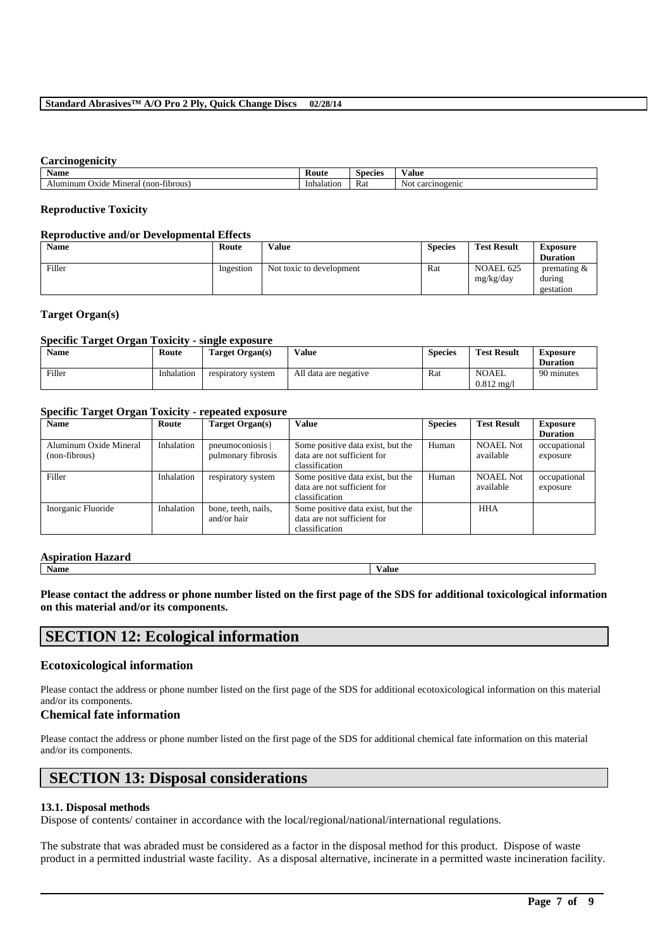#### **Carcinogenicity**

| $\mathbf{A}$<br>Name                                              | Kout       | Species | Value                              |
|-------------------------------------------------------------------|------------|---------|------------------------------------|
| $-1$<br><b>I</b> ibrous<br>$(non-1)$<br>Mineral<br>minum<br>Oxide | Inhalation | Rat     | rcinogenic<br>NΩ<br>$\alpha$<br>~a |

#### **Reproductive Toxicity**

#### **Reproductive and/or Developmental Effects**

| <b>Name</b> | Route     | <b>Value</b>             | <b>Species</b> | <b>Test Result</b>     | Exposure<br><b>Duration</b>           |
|-------------|-----------|--------------------------|----------------|------------------------|---------------------------------------|
| Filler      | Ingestion | Not toxic to development | Rat            | NOAEL 625<br>mg/kg/day | premating $\&$<br>during<br>gestation |

#### **Target Organ(s)**

#### **Specific Target Organ Toxicity - single exposure**

| Name   | Route      | Target Organ(s)    | Value                 | <b>Species</b> | <b>Test Result</b>                    | Exposure<br><b>Duration</b> |
|--------|------------|--------------------|-----------------------|----------------|---------------------------------------|-----------------------------|
| Filler | Inhalation | respiratory system | All data are negative | Rat            | <b>NOAEL</b><br>$0.812 \text{ m}$ g/l | 90 minutes                  |

#### **Specific Target Organ Toxicity - repeated exposure**

| <b>Name</b>                             | Value<br>Route<br>Target Organ(s) |                                        | <b>Species</b>                                                                     | <b>Test Result</b> | <b>Exposure</b>               |                          |
|-----------------------------------------|-----------------------------------|----------------------------------------|------------------------------------------------------------------------------------|--------------------|-------------------------------|--------------------------|
|                                         |                                   |                                        |                                                                                    |                    |                               | <b>Duration</b>          |
| Aluminum Oxide Mineral<br>(non-fibrous) | Inhalation                        | pneumoconiosis  <br>pulmonary fibrosis | Some positive data exist, but the<br>data are not sufficient for<br>classification | Human              | <b>NOAEL Not</b><br>available | occupational<br>exposure |
| Filler                                  | Inhalation                        | respiratory system                     | Some positive data exist, but the<br>data are not sufficient for<br>classification | Human              | <b>NOAEL Not</b><br>available | occupational<br>exposure |
| Inorganic Fluoride                      | Inhalation                        | bone, teeth, nails,<br>and/or hair     | Some positive data exist, but the<br>data are not sufficient for<br>classification |                    | <b>HHA</b>                    |                          |

### **Aspiration Hazard**

**Name Value**

**Please contact the address or phone number listed on the first page of the SDS for additional toxicological information on this material and/or its components.**

## **SECTION 12: Ecological information**

### **Ecotoxicological information**

Please contact the address or phone number listed on the first page of the SDS for additional ecotoxicological information on this material and/or its components.

### **Chemical fate information**

Please contact the address or phone number listed on the first page of the SDS for additional chemical fate information on this material and/or its components.

## **SECTION 13: Disposal considerations**

## **13.1. Disposal methods**

Dispose of contents/ container in accordance with the local/regional/national/international regulations.

The substrate that was abraded must be considered as a factor in the disposal method for this product. Dispose of waste product in a permitted industrial waste facility. As a disposal alternative, incinerate in a permitted waste incineration facility.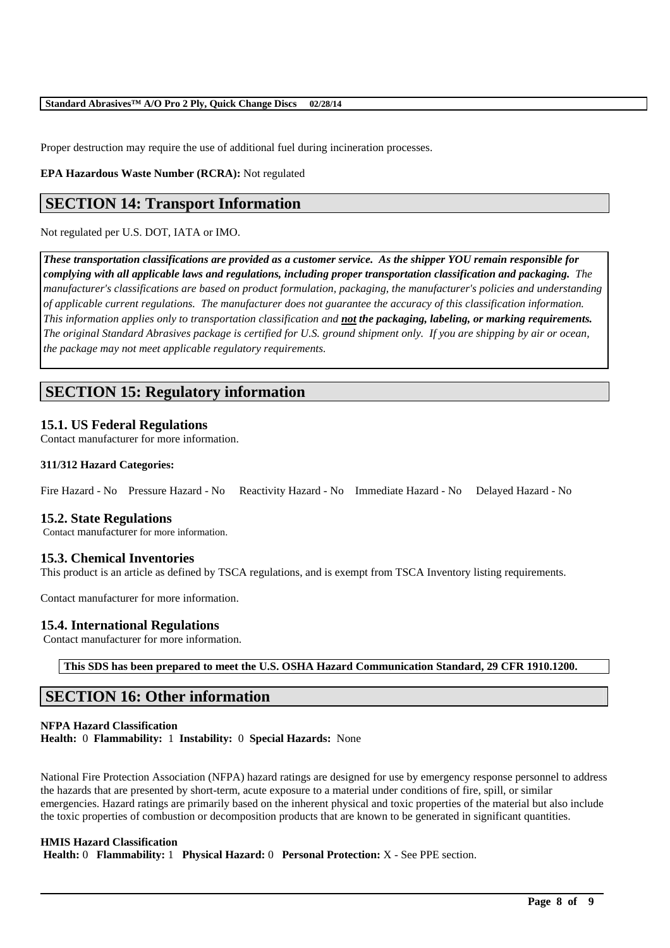Proper destruction may require the use of additional fuel during incineration processes.

**EPA Hazardous Waste Number (RCRA):** Not regulated

## **SECTION 14: Transport Information**

#### Not regulated per U.S. DOT, IATA or IMO.

*These transportation classifications are provided as a customer service. As the shipper YOU remain responsible for complying with all applicable laws and regulations, including proper transportation classification and packaging. The manufacturer's classifications are based on product formulation, packaging, the manufacturer's policies and understanding of applicable current regulations. The manufacturer does not guarantee the accuracy of this classification information. This information applies only to transportation classification and not the packaging, labeling, or marking requirements. The original Standard Abrasives package is certified for U.S. ground shipment only. If you are shipping by air or ocean, the package may not meet applicable regulatory requirements.*

## **SECTION 15: Regulatory information**

### **15.1. US Federal Regulations**

Contact manufacturer for more information.

#### **311/312 Hazard Categories:**

Fire Hazard - No Pressure Hazard - No Reactivity Hazard - No Immediate Hazard - No Delayed Hazard - No

#### **15.2. State Regulations**

Contact manufacturer for more information.

#### **15.3. Chemical Inventories**

This product is an article as defined by TSCA regulations, and is exempt from TSCA Inventory listing requirements.

Contact manufacturer for more information.

#### **15.4. International Regulations**

Contact manufacturer for more information.

**This SDS has been prepared to meet the U.S. OSHA Hazard Communication Standard, 29 CFR 1910.1200.**

## **SECTION 16: Other information**

#### **NFPA Hazard Classification Health:** 0 **Flammability:** 1 **Instability:** 0 **Special Hazards:** None

National Fire Protection Association (NFPA) hazard ratings are designed for use by emergency response personnel to address the hazards that are presented by short-term, acute exposure to a material under conditions of fire, spill, or similar emergencies. Hazard ratings are primarily based on the inherent physical and toxic properties of the material but also include the toxic properties of combustion or decomposition products that are known to be generated in significant quantities.

\_\_\_\_\_\_\_\_\_\_\_\_\_\_\_\_\_\_\_\_\_\_\_\_\_\_\_\_\_\_\_\_\_\_\_\_\_\_\_\_\_\_\_\_\_\_\_\_\_\_\_\_\_\_\_\_\_\_\_\_\_\_\_\_\_\_\_\_\_\_\_\_\_\_\_\_\_\_\_\_\_\_\_\_\_\_\_\_\_\_

#### **HMIS Hazard Classification**

**Health:** 0 **Flammability:** 1 **Physical Hazard:** 0 **Personal Protection:** X - See PPE section.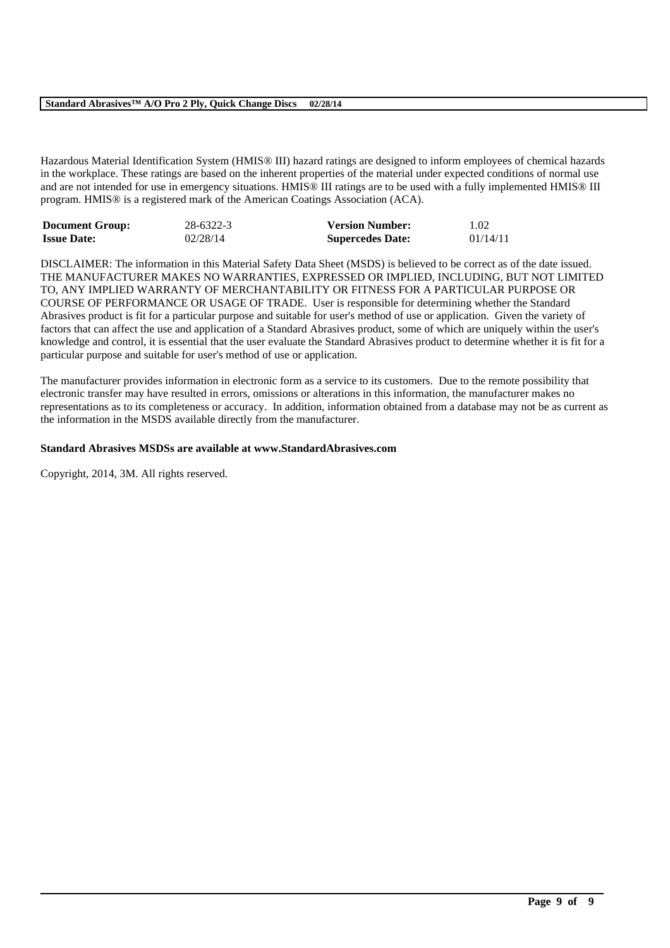Hazardous Material Identification System (HMIS® III) hazard ratings are designed to inform employees of chemical hazards in the workplace. These ratings are based on the inherent properties of the material under expected conditions of normal use and are not intended for use in emergency situations. HMIS® III ratings are to be used with a fully implemented HMIS® III program. HMIS® is a registered mark of the American Coatings Association (ACA).

| <b>Document Group:</b> | 28-6322-3 | <b>Version Number:</b>  | 1.02     |
|------------------------|-----------|-------------------------|----------|
| <b>Issue Date:</b>     | 02/28/14  | <b>Supercedes Date:</b> | 01/14/11 |

DISCLAIMER: The information in this Material Safety Data Sheet (MSDS) is believed to be correct as of the date issued. THE MANUFACTURER MAKES NO WARRANTIES, EXPRESSED OR IMPLIED, INCLUDING, BUT NOT LIMITED TO, ANY IMPLIED WARRANTY OF MERCHANTABILITY OR FITNESS FOR A PARTICULAR PURPOSE OR COURSE OF PERFORMANCE OR USAGE OF TRADE. User is responsible for determining whether the Standard Abrasives product is fit for a particular purpose and suitable for user's method of use or application. Given the variety of factors that can affect the use and application of a Standard Abrasives product, some of which are uniquely within the user's knowledge and control, it is essential that the user evaluate the Standard Abrasives product to determine whether it is fit for a particular purpose and suitable for user's method of use or application.

The manufacturer provides information in electronic form as a service to its customers. Due to the remote possibility that electronic transfer may have resulted in errors, omissions or alterations in this information, the manufacturer makes no representations as to its completeness or accuracy. In addition, information obtained from a database may not be as current as the information in the MSDS available directly from the manufacturer.

\_\_\_\_\_\_\_\_\_\_\_\_\_\_\_\_\_\_\_\_\_\_\_\_\_\_\_\_\_\_\_\_\_\_\_\_\_\_\_\_\_\_\_\_\_\_\_\_\_\_\_\_\_\_\_\_\_\_\_\_\_\_\_\_\_\_\_\_\_\_\_\_\_\_\_\_\_\_\_\_\_\_\_\_\_\_\_\_\_\_

#### **Standard Abrasives MSDSs are available at www.StandardAbrasives.com**

Copyright, 2014, 3M. All rights reserved.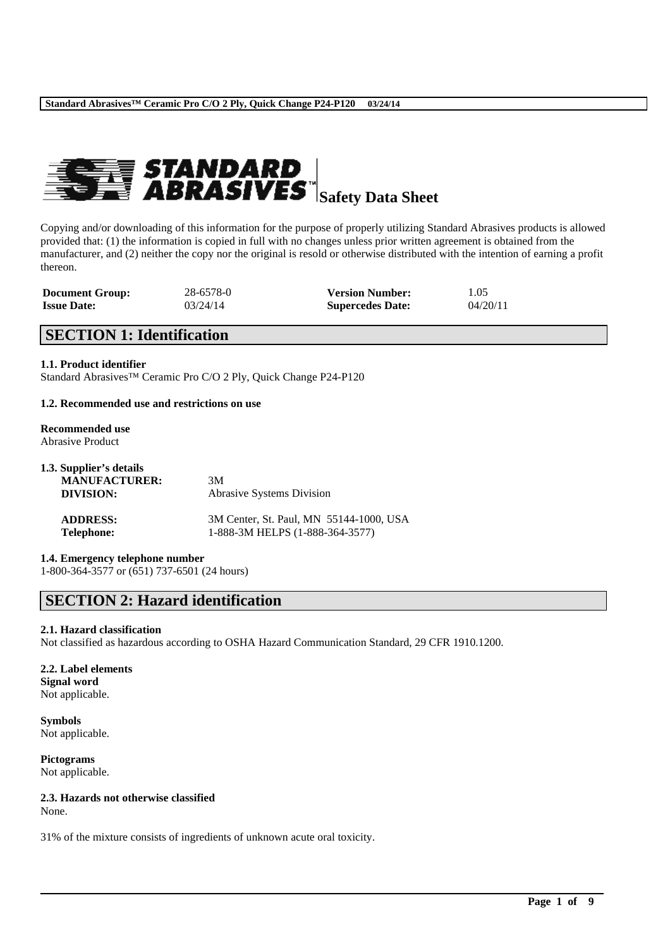

Copying and/or downloading of this information for the purpose of properly utilizing Standard Abrasives products is allowed provided that: (1) the information is copied in full with no changes unless prior written agreement is obtained from the manufacturer, and (2) neither the copy nor the original is resold or otherwise distributed with the intention of earning a profit thereon.

| <b>Document Group:</b> | 28-6578-0 | <b>Version Number:</b>  | 1.05     |
|------------------------|-----------|-------------------------|----------|
| <b>Issue Date:</b>     | 03/24/14  | <b>Supercedes Date:</b> | 04/20/11 |

## **SECTION 1: Identification**

#### **1.1. Product identifier**

Standard Abrasives™ Ceramic Pro C/O 2 Ply, Quick Change P24-P120

#### **1.2. Recommended use and restrictions on use**

#### **Recommended use** Abrasive Product

| 1.3. Supplier's details<br><b>MANUFACTURER:</b><br>DIVISION: | 3M<br><b>Abrasive Systems Division</b>  |  |  |
|--------------------------------------------------------------|-----------------------------------------|--|--|
| <b>ADDRESS:</b>                                              | 3M Center, St. Paul, MN 55144-1000, USA |  |  |
| <b>Telephone:</b>                                            | 1-888-3M HELPS (1-888-364-3577)         |  |  |

**1.4. Emergency telephone number**

1-800-364-3577 or (651) 737-6501 (24 hours)

## **SECTION 2: Hazard identification**

#### **2.1. Hazard classification**

Not classified as hazardous according to OSHA Hazard Communication Standard, 29 CFR 1910.1200.

\_\_\_\_\_\_\_\_\_\_\_\_\_\_\_\_\_\_\_\_\_\_\_\_\_\_\_\_\_\_\_\_\_\_\_\_\_\_\_\_\_\_\_\_\_\_\_\_\_\_\_\_\_\_\_\_\_\_\_\_\_\_\_\_\_\_\_\_\_\_\_\_\_\_\_\_\_\_\_\_\_\_\_\_\_\_\_\_\_\_

#### **2.2. Label elements Signal word** Not applicable.

**Symbols** Not applicable.

**Pictograms** Not applicable.

#### **2.3. Hazards not otherwise classified**

None.

31% of the mixture consists of ingredients of unknown acute oral toxicity.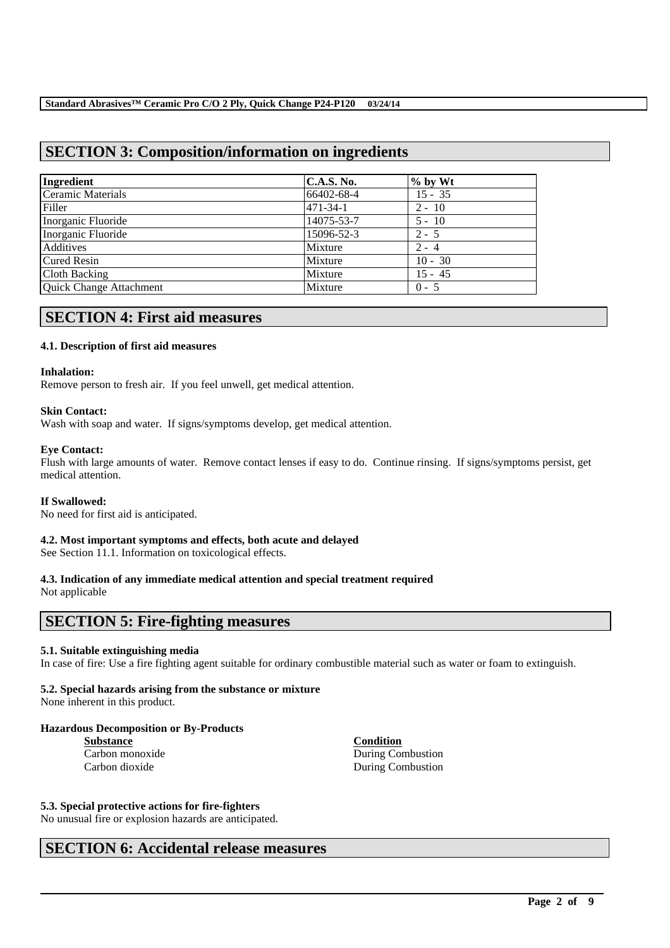## **SECTION 3: Composition/information on ingredients**

| Ingredient              | C.A.S. No.     | $%$ by Wt |
|-------------------------|----------------|-----------|
| Ceramic Materials       | 66402-68-4     | $15 - 35$ |
| Filler                  | $471 - 34 - 1$ | $2 - 10$  |
| Inorganic Fluoride      | 14075-53-7     | $5 - 10$  |
| Inorganic Fluoride      | 15096-52-3     | $2 - 5$   |
| Additives               | Mixture        | $2 - 4$   |
| <b>Cured Resin</b>      | Mixture        | $10 - 30$ |
| Cloth Backing           | Mixture        | $15 - 45$ |
| Quick Change Attachment | Mixture        | $0 - 5$   |

## **SECTION 4: First aid measures**

#### **4.1. Description of first aid measures**

#### **Inhalation:**

Remove person to fresh air. If you feel unwell, get medical attention.

#### **Skin Contact:**

Wash with soap and water. If signs/symptoms develop, get medical attention.

#### **Eye Contact:**

Flush with large amounts of water. Remove contact lenses if easy to do. Continue rinsing. If signs/symptoms persist, get medical attention.

#### **If Swallowed:**

No need for first aid is anticipated.

#### **4.2. Most important symptoms and effects, both acute and delayed**

See Section 11.1. Information on toxicological effects.

## **4.3. Indication of any immediate medical attention and special treatment required**

Not applicable

## **SECTION 5: Fire-fighting measures**

#### **5.1. Suitable extinguishing media**

In case of fire: Use a fire fighting agent suitable for ordinary combustible material such as water or foam to extinguish.

\_\_\_\_\_\_\_\_\_\_\_\_\_\_\_\_\_\_\_\_\_\_\_\_\_\_\_\_\_\_\_\_\_\_\_\_\_\_\_\_\_\_\_\_\_\_\_\_\_\_\_\_\_\_\_\_\_\_\_\_\_\_\_\_\_\_\_\_\_\_\_\_\_\_\_\_\_\_\_\_\_\_\_\_\_\_\_\_\_\_

#### **5.2. Special hazards arising from the substance or mixture**

None inherent in this product.

#### **Hazardous Decomposition or By-Products**

**Substance**<br> **Carbon monoxide**<br> **Carbon monoxide**<br> **Condition**<br> **Condition** 

During Combustion Carbon dioxide During Combustion

#### **5.3. Special protective actions for fire-fighters**

No unusual fire or explosion hazards are anticipated.

## **SECTION 6: Accidental release measures**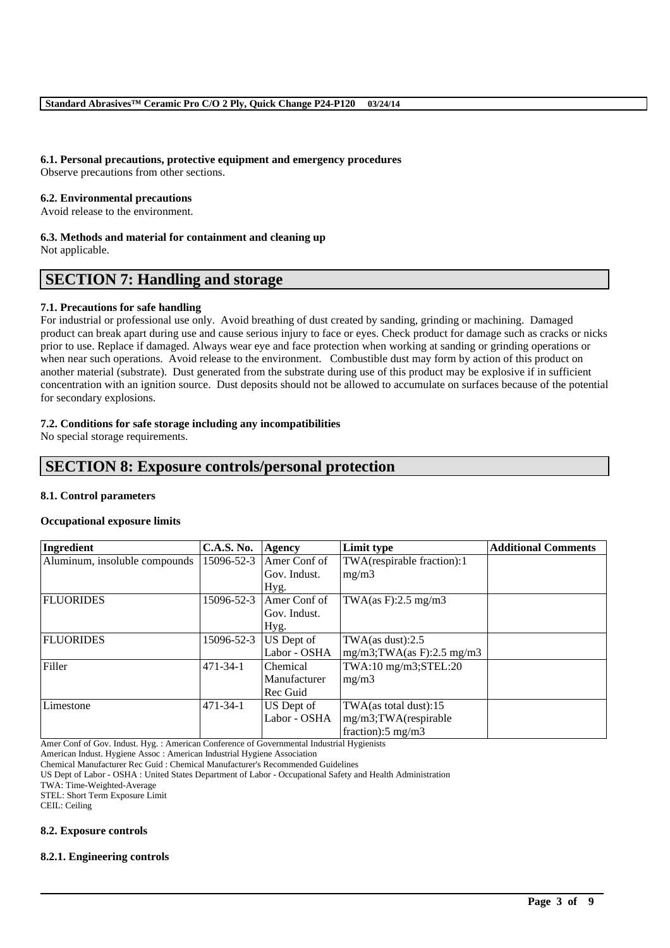#### **6.1. Personal precautions, protective equipment and emergency procedures**

Observe precautions from other sections.

#### **6.2. Environmental precautions**

Avoid release to the environment.

#### **6.3. Methods and material for containment and cleaning up**

Not applicable.

## **SECTION 7: Handling and storage**

#### **7.1. Precautions for safe handling**

For industrial or professional use only. Avoid breathing of dust created by sanding, grinding or machining. Damaged product can break apart during use and cause serious injury to face or eyes. Check product for damage such as cracks or nicks prior to use. Replace if damaged. Always wear eye and face protection when working at sanding or grinding operations or when near such operations. Avoid release to the environment. Combustible dust may form by action of this product on another material (substrate). Dust generated from the substrate during use of this product may be explosive if in sufficient concentration with an ignition source. Dust deposits should not be allowed to accumulate on surfaces because of the potential for secondary explosions.

#### **7.2. Conditions for safe storage including any incompatibilities**

No special storage requirements.

## **SECTION 8: Exposure controls/personal protection**

#### **8.1. Control parameters**

#### **Occupational exposure limits**

| Ingredient                    | <b>C.A.S. No.</b> | Agency       | Limit type                     | <b>Additional Comments</b> |
|-------------------------------|-------------------|--------------|--------------------------------|----------------------------|
| Aluminum, insoluble compounds | 15096-52-3        | Amer Conf of | TWA(respirable fraction):1     |                            |
|                               |                   | Gov. Indust. | mg/m3                          |                            |
|                               |                   | Hyg.         |                                |                            |
| <b>FLUORIDES</b>              | 15096-52-3        | Amer Conf of | TWA $(as F): 2.5 mg/m3$        |                            |
|                               |                   | Gov. Indust. |                                |                            |
|                               |                   | Hyg.         |                                |                            |
| <b>FLUORIDES</b>              | 15096-52-3        | US Dept of   | TWA $(as$ dust $):2.5$         |                            |
|                               |                   | Labor - OSHA | $mg/m3$ ; TWA(as F): 2.5 mg/m3 |                            |
| Filler                        | $471 - 34 - 1$    | Chemical     | TWA:10 mg/m3;STEL:20           |                            |
|                               |                   | Manufacturer | mg/m3                          |                            |
|                               |                   | Rec Guid     |                                |                            |
| Limestone                     | $471 - 34 - 1$    | US Dept of   | TWA(as total dust):15          |                            |
|                               |                   | Labor - OSHA | mg/m3;TWA(respirable           |                            |
|                               |                   |              | fraction): $5 \text{ mg/m}$ 3  |                            |

\_\_\_\_\_\_\_\_\_\_\_\_\_\_\_\_\_\_\_\_\_\_\_\_\_\_\_\_\_\_\_\_\_\_\_\_\_\_\_\_\_\_\_\_\_\_\_\_\_\_\_\_\_\_\_\_\_\_\_\_\_\_\_\_\_\_\_\_\_\_\_\_\_\_\_\_\_\_\_\_\_\_\_\_\_\_\_\_\_\_

Amer Conf of Gov. Indust. Hyg. : American Conference of Governmental Industrial Hygienists

American Indust. Hygiene Assoc : American Industrial Hygiene Association

US Dept of Labor - OSHA : United States Department of Labor - Occupational Safety and Health Administration

TWA: Time-Weighted-Average

STEL: Short Term Exposure Limit CEIL: Ceiling

#### **8.2. Exposure controls**

#### **8.2.1. Engineering controls**

Chemical Manufacturer Rec Guid : Chemical Manufacturer's Recommended Guidelines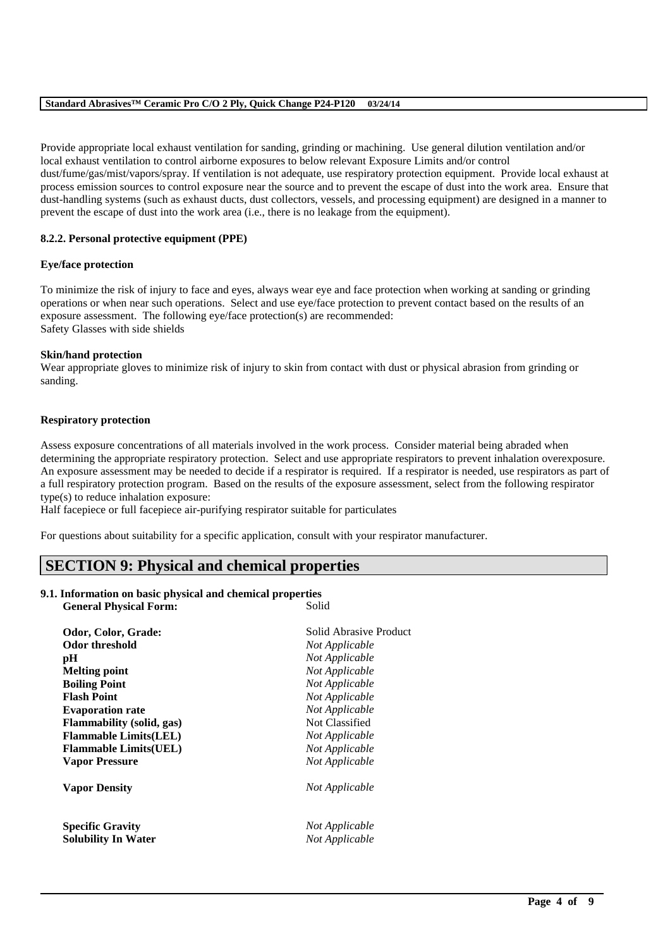Provide appropriate local exhaust ventilation for sanding, grinding or machining. Use general dilution ventilation and/or local exhaust ventilation to control airborne exposures to below relevant Exposure Limits and/or control dust/fume/gas/mist/vapors/spray. If ventilation is not adequate, use respiratory protection equipment. Provide local exhaust at process emission sources to control exposure near the source and to prevent the escape of dust into the work area. Ensure that dust-handling systems (such as exhaust ducts, dust collectors, vessels, and processing equipment) are designed in a manner to prevent the escape of dust into the work area (i.e., there is no leakage from the equipment).

#### **8.2.2. Personal protective equipment (PPE)**

#### **Eye/face protection**

To minimize the risk of injury to face and eyes, always wear eye and face protection when working at sanding or grinding operations or when near such operations. Select and use eye/face protection to prevent contact based on the results of an exposure assessment. The following eye/face protection(s) are recommended: Safety Glasses with side shields

#### **Skin/hand protection**

Wear appropriate gloves to minimize risk of injury to skin from contact with dust or physical abrasion from grinding or sanding.

#### **Respiratory protection**

Assess exposure concentrations of all materials involved in the work process. Consider material being abraded when determining the appropriate respiratory protection. Select and use appropriate respirators to prevent inhalation overexposure. An exposure assessment may be needed to decide if a respirator is required. If a respirator is needed, use respirators as part of a full respiratory protection program. Based on the results of the exposure assessment, select from the following respirator type(s) to reduce inhalation exposure:

\_\_\_\_\_\_\_\_\_\_\_\_\_\_\_\_\_\_\_\_\_\_\_\_\_\_\_\_\_\_\_\_\_\_\_\_\_\_\_\_\_\_\_\_\_\_\_\_\_\_\_\_\_\_\_\_\_\_\_\_\_\_\_\_\_\_\_\_\_\_\_\_\_\_\_\_\_\_\_\_\_\_\_\_\_\_\_\_\_\_

Half facepiece or full facepiece air-purifying respirator suitable for particulates

For questions about suitability for a specific application, consult with your respirator manufacturer.

## **SECTION 9: Physical and chemical properties**

### **9.1. Information on basic physical and chemical properties**

**General Physical Form:** Solid

| Odor, Color, Grade:                                   | Solid Abrasive Product           |
|-------------------------------------------------------|----------------------------------|
| Odor threshold                                        | Not Applicable                   |
| рH                                                    | Not Applicable                   |
| <b>Melting point</b>                                  | Not Applicable                   |
| <b>Boiling Point</b>                                  | Not Applicable                   |
| <b>Flash Point</b>                                    | Not Applicable                   |
| <b>Evaporation rate</b>                               | Not Applicable                   |
| <b>Flammability</b> (solid, gas)                      | Not Classified                   |
| <b>Flammable Limits(LEL)</b>                          | Not Applicable                   |
| <b>Flammable Limits(UEL)</b>                          | Not Applicable                   |
| <b>Vapor Pressure</b>                                 | Not Applicable                   |
| <b>Vapor Density</b>                                  | Not Applicable                   |
| <b>Specific Gravity</b><br><b>Solubility In Water</b> | Not Applicable<br>Not Applicable |
|                                                       |                                  |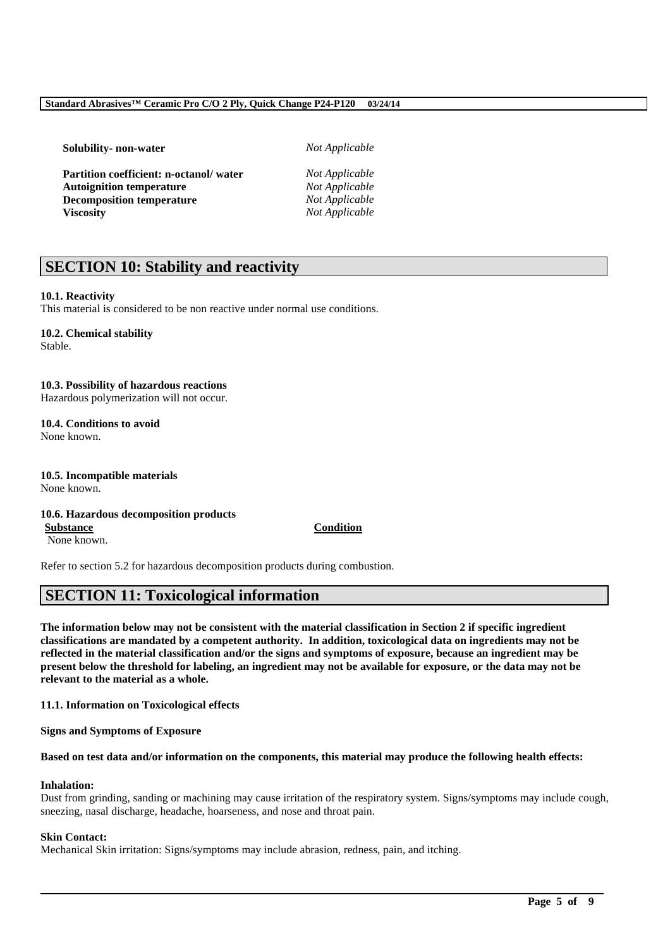**Solubility- non-water** *Not Applicable*

**Partition coefficient: n-octanol/ water** *Not Applicable* **Autoignition temperature** *Not Applicable* **Decomposition temperature** *Not Applicable* **Viscosity** *Not Applicable*

## **SECTION 10: Stability and reactivity**

#### **10.1. Reactivity**

This material is considered to be non reactive under normal use conditions.

### **10.2. Chemical stability**

Stable.

### **10.3. Possibility of hazardous reactions**

Hazardous polymerization will not occur.

**10.4. Conditions to avoid** None known.

**10.5. Incompatible materials** None known.

#### **10.6. Hazardous decomposition products**

**Substance Condition** None known.

Refer to section 5.2 for hazardous decomposition products during combustion.

## **SECTION 11: Toxicological information**

**The information below may not be consistent with the material classification in Section 2 if specific ingredient classifications are mandated by a competent authority. In addition, toxicological data on ingredients may not be reflected in the material classification and/or the signs and symptoms of exposure, because an ingredient may be present below the threshold for labeling, an ingredient may not be available for exposure, or the data may not be relevant to the material as a whole.**

**11.1. Information on Toxicological effects**

**Signs and Symptoms of Exposure**

#### **Based on test data and/or information on the components, this material may produce the following health effects:**

#### **Inhalation:**

Dust from grinding, sanding or machining may cause irritation of the respiratory system. Signs/symptoms may include cough, sneezing, nasal discharge, headache, hoarseness, and nose and throat pain.

\_\_\_\_\_\_\_\_\_\_\_\_\_\_\_\_\_\_\_\_\_\_\_\_\_\_\_\_\_\_\_\_\_\_\_\_\_\_\_\_\_\_\_\_\_\_\_\_\_\_\_\_\_\_\_\_\_\_\_\_\_\_\_\_\_\_\_\_\_\_\_\_\_\_\_\_\_\_\_\_\_\_\_\_\_\_\_\_\_\_

#### **Skin Contact:**

Mechanical Skin irritation: Signs/symptoms may include abrasion, redness, pain, and itching.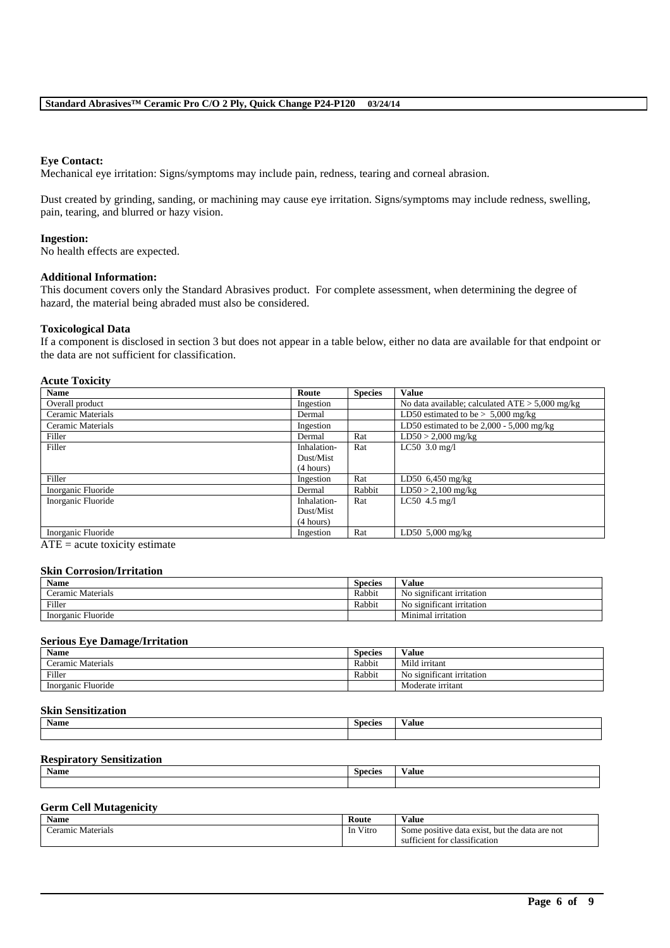#### **Eye Contact:**

Mechanical eye irritation: Signs/symptoms may include pain, redness, tearing and corneal abrasion.

Dust created by grinding, sanding, or machining may cause eye irritation. Signs/symptoms may include redness, swelling, pain, tearing, and blurred or hazy vision.

#### **Ingestion:**

No health effects are expected.

#### **Additional Information:**

This document covers only the Standard Abrasives product. For complete assessment, when determining the degree of hazard, the material being abraded must also be considered.

#### **Toxicological Data**

If a component is disclosed in section 3 but does not appear in a table below, either no data are available for that endpoint or the data are not sufficient for classification.

#### **Acute Toxicity**

| <b>Name</b>        | Route       | <b>Species</b> | <b>Value</b>                                      |
|--------------------|-------------|----------------|---------------------------------------------------|
| Overall product    | Ingestion   |                | No data available; calculated $ATE > 5,000$ mg/kg |
| Ceramic Materials  | Dermal      |                | LD50 estimated to be $> 5,000$ mg/kg              |
| Ceramic Materials  | Ingestion   |                | LD50 estimated to be $2,000 - 5,000$ mg/kg        |
| Filler             | Dermal      | Rat            | $LD50 > 2,000$ mg/kg                              |
| Filler             | Inhalation- | Rat            | $LC50$ 3.0 mg/l                                   |
|                    | Dust/Mist   |                |                                                   |
|                    | (4 hours)   |                |                                                   |
| Filler             | Ingestion   | Rat            | LD50 $6,450$ mg/kg                                |
| Inorganic Fluoride | Dermal      | Rabbit         | $LD50 > 2,100$ mg/kg                              |
| Inorganic Fluoride | Inhalation- | Rat            | $LC50$ 4.5 mg/l                                   |
|                    | Dust/Mist   |                |                                                   |
|                    | (4 hours)   |                |                                                   |
| Inorganic Fluoride | Ingestion   | Rat            | LD50 $5,000$ mg/kg                                |

 $ATE = acute$  toxicity estimate

#### **Skin Corrosion/Irritation**

| Name               | Species | $-1$<br>V alue                        |
|--------------------|---------|---------------------------------------|
| Ceramic Materials  | Rabbit  | $\sim$<br>No significant irritation   |
| Filler             | Rabbit  | $\sim$<br>No significant irritation   |
| Inorganic Fluoride |         | $\cdot$ $\cdot$<br>Minimal irritation |

#### **Serious Eye Damage/Irritation**

| <b>Name</b>         | Species | $-1$<br>V alue            |
|---------------------|---------|---------------------------|
| Materials<br>eramic | Rabbit  | Mild irritant             |
| Filler              | Rabbit  | No significant irritation |
| Inorganic Fluoride  |         | Moderate irritant         |

#### **Skin Sensitization**

| <b>Name</b> | <b>Species</b> | $- -$<br>Value |
|-------------|----------------|----------------|
|             |                |                |

#### **Respiratory Sensitization**

| Name | <b>Species</b> | ′alue |
|------|----------------|-------|
|      |                |       |
|      |                |       |

#### **Germ Cell Mutagenicity**

| <b>Name</b>               | Route               | $-$<br>∨alue                                                                                                |
|---------------------------|---------------------|-------------------------------------------------------------------------------------------------------------|
| Materials<br>`eramıc<br>. | $-1$<br>V1tro<br>1n | but the<br>ı exist<br>data<br>e data are not<br>Some positive<br>the contract of the contract of<br>$+$ $-$ |
|                           |                     | ∵classification<br>.1cient<br>sut<br>101                                                                    |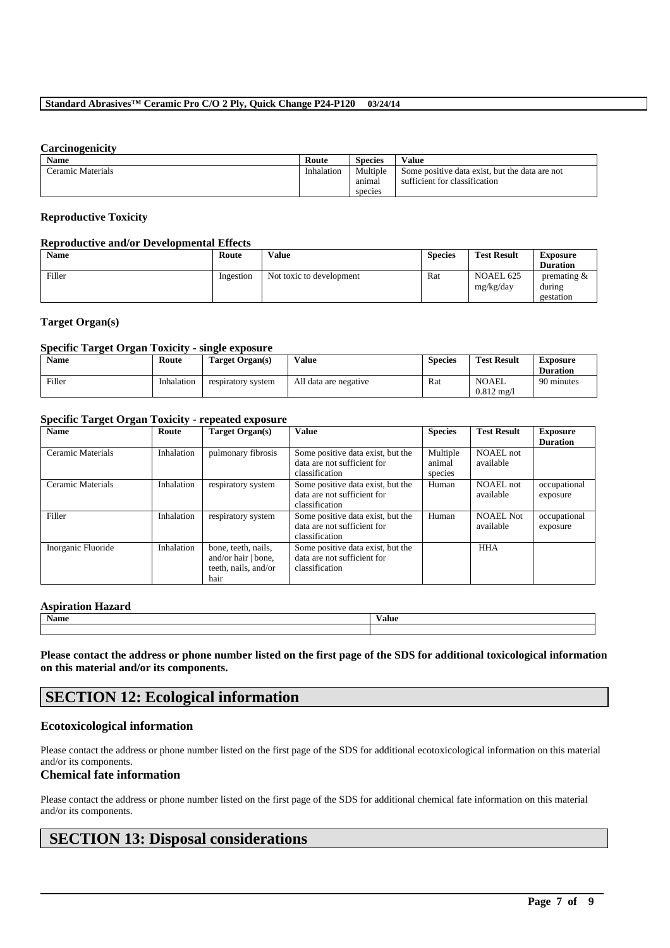#### **Carcinogenicity**

| <b>Name</b>       | Route      | <b>Species</b> | Value                                          |
|-------------------|------------|----------------|------------------------------------------------|
| Ceramic Materials | Inhalation | Multiple       | Some positive data exist, but the data are not |
|                   |            | animal         | sufficient for classification                  |
|                   |            | species        |                                                |

#### **Reproductive Toxicity**

#### **Reproductive and/or Developmental Effects**

| Name   | Route     | <b>Value</b>             | <b>Species</b> | <b>Test Result</b>     | <b>Exposure</b>                       |
|--------|-----------|--------------------------|----------------|------------------------|---------------------------------------|
|        |           |                          |                |                        | <b>Duration</b>                       |
| Filler | Ingestion | Not toxic to development | Rat            | NOAEL 625<br>mg/kg/day | premating $\&$<br>during<br>gestation |

#### **Target Organ(s)**

#### **Specific Target Organ Toxicity - single exposure**

| <b>Name</b> | Route      | Target Organ(s)    | Value                 | <b>Species</b> | <b>Test Result</b>                    | <b>Exposure</b><br><b>Duration</b> |
|-------------|------------|--------------------|-----------------------|----------------|---------------------------------------|------------------------------------|
| Filler      | Inhalation | respiratory system | All data are negative | Rat            | <b>NOAEL</b><br>$0.812 \text{ m}$ g/l | 90 minutes                         |

#### **Specific Target Organ Toxicity - repeated exposure**

| <b>Name</b>        | Route      | Target Organ(s)                                                            | Value                                                                              | <b>Species</b>                | <b>Test Result</b>            | <b>Exposure</b><br><b>Duration</b> |
|--------------------|------------|----------------------------------------------------------------------------|------------------------------------------------------------------------------------|-------------------------------|-------------------------------|------------------------------------|
| Ceramic Materials  | Inhalation | pulmonary fibrosis                                                         | Some positive data exist, but the<br>data are not sufficient for<br>classification | Multiple<br>animal<br>species | NOAEL not<br>available        |                                    |
| Ceramic Materials  | Inhalation | respiratory system                                                         | Some positive data exist, but the<br>data are not sufficient for<br>classification | Human                         | NOAEL not<br>available        | occupational<br>exposure           |
| Filler             | Inhalation | respiratory system                                                         | Some positive data exist, but the<br>data are not sufficient for<br>classification | Human                         | <b>NOAEL Not</b><br>available | occupational<br>exposure           |
| Inorganic Fluoride | Inhalation | bone, teeth, nails,<br>and/or hair   bone,<br>teeth, nails, and/or<br>hair | Some positive data exist, but the<br>data are not sufficient for<br>classification |                               | <b>HHA</b>                    |                                    |

#### **Aspiration Hazard**

| <b>Name</b> | $-1$<br>Value |
|-------------|---------------|
|             |               |

**Please contact the address or phone number listed on the first page of the SDS for additional toxicological information on this material and/or its components.**

## **SECTION 12: Ecological information**

#### **Ecotoxicological information**

Please contact the address or phone number listed on the first page of the SDS for additional ecotoxicological information on this material and/or its components.

#### **Chemical fate information**

Please contact the address or phone number listed on the first page of the SDS for additional chemical fate information on this material and/or its components.

\_\_\_\_\_\_\_\_\_\_\_\_\_\_\_\_\_\_\_\_\_\_\_\_\_\_\_\_\_\_\_\_\_\_\_\_\_\_\_\_\_\_\_\_\_\_\_\_\_\_\_\_\_\_\_\_\_\_\_\_\_\_\_\_\_\_\_\_\_\_\_\_\_\_\_\_\_\_\_\_\_\_\_\_\_\_\_\_\_\_

## **SECTION 13: Disposal considerations**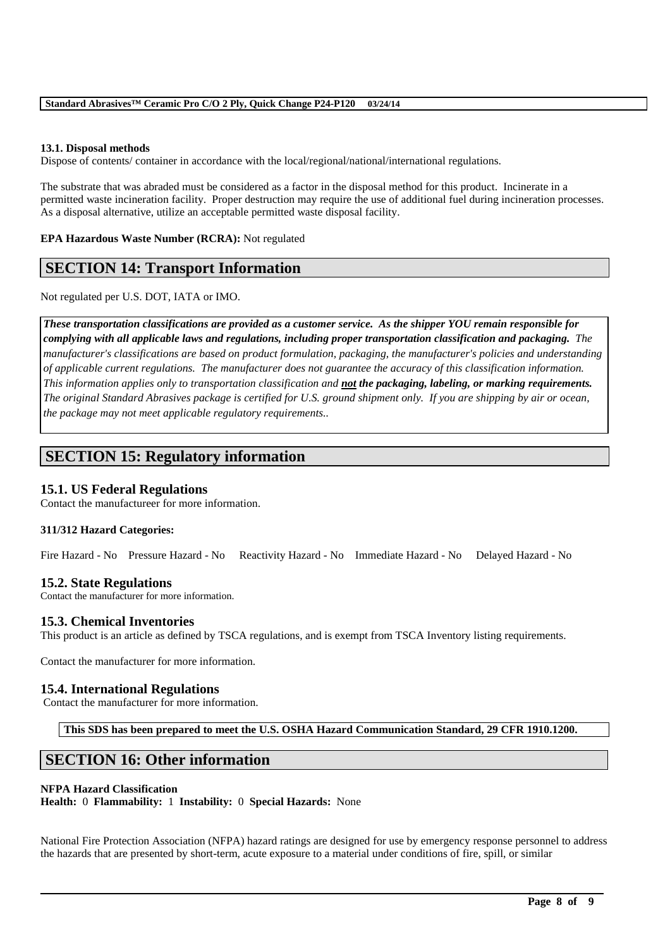#### **13.1. Disposal methods**

Dispose of contents/ container in accordance with the local/regional/national/international regulations.

The substrate that was abraded must be considered as a factor in the disposal method for this product. Incinerate in a permitted waste incineration facility. Proper destruction may require the use of additional fuel during incineration processes. As a disposal alternative, utilize an acceptable permitted waste disposal facility.

#### **EPA Hazardous Waste Number (RCRA):** Not regulated

## **SECTION 14: Transport Information**

Not regulated per U.S. DOT, IATA or IMO.

*These transportation classifications are provided as a customer service. As the shipper YOU remain responsible for complying with all applicable laws and regulations, including proper transportation classification and packaging. The manufacturer's classifications are based on product formulation, packaging, the manufacturer's policies and understanding of applicable current regulations. The manufacturer does not guarantee the accuracy of this classification information. This information applies only to transportation classification and not the packaging, labeling, or marking requirements. The original Standard Abrasives package is certified for U.S. ground shipment only. If you are shipping by air or ocean, the package may not meet applicable regulatory requirements..* 

## **SECTION 15: Regulatory information**

### **15.1. US Federal Regulations**

Contact the manufactureer for more information.

#### **311/312 Hazard Categories:**

Fire Hazard - No Pressure Hazard - No Reactivity Hazard - No Immediate Hazard - No Delayed Hazard - No

#### **15.2. State Regulations**

Contact the manufacturer for more information.

### **15.3. Chemical Inventories**

This product is an article as defined by TSCA regulations, and is exempt from TSCA Inventory listing requirements.

Contact the manufacturer for more information.

#### **15.4. International Regulations**

Contact the manufacturer for more information.

**This SDS has been prepared to meet the U.S. OSHA Hazard Communication Standard, 29 CFR 1910.1200.**

## **SECTION 16: Other information**

#### **NFPA Hazard Classification**

**Health:** 0 **Flammability:** 1 **Instability:** 0 **Special Hazards:** None

National Fire Protection Association (NFPA) hazard ratings are designed for use by emergency response personnel to address the hazards that are presented by short-term, acute exposure to a material under conditions of fire, spill, or similar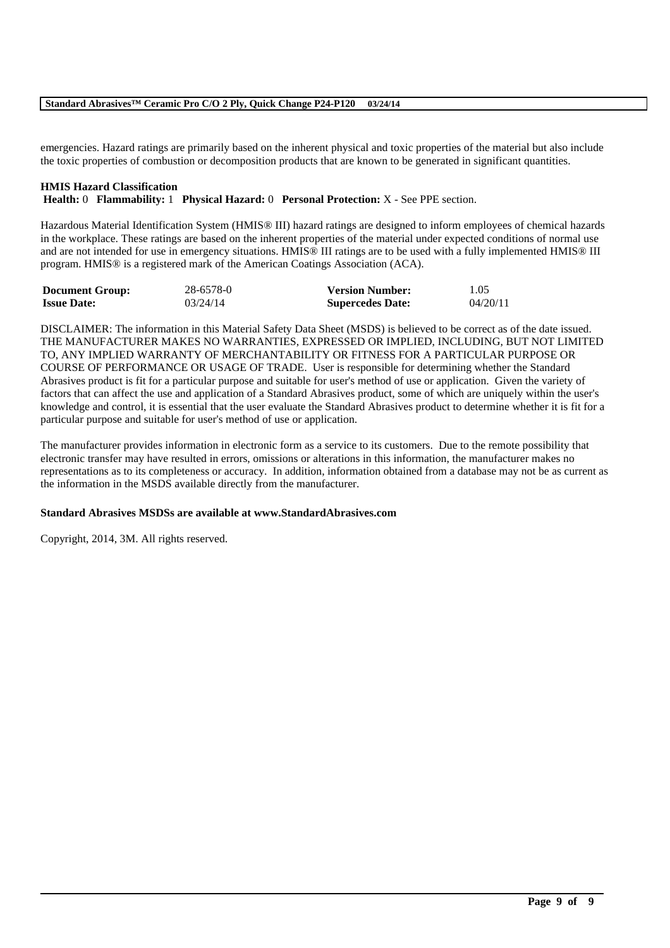emergencies. Hazard ratings are primarily based on the inherent physical and toxic properties of the material but also include the toxic properties of combustion or decomposition products that are known to be generated in significant quantities.

#### **HMIS Hazard Classification**

**Health:** 0 **Flammability:** 1 **Physical Hazard:** 0 **Personal Protection:** X - See PPE section.

Hazardous Material Identification System (HMIS® III) hazard ratings are designed to inform employees of chemical hazards in the workplace. These ratings are based on the inherent properties of the material under expected conditions of normal use and are not intended for use in emergency situations. HMIS® III ratings are to be used with a fully implemented HMIS® III program. HMIS® is a registered mark of the American Coatings Association (ACA).

| <b>Document Group:</b> | 28-6578-0 | <b>Version Number:</b>  | 1.05     |
|------------------------|-----------|-------------------------|----------|
| <b>Issue Date:</b>     | 03/24/14  | <b>Supercedes Date:</b> | 04/20/11 |

DISCLAIMER: The information in this Material Safety Data Sheet (MSDS) is believed to be correct as of the date issued. THE MANUFACTURER MAKES NO WARRANTIES, EXPRESSED OR IMPLIED, INCLUDING, BUT NOT LIMITED TO, ANY IMPLIED WARRANTY OF MERCHANTABILITY OR FITNESS FOR A PARTICULAR PURPOSE OR COURSE OF PERFORMANCE OR USAGE OF TRADE. User is responsible for determining whether the Standard Abrasives product is fit for a particular purpose and suitable for user's method of use or application. Given the variety of factors that can affect the use and application of a Standard Abrasives product, some of which are uniquely within the user's knowledge and control, it is essential that the user evaluate the Standard Abrasives product to determine whether it is fit for a particular purpose and suitable for user's method of use or application.

The manufacturer provides information in electronic form as a service to its customers. Due to the remote possibility that electronic transfer may have resulted in errors, omissions or alterations in this information, the manufacturer makes no representations as to its completeness or accuracy. In addition, information obtained from a database may not be as current as the information in the MSDS available directly from the manufacturer.

\_\_\_\_\_\_\_\_\_\_\_\_\_\_\_\_\_\_\_\_\_\_\_\_\_\_\_\_\_\_\_\_\_\_\_\_\_\_\_\_\_\_\_\_\_\_\_\_\_\_\_\_\_\_\_\_\_\_\_\_\_\_\_\_\_\_\_\_\_\_\_\_\_\_\_\_\_\_\_\_\_\_\_\_\_\_\_\_\_\_

#### **Standard Abrasives MSDSs are available at www.StandardAbrasives.com**

Copyright, 2014, 3M. All rights reserved.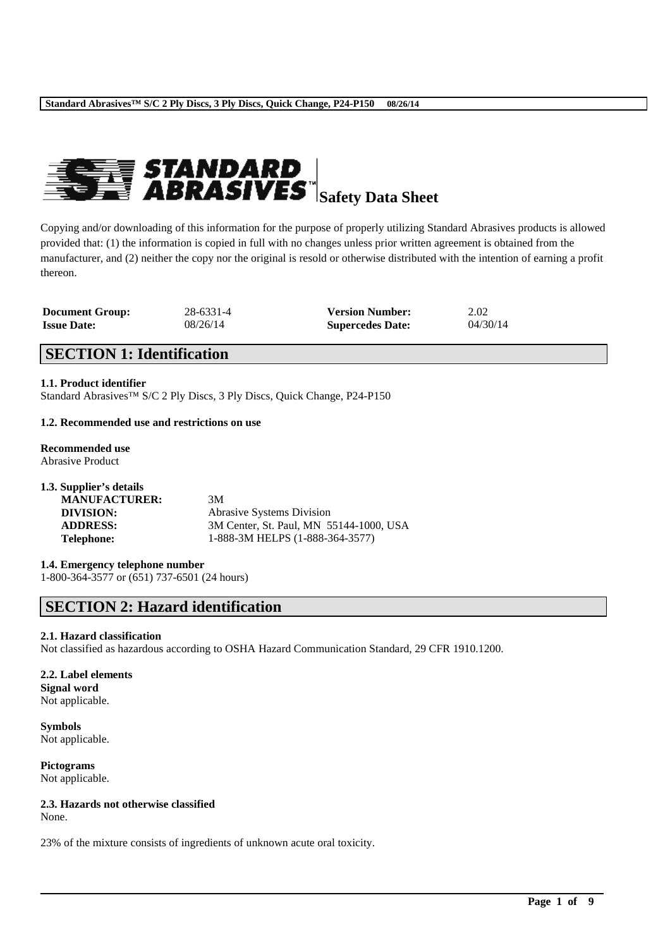

Copying and/or downloading of this information for the purpose of properly utilizing Standard Abrasives products is allowed provided that: (1) the information is copied in full with no changes unless prior written agreement is obtained from the manufacturer, and (2) neither the copy nor the original is resold or otherwise distributed with the intention of earning a profit thereon.

| <b>Document Group:</b> | 28-6331-4 | <b>Version Number:</b>  | 2.02     |
|------------------------|-----------|-------------------------|----------|
| <b>Issue Date:</b>     | 08/26/14  | <b>Supercedes Date:</b> | 04/30/14 |

## **SECTION 1: Identification**

**1.1. Product identifier**

Standard Abrasives™ S/C 2 Ply Discs, 3 Ply Discs, Quick Change, P24-P150

#### **1.2. Recommended use and restrictions on use**

**Recommended use** Abrasive Product

| 1.3. Supplier's details |                                         |
|-------------------------|-----------------------------------------|
| <b>MANUFACTURER:</b>    | 3M                                      |
| DIVISION:               | <b>Abrasive Systems Division</b>        |
| <b>ADDRESS:</b>         | 3M Center, St. Paul, MN 55144-1000, USA |
| <b>Telephone:</b>       | 1-888-3M HELPS (1-888-364-3577)         |

#### **1.4. Emergency telephone number**

1-800-364-3577 or (651) 737-6501 (24 hours)

## **SECTION 2: Hazard identification**

#### **2.1. Hazard classification**

Not classified as hazardous according to OSHA Hazard Communication Standard, 29 CFR 1910.1200.

\_\_\_\_\_\_\_\_\_\_\_\_\_\_\_\_\_\_\_\_\_\_\_\_\_\_\_\_\_\_\_\_\_\_\_\_\_\_\_\_\_\_\_\_\_\_\_\_\_\_\_\_\_\_\_\_\_\_\_\_\_\_\_\_\_\_\_\_\_\_\_\_\_\_\_\_\_\_\_\_\_\_\_\_\_\_\_\_\_\_

#### **2.2. Label elements Signal word**

Not applicable.

**Symbols** Not applicable.

**Pictograms** Not applicable.

## **2.3. Hazards not otherwise classified**

None.

23% of the mixture consists of ingredients of unknown acute oral toxicity.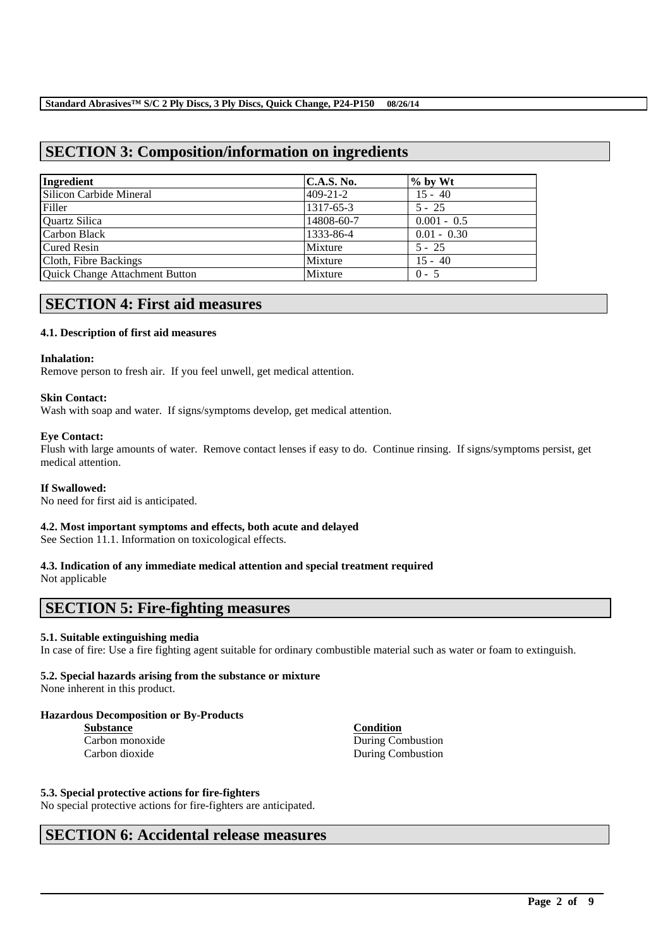## **SECTION 3: Composition/information on ingredients**

| Ingredient                            | <b>C.A.S. No.</b> | $\%$ by Wt    |
|---------------------------------------|-------------------|---------------|
| Silicon Carbide Mineral               | $409 - 21 - 2$    | $15 - 40$     |
| Filler                                | 1317-65-3         | $5 - 25$      |
| Quartz Silica                         | 14808-60-7        | $0.001 - 0.5$ |
| Carbon Black                          | 1333-86-4         | $0.01 - 0.30$ |
| <b>Cured Resin</b>                    | Mixture           | $5 - 25$      |
| Cloth, Fibre Backings                 | Mixture           | $15 - 40$     |
| <b>Quick Change Attachment Button</b> | Mixture           | $0 - 5$       |

## **SECTION 4: First aid measures**

#### **4.1. Description of first aid measures**

#### **Inhalation:**

Remove person to fresh air. If you feel unwell, get medical attention.

#### **Skin Contact:**

Wash with soap and water. If signs/symptoms develop, get medical attention.

#### **Eye Contact:**

Flush with large amounts of water. Remove contact lenses if easy to do. Continue rinsing. If signs/symptoms persist, get medical attention.

#### **If Swallowed:**

No need for first aid is anticipated.

#### **4.2. Most important symptoms and effects, both acute and delayed**

See Section 11.1. Information on toxicological effects.

## **4.3. Indication of any immediate medical attention and special treatment required**

Not applicable

## **SECTION 5: Fire-fighting measures**

#### **5.1. Suitable extinguishing media**

In case of fire: Use a fire fighting agent suitable for ordinary combustible material such as water or foam to extinguish.

\_\_\_\_\_\_\_\_\_\_\_\_\_\_\_\_\_\_\_\_\_\_\_\_\_\_\_\_\_\_\_\_\_\_\_\_\_\_\_\_\_\_\_\_\_\_\_\_\_\_\_\_\_\_\_\_\_\_\_\_\_\_\_\_\_\_\_\_\_\_\_\_\_\_\_\_\_\_\_\_\_\_\_\_\_\_\_\_\_\_

#### **5.2. Special hazards arising from the substance or mixture**

None inherent in this product.

### **Hazardous Decomposition or By-Products**

| Substance       |  |  |  |  |
|-----------------|--|--|--|--|
| Carbon monoxide |  |  |  |  |
| Carbon dioxide  |  |  |  |  |

**Condition** During Combustion During Combustion

#### **5.3. Special protective actions for fire-fighters**

No special protective actions for fire-fighters are anticipated.

## **SECTION 6: Accidental release measures**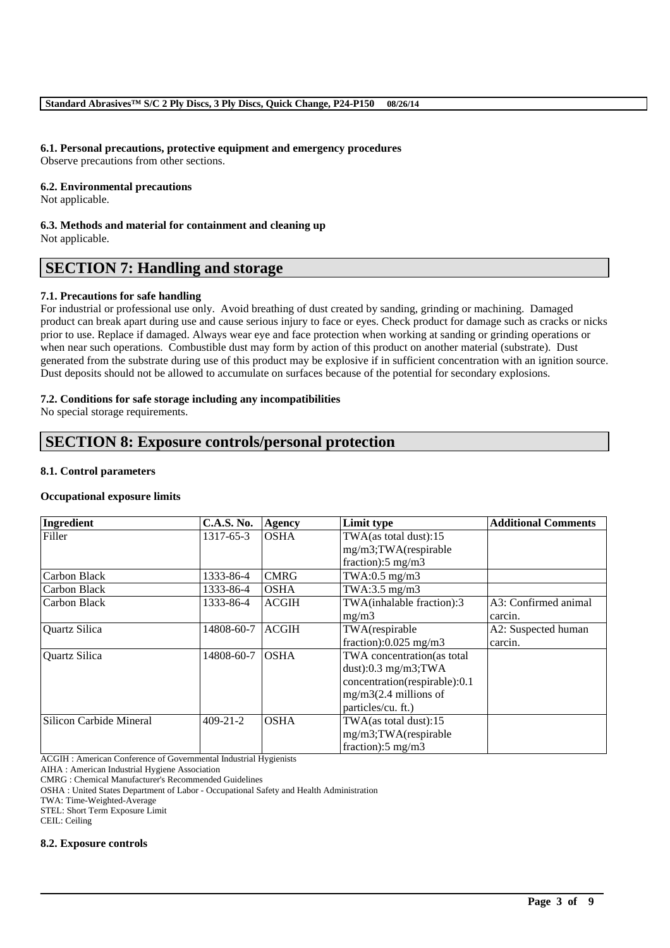#### **6.1. Personal precautions, protective equipment and emergency procedures**

Observe precautions from other sections.

#### **6.2. Environmental precautions**

Not applicable.

**6.3. Methods and material for containment and cleaning up** Not applicable.

## **SECTION 7: Handling and storage**

#### **7.1. Precautions for safe handling**

For industrial or professional use only. Avoid breathing of dust created by sanding, grinding or machining. Damaged product can break apart during use and cause serious injury to face or eyes. Check product for damage such as cracks or nicks prior to use. Replace if damaged. Always wear eye and face protection when working at sanding or grinding operations or when near such operations. Combustible dust may form by action of this product on another material (substrate). Dust generated from the substrate during use of this product may be explosive if in sufficient concentration with an ignition source. Dust deposits should not be allowed to accumulate on surfaces because of the potential for secondary explosions.

#### **7.2. Conditions for safe storage including any incompatibilities**

No special storage requirements.

## **SECTION 8: Exposure controls/personal protection**

#### **8.1. Control parameters**

#### **Occupational exposure limits**

| Ingredient              | <b>C.A.S. No.</b> | Agency       | Limit type                    | <b>Additional Comments</b> |
|-------------------------|-------------------|--------------|-------------------------------|----------------------------|
| Filler                  | 1317-65-3         | <b>OSHA</b>  | TWA(as total dust):15         |                            |
|                         |                   |              | mg/m3;TWA(respirable          |                            |
|                         |                   |              | fraction): $5 \text{ mg/m}$ 3 |                            |
| Carbon Black            | 1333-86-4         | <b>CMRG</b>  | TWA:0.5 $mg/m3$               |                            |
| Carbon Black            | 1333-86-4         | <b>OSHA</b>  | TWA:3.5 mg/m3                 |                            |
| Carbon Black            | 1333-86-4         | <b>ACGIH</b> | TWA(inhalable fraction):3     | A3: Confirmed animal       |
|                         |                   |              | mg/m3                         | carcin.                    |
| Quartz Silica           | 14808-60-7        | <b>ACGIH</b> | TWA(respirable                | A2: Suspected human        |
|                         |                   |              | fraction): $0.025$ mg/m3      | carcin.                    |
| Quartz Silica           | 14808-60-7        | <b>OSHA</b>  | TWA concentration(as total    |                            |
|                         |                   |              | dust): $0.3$ mg/m3;TWA        |                            |
|                         |                   |              | concentration(respirable):0.1 |                            |
|                         |                   |              | $mg/m3(2.4$ millions of       |                            |
|                         |                   |              | particles/cu. ft.)            |                            |
| Silicon Carbide Mineral | $409 - 21 - 2$    | <b>OSHA</b>  | $TWA$ (as total dust):15      |                            |
|                         |                   |              | mg/m3;TWA(respirable          |                            |
|                         |                   |              | fraction):5 mg/m3             |                            |

\_\_\_\_\_\_\_\_\_\_\_\_\_\_\_\_\_\_\_\_\_\_\_\_\_\_\_\_\_\_\_\_\_\_\_\_\_\_\_\_\_\_\_\_\_\_\_\_\_\_\_\_\_\_\_\_\_\_\_\_\_\_\_\_\_\_\_\_\_\_\_\_\_\_\_\_\_\_\_\_\_\_\_\_\_\_\_\_\_\_

ACGIH : American Conference of Governmental Industrial Hygienists

AIHA : American Industrial Hygiene Association

CMRG : Chemical Manufacturer's Recommended Guidelines

OSHA : United States Department of Labor - Occupational Safety and Health Administration

TWA: Time-Weighted-Average

STEL: Short Term Exposure Limit

CEIL: Ceiling

#### **8.2. Exposure controls**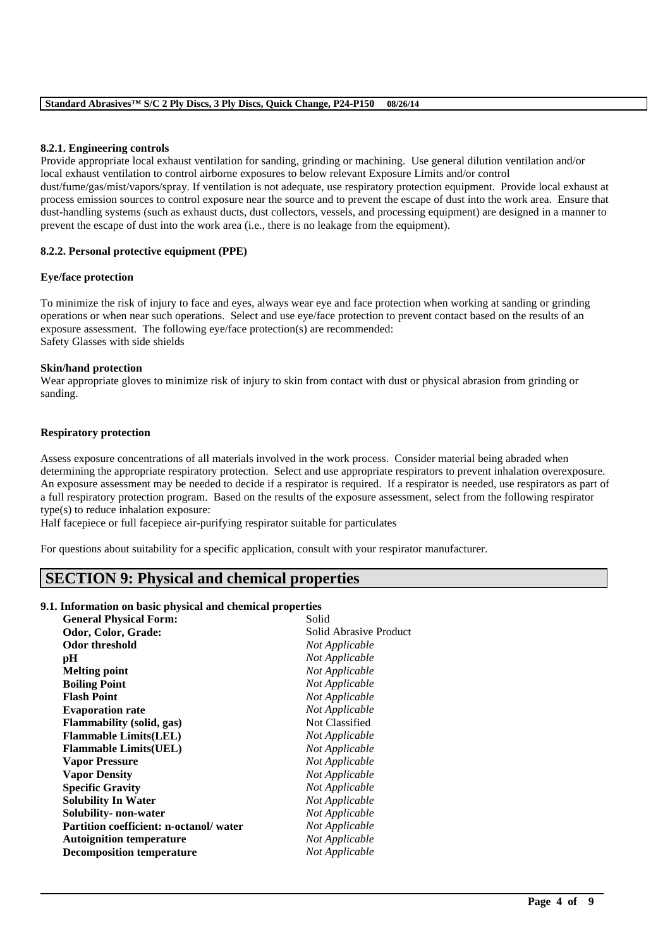#### **8.2.1. Engineering controls**

Provide appropriate local exhaust ventilation for sanding, grinding or machining. Use general dilution ventilation and/or local exhaust ventilation to control airborne exposures to below relevant Exposure Limits and/or control dust/fume/gas/mist/vapors/spray. If ventilation is not adequate, use respiratory protection equipment. Provide local exhaust at process emission sources to control exposure near the source and to prevent the escape of dust into the work area. Ensure that dust-handling systems (such as exhaust ducts, dust collectors, vessels, and processing equipment) are designed in a manner to prevent the escape of dust into the work area (i.e., there is no leakage from the equipment).

#### **8.2.2. Personal protective equipment (PPE)**

#### **Eye/face protection**

To minimize the risk of injury to face and eyes, always wear eye and face protection when working at sanding or grinding operations or when near such operations. Select and use eye/face protection to prevent contact based on the results of an exposure assessment. The following eye/face protection(s) are recommended: Safety Glasses with side shields

#### **Skin/hand protection**

Wear appropriate gloves to minimize risk of injury to skin from contact with dust or physical abrasion from grinding or sanding.

#### **Respiratory protection**

Assess exposure concentrations of all materials involved in the work process. Consider material being abraded when determining the appropriate respiratory protection. Select and use appropriate respirators to prevent inhalation overexposure. An exposure assessment may be needed to decide if a respirator is required. If a respirator is needed, use respirators as part of a full respiratory protection program. Based on the results of the exposure assessment, select from the following respirator type(s) to reduce inhalation exposure:

\_\_\_\_\_\_\_\_\_\_\_\_\_\_\_\_\_\_\_\_\_\_\_\_\_\_\_\_\_\_\_\_\_\_\_\_\_\_\_\_\_\_\_\_\_\_\_\_\_\_\_\_\_\_\_\_\_\_\_\_\_\_\_\_\_\_\_\_\_\_\_\_\_\_\_\_\_\_\_\_\_\_\_\_\_\_\_\_\_\_

Half facepiece or full facepiece air-purifying respirator suitable for particulates

For questions about suitability for a specific application, consult with your respirator manufacturer.

## **SECTION 9: Physical and chemical properties**

#### **9.1. Information on basic physical and chemical properties**

| <b>General Physical Form:</b>          | Solid                  |
|----------------------------------------|------------------------|
| Odor, Color, Grade:                    | Solid Abrasive Product |
| Odor threshold                         | Not Applicable         |
| pН                                     | Not Applicable         |
| <b>Melting point</b>                   | Not Applicable         |
| <b>Boiling Point</b>                   | Not Applicable         |
| <b>Flash Point</b>                     | Not Applicable         |
| <b>Evaporation rate</b>                | Not Applicable         |
| Flammability (solid, gas)              | Not Classified         |
| <b>Flammable Limits(LEL)</b>           | Not Applicable         |
| <b>Flammable Limits(UEL)</b>           | Not Applicable         |
| <b>Vapor Pressure</b>                  | Not Applicable         |
| <b>Vapor Density</b>                   | Not Applicable         |
| <b>Specific Gravity</b>                | Not Applicable         |
| <b>Solubility In Water</b>             | Not Applicable         |
| Solubility- non-water                  | Not Applicable         |
| Partition coefficient: n-octanol/water | Not Applicable         |
| <b>Autoignition temperature</b>        | Not Applicable         |
| <b>Decomposition temperature</b>       | Not Applicable         |
|                                        |                        |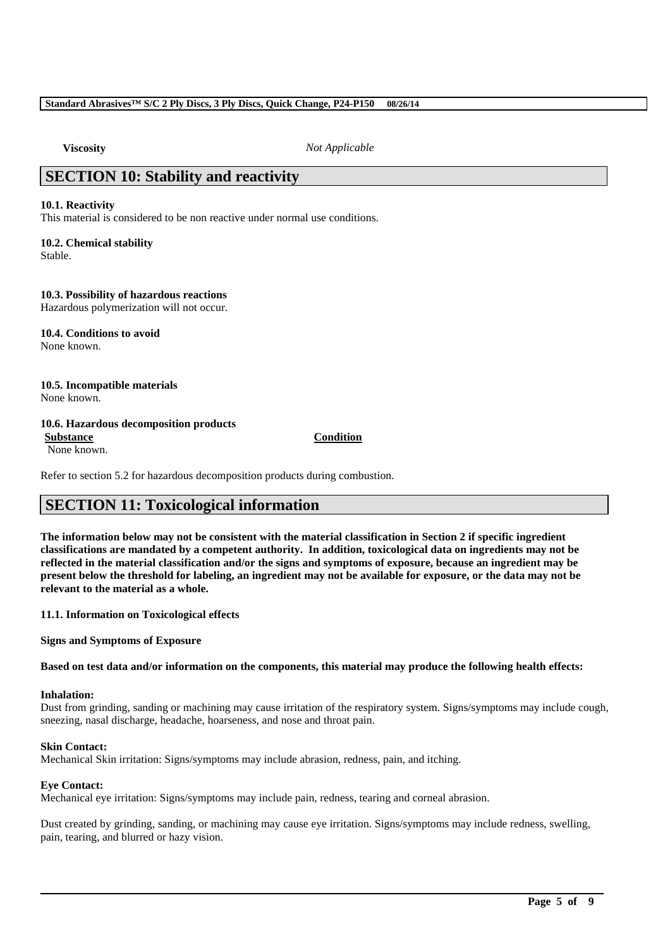**Viscosity** *Not Applicable*

## **SECTION 10: Stability and reactivity**

#### **10.1. Reactivity**

This material is considered to be non reactive under normal use conditions.

## **10.2. Chemical stability**

Stable.

#### **10.3. Possibility of hazardous reactions**

Hazardous polymerization will not occur.

#### **10.4. Conditions to avoid** None known.

## **10.5. Incompatible materials**

None known.

#### **10.6. Hazardous decomposition products**

None known.

**Substance Condition**

Refer to section 5.2 for hazardous decomposition products during combustion.

## **SECTION 11: Toxicological information**

**The information below may not be consistent with the material classification in Section 2 if specific ingredient classifications are mandated by a competent authority. In addition, toxicological data on ingredients may not be reflected in the material classification and/or the signs and symptoms of exposure, because an ingredient may be present below the threshold for labeling, an ingredient may not be available for exposure, or the data may not be relevant to the material as a whole.**

**11.1. Information on Toxicological effects**

**Signs and Symptoms of Exposure**

**Based on test data and/or information on the components, this material may produce the following health effects:**

#### **Inhalation:**

Dust from grinding, sanding or machining may cause irritation of the respiratory system. Signs/symptoms may include cough, sneezing, nasal discharge, headache, hoarseness, and nose and throat pain.

#### **Skin Contact:**

Mechanical Skin irritation: Signs/symptoms may include abrasion, redness, pain, and itching.

#### **Eye Contact:**

Mechanical eye irritation: Signs/symptoms may include pain, redness, tearing and corneal abrasion.

Dust created by grinding, sanding, or machining may cause eye irritation. Signs/symptoms may include redness, swelling, pain, tearing, and blurred or hazy vision.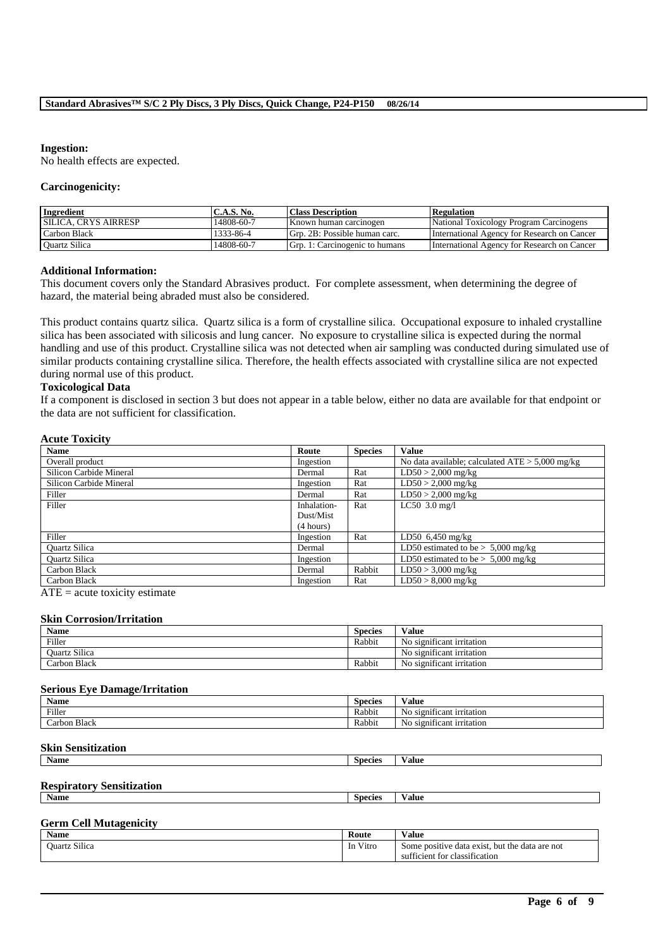#### **Ingestion:**

No health effects are expected.

#### **Carcinogenicity:**

| Ingredient                   | C.A.S. No. | <b>Class Description</b>       | <b>Regulation</b>                           |
|------------------------------|------------|--------------------------------|---------------------------------------------|
| <b>ISILICA. CRYS AIRRESP</b> | 14808-60-7 | Known human carcinogen         | National Toxicology Program Carcinogens     |
| Carbon Black                 | 1333-86-4  | Grp. 2B: Possible human carc.  | International Agency for Research on Cancer |
| <b>Ouartz Silica</b>         | 14808-60-7 | Grp. 1: Carcinogenic to humans | International Agency for Research on Cancer |

#### **Additional Information:**

This document covers only the Standard Abrasives product. For complete assessment, when determining the degree of hazard, the material being abraded must also be considered.

This product contains quartz silica. Quartz silica is a form of crystalline silica. Occupational exposure to inhaled crystalline silica has been associated with silicosis and lung cancer. No exposure to crystalline silica is expected during the normal handling and use of this product. Crystalline silica was not detected when air sampling was conducted during simulated use of similar products containing crystalline silica. Therefore, the health effects associated with crystalline silica are not expected during normal use of this product.

#### **Toxicological Data**

If a component is disclosed in section 3 but does not appear in a table below, either no data are available for that endpoint or the data are not sufficient for classification.

#### **Acute Toxicity**

| <b>Name</b>             | Route       | <b>Species</b> | <b>Value</b>                                      |
|-------------------------|-------------|----------------|---------------------------------------------------|
| Overall product         | Ingestion   |                | No data available; calculated $ATE > 5,000$ mg/kg |
| Silicon Carbide Mineral | Dermal      | Rat            | $LD50 > 2,000$ mg/kg                              |
| Silicon Carbide Mineral | Ingestion   | Rat            | $LD50 > 2,000$ mg/kg                              |
| Filler                  | Dermal      | Rat            | $LD50 > 2,000$ mg/kg                              |
| Filler                  | Inhalation- | Rat            | $LC50$ 3.0 mg/l                                   |
|                         | Dust/Mist   |                |                                                   |
|                         | (4 hours)   |                |                                                   |
| Filler                  | Ingestion   | Rat            | LD50 $6,450$ mg/kg                                |
| Quartz Silica           | Dermal      |                | LD50 estimated to be $> 5,000$ mg/kg              |
| <b>Quartz Silica</b>    | Ingestion   |                | LD50 estimated to be $> 5,000$ mg/kg              |
| Carbon Black            | Dermal      | Rabbit         | $LD50 > 3,000$ mg/kg                              |
| Carbon Black            | Ingestion   | Rat            | $LD50 > 8,000$ mg/kg                              |

 $ATE = acute$  toxicity estimate

#### **Skin Corrosion/Irritation**

| Name                 | Species | Value                                |
|----------------------|---------|--------------------------------------|
| Filler               | Rabbit  | No significant irritation            |
| <b>Ouartz Silica</b> |         | $\cdot$<br>No significant irritation |
| Carbon Black         | Rabbit  | $\cdot$<br>No significant irritation |

#### **Serious Eye Damage/Irritation**

| Name         | <b>Species</b> | Value                               |
|--------------|----------------|-------------------------------------|
| Filler       | Rabbit         | . .<br>No<br>significant irritation |
| Carbon Black | Rabbit         | No<br>significant irritation        |

#### **Skin Sensitization**

| <b>Name</b> | species | $\overline{\phantom{a}}$<br>⁄ alue |
|-------------|---------|------------------------------------|
|             |         |                                    |

#### **Respiratory Sensitization**

| Name | Species | 'alue |
|------|---------|-------|
|      |         |       |

#### **Germ Cell Mutagenicity**

| $\bullet$ $\bullet$<br>Name | Route        | .<br>Value                                      |
|-----------------------------|--------------|-------------------------------------------------|
| $\sim$<br>Juartz Silica     | Vitro<br>-In | Some positive data exist, but the data are not  |
|                             |              | $\cdot$ $\sim$<br>sufficient for classification |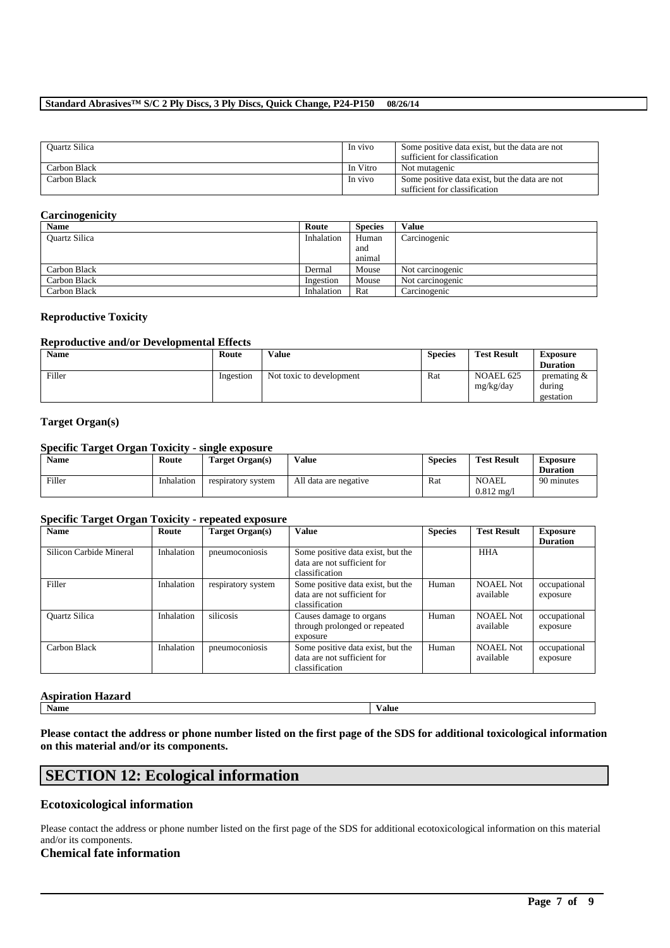#### **Standard Abrasives™ S/C 2 Ply Discs, 3 Ply Discs, Quick Change, P24-P150 08/26/14**

| <b>Ouartz Silica</b> | In vivo  | Some positive data exist, but the data are not<br>sufficient for classification |
|----------------------|----------|---------------------------------------------------------------------------------|
| Carbon Black         | In Vitro | Not mutagenic                                                                   |
| Carbon Black         | In vivo  | Some positive data exist, but the data are not<br>sufficient for classification |

#### **Carcinogenicity**

| <b>Name</b>          | Route      | <b>Species</b> | Value            |
|----------------------|------------|----------------|------------------|
| <b>Ouartz Silica</b> | Inhalation | Human          | Carcinogenic     |
|                      |            | and            |                  |
|                      |            | animal         |                  |
| Carbon Black         | Dermal     | Mouse          | Not carcinogenic |
| Carbon Black         | Ingestion  | Mouse          | Not carcinogenic |
| Carbon Black         | Inhalation | Rat            | Carcinogenic     |

#### **Reproductive Toxicity**

#### **Reproductive and/or Developmental Effects**

| <b>Name</b> | Route     | <b>Value</b>             | <b>Species</b> | <b>Test Result</b>     | Exposure                                       |
|-------------|-----------|--------------------------|----------------|------------------------|------------------------------------------------|
|             |           |                          |                |                        | <b>Duration</b>                                |
| Filler      | Ingestion | Not toxic to development | Rat            | NOAEL 625<br>mg/kg/day | $v$ or $v$ are $\alpha$<br>during<br>gestation |

#### **Target Organ(s)**

#### **Specific Target Organ Toxicity - single exposure**

| <b>Name</b> | Route      | Target Organ(s)    | Value                 | Species | <b>Test Result</b>            | Exposure<br><b>Duration</b> |
|-------------|------------|--------------------|-----------------------|---------|-------------------------------|-----------------------------|
| Filler      | Inhalation | respiratory system | All data are negative | Rat     | NOAEL<br>$0.812 \text{ m}$ g/ | 90 minutes                  |

#### **Specific Target Organ Toxicity - repeated exposure**

| <b>Name</b>             | Route      | <b>Target Organ(s)</b> | Value                                                                              | <b>Species</b> | <b>Test Result</b>            | <b>Exposure</b><br><b>Duration</b> |
|-------------------------|------------|------------------------|------------------------------------------------------------------------------------|----------------|-------------------------------|------------------------------------|
| Silicon Carbide Mineral | Inhalation | pneumoconiosis         | Some positive data exist, but the<br>data are not sufficient for<br>classification |                | <b>HHA</b>                    |                                    |
| Filler                  | Inhalation | respiratory system     | Some positive data exist, but the<br>data are not sufficient for<br>classification | Human          | NOAEL Not<br>available        | occupational<br>exposure           |
| <b>Quartz Silica</b>    | Inhalation | silicosis              | Causes damage to organs<br>through prolonged or repeated<br>exposure               | Human          | <b>NOAEL Not</b><br>available | occupational<br>exposure           |
| Carbon Black            | Inhalation | pneumoconiosis         | Some positive data exist, but the<br>data are not sufficient for<br>classification | Human          | <b>NOAEL Not</b><br>available | occupational<br>exposure           |

# **Aspiration Hazard**<br>Name

**Name Value**

**Please contact the address or phone number listed on the first page of the SDS for additional toxicological information on this material and/or its components.**

## **SECTION 12: Ecological information**

#### **Ecotoxicological information**

Please contact the address or phone number listed on the first page of the SDS for additional ecotoxicological information on this material and/or its components.

\_\_\_\_\_\_\_\_\_\_\_\_\_\_\_\_\_\_\_\_\_\_\_\_\_\_\_\_\_\_\_\_\_\_\_\_\_\_\_\_\_\_\_\_\_\_\_\_\_\_\_\_\_\_\_\_\_\_\_\_\_\_\_\_\_\_\_\_\_\_\_\_\_\_\_\_\_\_\_\_\_\_\_\_\_\_\_\_\_\_

#### **Chemical fate information**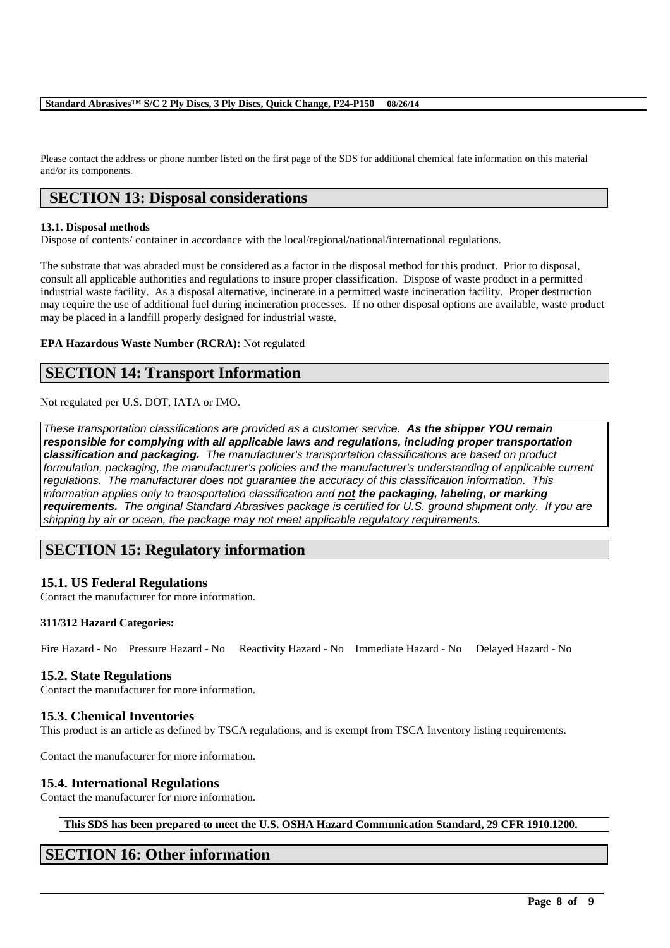Please contact the address or phone number listed on the first page of the SDS for additional chemical fate information on this material and/or its components.

## **SECTION 13: Disposal considerations**

#### **13.1. Disposal methods**

Dispose of contents/ container in accordance with the local/regional/national/international regulations.

The substrate that was abraded must be considered as a factor in the disposal method for this product. Prior to disposal, consult all applicable authorities and regulations to insure proper classification. Dispose of waste product in a permitted industrial waste facility. As a disposal alternative, incinerate in a permitted waste incineration facility. Proper destruction may require the use of additional fuel during incineration processes. If no other disposal options are available, waste product may be placed in a landfill properly designed for industrial waste.

#### **EPA Hazardous Waste Number (RCRA):** Not regulated

## **SECTION 14: Transport Information**

Not regulated per U.S. DOT, IATA or IMO.

*These transportation classifications are provided as a customer service. As the shipper YOU remain responsible for complying with all applicable laws and regulations, including proper transportation classification and packaging. The manufacturer's transportation classifications are based on product formulation, packaging, the manufacturer's policies and the manufacturer's understanding of applicable current regulations. The manufacturer does not guarantee the accuracy of this classification information. This information applies only to transportation classification and not the packaging, labeling, or marking requirements. The original Standard Abrasives package is certified for U.S. ground shipment only. If you are shipping by air or ocean, the package may not meet applicable regulatory requirements.* 

## **SECTION 15: Regulatory information**

### **15.1. US Federal Regulations**

Contact the manufacturer for more information.

#### **311/312 Hazard Categories:**

Fire Hazard - No Pressure Hazard - No Reactivity Hazard - No Immediate Hazard - No Delayed Hazard - No

### **15.2. State Regulations**

Contact the manufacturer for more information.

### **15.3. Chemical Inventories**

This product is an article as defined by TSCA regulations, and is exempt from TSCA Inventory listing requirements.

Contact the manufacturer for more information.

### **15.4. International Regulations**

Contact the manufacturer for more information.

**This SDS has been prepared to meet the U.S. OSHA Hazard Communication Standard, 29 CFR 1910.1200.**

\_\_\_\_\_\_\_\_\_\_\_\_\_\_\_\_\_\_\_\_\_\_\_\_\_\_\_\_\_\_\_\_\_\_\_\_\_\_\_\_\_\_\_\_\_\_\_\_\_\_\_\_\_\_\_\_\_\_\_\_\_\_\_\_\_\_\_\_\_\_\_\_\_\_\_\_\_\_\_\_\_\_\_\_\_\_\_\_\_\_

## **SECTION 16: Other information**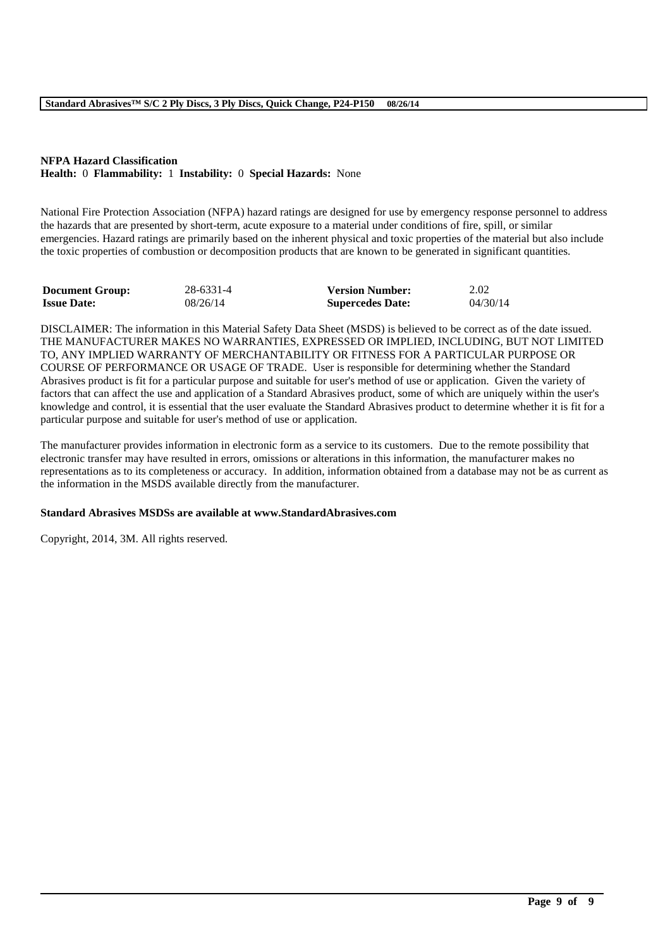#### **NFPA Hazard Classification Health:** 0 **Flammability:** 1 **Instability:** 0 **Special Hazards:** None

National Fire Protection Association (NFPA) hazard ratings are designed for use by emergency response personnel to address the hazards that are presented by short-term, acute exposure to a material under conditions of fire, spill, or similar emergencies. Hazard ratings are primarily based on the inherent physical and toxic properties of the material but also include the toxic properties of combustion or decomposition products that are known to be generated in significant quantities.

| <b>Document Group:</b> | 28-6331-4 | <b>Version Number:</b>  | 2.02     |
|------------------------|-----------|-------------------------|----------|
| <b>Issue Date:</b>     | 08/26/14  | <b>Supercedes Date:</b> | 04/30/14 |

DISCLAIMER: The information in this Material Safety Data Sheet (MSDS) is believed to be correct as of the date issued. THE MANUFACTURER MAKES NO WARRANTIES, EXPRESSED OR IMPLIED, INCLUDING, BUT NOT LIMITED TO, ANY IMPLIED WARRANTY OF MERCHANTABILITY OR FITNESS FOR A PARTICULAR PURPOSE OR COURSE OF PERFORMANCE OR USAGE OF TRADE. User is responsible for determining whether the Standard Abrasives product is fit for a particular purpose and suitable for user's method of use or application. Given the variety of factors that can affect the use and application of a Standard Abrasives product, some of which are uniquely within the user's knowledge and control, it is essential that the user evaluate the Standard Abrasives product to determine whether it is fit for a particular purpose and suitable for user's method of use or application.

The manufacturer provides information in electronic form as a service to its customers. Due to the remote possibility that electronic transfer may have resulted in errors, omissions or alterations in this information, the manufacturer makes no representations as to its completeness or accuracy. In addition, information obtained from a database may not be as current as the information in the MSDS available directly from the manufacturer.

\_\_\_\_\_\_\_\_\_\_\_\_\_\_\_\_\_\_\_\_\_\_\_\_\_\_\_\_\_\_\_\_\_\_\_\_\_\_\_\_\_\_\_\_\_\_\_\_\_\_\_\_\_\_\_\_\_\_\_\_\_\_\_\_\_\_\_\_\_\_\_\_\_\_\_\_\_\_\_\_\_\_\_\_\_\_\_\_\_\_

#### **Standard Abrasives MSDSs are available at www.StandardAbrasives.com**

Copyright, 2014, 3M. All rights reserved.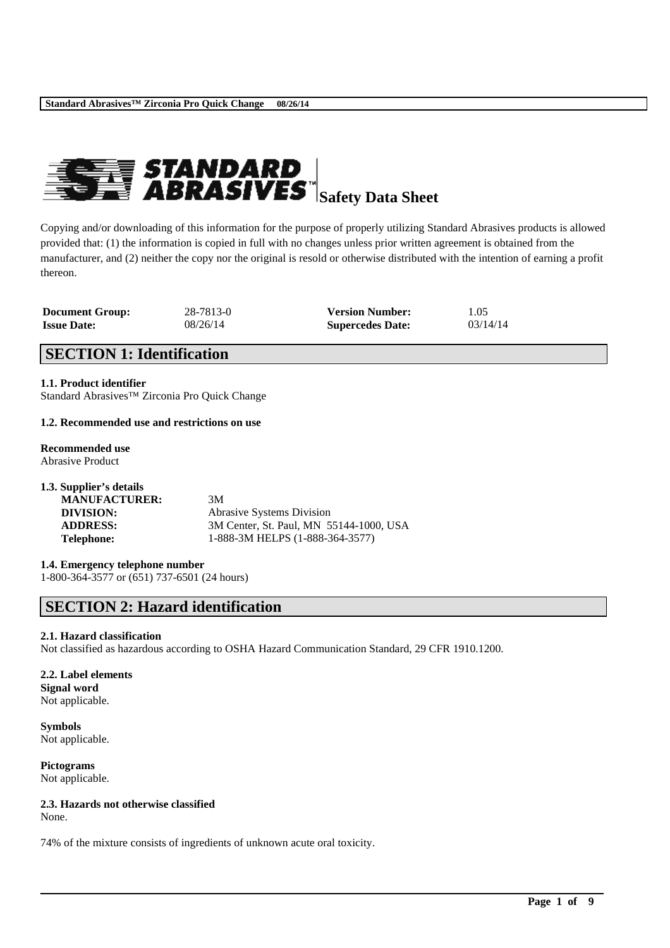

Copying and/or downloading of this information for the purpose of properly utilizing Standard Abrasives products is allowed provided that: (1) the information is copied in full with no changes unless prior written agreement is obtained from the manufacturer, and (2) neither the copy nor the original is resold or otherwise distributed with the intention of earning a profit thereon.

| <b>Document Group:</b> | 28-7813-0 | <b>Version Number:</b>  | 1.05     |
|------------------------|-----------|-------------------------|----------|
| <b>Issue Date:</b>     | 08/26/14  | <b>Supercedes Date:</b> | 03/14/14 |

## **SECTION 1: Identification**

**1.1. Product identifier** Standard Abrasives™ Zirconia Pro Quick Change

#### **1.2. Recommended use and restrictions on use**

**Recommended use** Abrasive Product

| 1.3. Supplier's details |                                         |
|-------------------------|-----------------------------------------|
| <b>MANUFACTURER:</b>    | 3M                                      |
| DIVISION:               | <b>Abrasive Systems Division</b>        |
| <b>ADDRESS:</b>         | 3M Center, St. Paul, MN 55144-1000, USA |
| <b>Telephone:</b>       | 1-888-3M HELPS (1-888-364-3577)         |

#### **1.4. Emergency telephone number**

1-800-364-3577 or (651) 737-6501 (24 hours)

## **SECTION 2: Hazard identification**

#### **2.1. Hazard classification**

Not classified as hazardous according to OSHA Hazard Communication Standard, 29 CFR 1910.1200.

\_\_\_\_\_\_\_\_\_\_\_\_\_\_\_\_\_\_\_\_\_\_\_\_\_\_\_\_\_\_\_\_\_\_\_\_\_\_\_\_\_\_\_\_\_\_\_\_\_\_\_\_\_\_\_\_\_\_\_\_\_\_\_\_\_\_\_\_\_\_\_\_\_\_\_\_\_\_\_\_\_\_\_\_\_\_\_\_\_\_

#### **2.2. Label elements Signal word**

Not applicable.

**Symbols** Not applicable.

**Pictograms** Not applicable.

## **2.3. Hazards not otherwise classified**

None.

74% of the mixture consists of ingredients of unknown acute oral toxicity.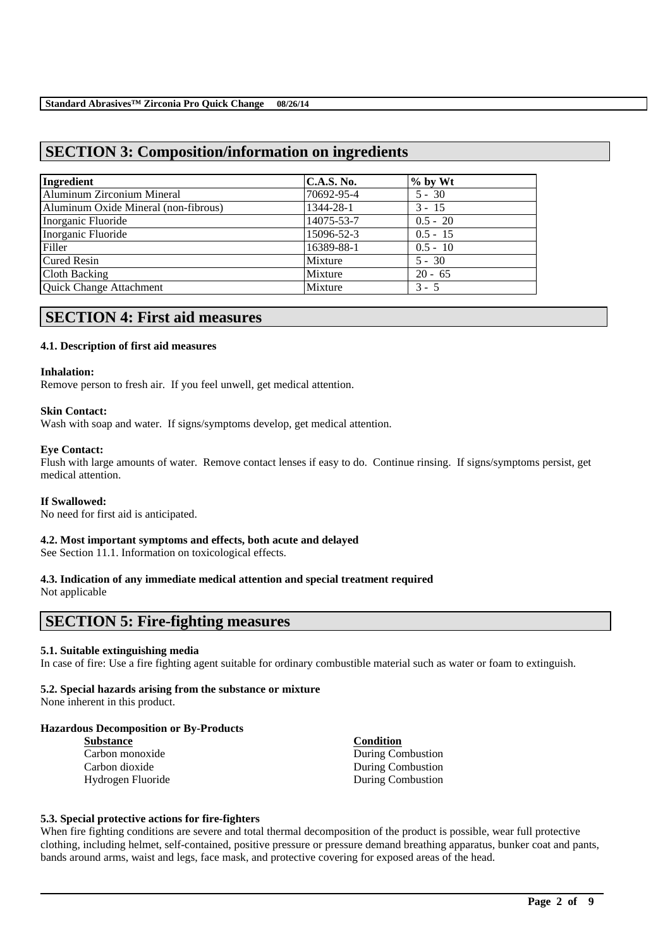## **SECTION 3: Composition/information on ingredients**

| Ingredient                           | C.A.S. No. | $\%$ by Wt |
|--------------------------------------|------------|------------|
| Aluminum Zirconium Mineral           | 70692-95-4 | $5 - 30$   |
| Aluminum Oxide Mineral (non-fibrous) | 1344-28-1  | $3 - 15$   |
| Inorganic Fluoride                   | 14075-53-7 | $0.5 - 20$ |
| Inorganic Fluoride                   | 15096-52-3 | $0.5 - 15$ |
| Filler                               | 16389-88-1 | $0.5 - 10$ |
| <b>Cured Resin</b>                   | Mixture    | $5 - 30$   |
| Cloth Backing                        | Mixture    | $20 - 65$  |
| Quick Change Attachment              | Mixture    | $3 - 5$    |

## **SECTION 4: First aid measures**

#### **4.1. Description of first aid measures**

#### **Inhalation:**

Remove person to fresh air. If you feel unwell, get medical attention.

#### **Skin Contact:**

Wash with soap and water. If signs/symptoms develop, get medical attention.

#### **Eye Contact:**

Flush with large amounts of water. Remove contact lenses if easy to do. Continue rinsing. If signs/symptoms persist, get medical attention.

#### **If Swallowed:**

No need for first aid is anticipated.

#### **4.2. Most important symptoms and effects, both acute and delayed**

See Section 11.1. Information on toxicological effects.

## **4.3. Indication of any immediate medical attention and special treatment required**

Not applicable

## **SECTION 5: Fire-fighting measures**

#### **5.1. Suitable extinguishing media**

In case of fire: Use a fire fighting agent suitable for ordinary combustible material such as water or foam to extinguish.

#### **5.2. Special hazards arising from the substance or mixture**

None inherent in this product.

#### **Hazardous Decomposition or By-Products**

| <b>Substance</b>  |  |
|-------------------|--|
| Carbon monoxide   |  |
| Carbon dioxide    |  |
| Hydrogen Fluoride |  |

**Substance Condition** During Combustion During Combustion During Combustion

#### **5.3. Special protective actions for fire-fighters**

When fire fighting conditions are severe and total thermal decomposition of the product is possible, wear full protective clothing, including helmet, self-contained, positive pressure or pressure demand breathing apparatus, bunker coat and pants, bands around arms, waist and legs, face mask, and protective covering for exposed areas of the head.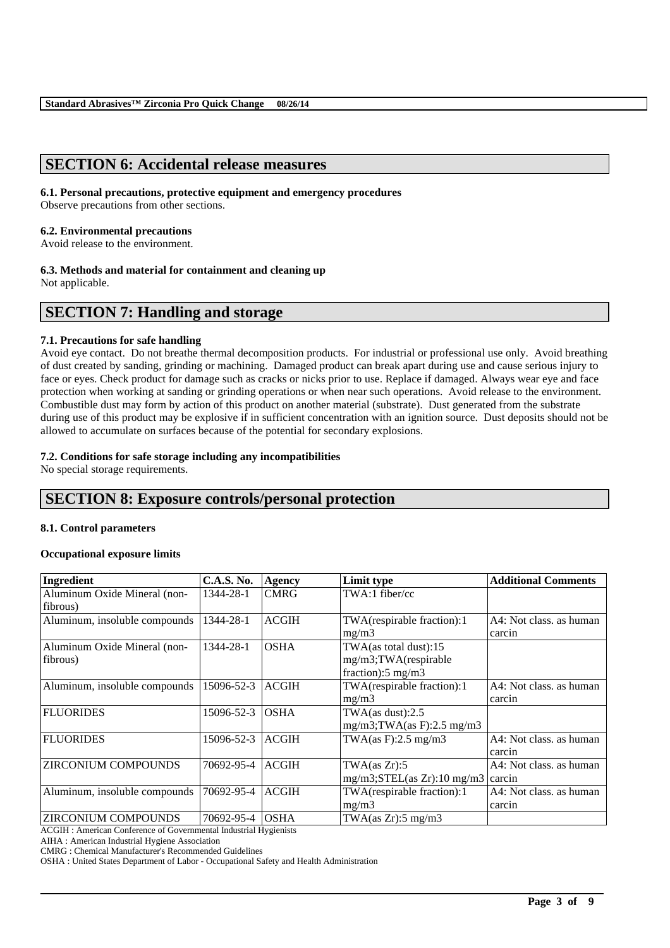## **SECTION 6: Accidental release measures**

#### **6.1. Personal precautions, protective equipment and emergency procedures**

Observe precautions from other sections.

#### **6.2. Environmental precautions**

Avoid release to the environment.

### **6.3. Methods and material for containment and cleaning up**

Not applicable.

## **SECTION 7: Handling and storage**

#### **7.1. Precautions for safe handling**

Avoid eye contact. Do not breathe thermal decomposition products. For industrial or professional use only. Avoid breathing of dust created by sanding, grinding or machining. Damaged product can break apart during use and cause serious injury to face or eyes. Check product for damage such as cracks or nicks prior to use. Replace if damaged. Always wear eye and face protection when working at sanding or grinding operations or when near such operations. Avoid release to the environment. Combustible dust may form by action of this product on another material (substrate). Dust generated from the substrate during use of this product may be explosive if in sufficient concentration with an ignition source. Dust deposits should not be allowed to accumulate on surfaces because of the potential for secondary explosions.

#### **7.2. Conditions for safe storage including any incompatibilities**

No special storage requirements.

## **SECTION 8: Exposure controls/personal protection**

#### **8.1. Control parameters**

#### **Occupational exposure limits**

| Ingredient                    | <b>C.A.S. No.</b> | <b>Agency</b> | Limit type                             | <b>Additional Comments</b> |
|-------------------------------|-------------------|---------------|----------------------------------------|----------------------------|
| Aluminum Oxide Mineral (non-  | 1344-28-1         | <b>CMRG</b>   | TWA:1 fiber/cc                         |                            |
| fibrous)                      |                   |               |                                        |                            |
| Aluminum, insoluble compounds | 1344-28-1         | <b>ACGIH</b>  | TWA(respirable fraction):1             | A4: Not class, as human    |
|                               |                   |               | mg/m3                                  | carcin                     |
| Aluminum Oxide Mineral (non-  | 1344-28-1         | <b>OSHA</b>   | TWA(as total dust):15                  |                            |
| fibrous)                      |                   |               | mg/m3;TWA(respirable                   |                            |
|                               |                   |               | fraction):5 mg/m3                      |                            |
| Aluminum, insoluble compounds | 15096-52-3        | <b>ACGIH</b>  | TWA(respirable fraction):1             | A4: Not class, as human    |
|                               |                   |               | mg/m3                                  | carcin                     |
| <b>FLUORIDES</b>              | 15096-52-3        | <b>OSHA</b>   | TWA $(as dust):2.5$                    |                            |
|                               |                   |               | $mg/m3$ ; TWA(as F): 2.5 mg/m3         |                            |
| <b>FLUORIDES</b>              | 15096-52-3        | <b>ACGIH</b>  | TWA $(as F): 2.5 mg/m3$                | A4: Not class, as human    |
|                               |                   |               |                                        | carcin                     |
| <b>ZIRCONIUM COMPOUNDS</b>    | 70692-95-4        | <b>ACGIH</b>  | TWA(as Zr):5                           | A4: Not class, as human    |
|                               |                   |               | $mg/m3$ ; STEL(as Zr): 10 mg/m3 carcin |                            |
| Aluminum, insoluble compounds | 70692-95-4        | <b>ACGIH</b>  | TWA(respirable fraction):1             | A4: Not class, as human    |
|                               |                   |               | mg/m3                                  | carcin                     |
| <b>ZIRCONIUM COMPOUNDS</b>    | 70692-95-4        | <b>OSHA</b>   | TWA(as Zr): 5 mg/m3                    |                            |

\_\_\_\_\_\_\_\_\_\_\_\_\_\_\_\_\_\_\_\_\_\_\_\_\_\_\_\_\_\_\_\_\_\_\_\_\_\_\_\_\_\_\_\_\_\_\_\_\_\_\_\_\_\_\_\_\_\_\_\_\_\_\_\_\_\_\_\_\_\_\_\_\_\_\_\_\_\_\_\_\_\_\_\_\_\_\_\_\_\_

ACGIH : American Conference of Governmental Industrial Hygienists

AIHA : American Industrial Hygiene Association

CMRG : Chemical Manufacturer's Recommended Guidelines

OSHA : United States Department of Labor - Occupational Safety and Health Administration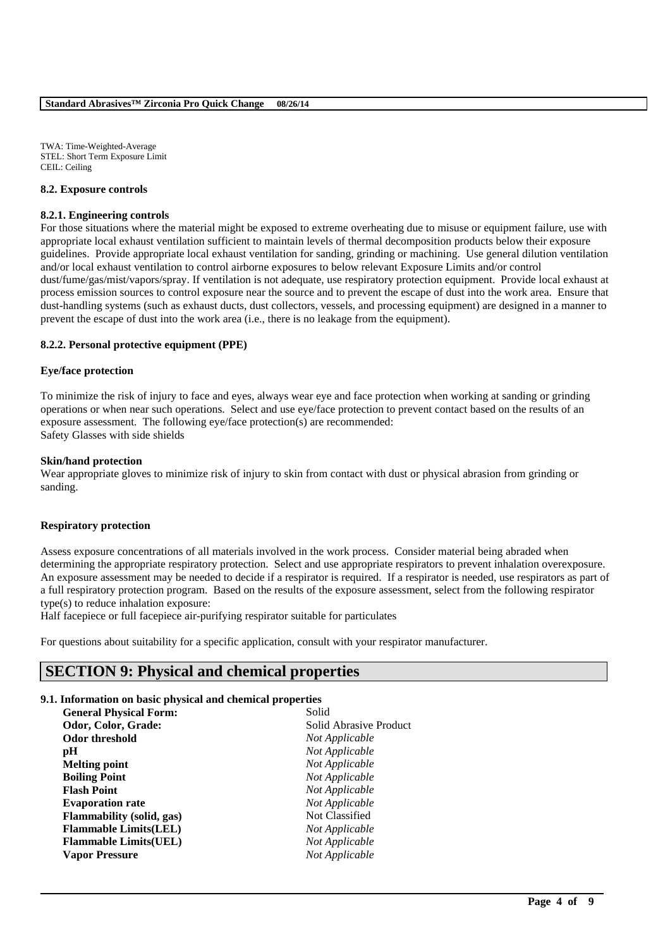TWA: Time-Weighted-Average STEL: Short Term Exposure Limit CEIL: Ceiling

#### **8.2. Exposure controls**

#### **8.2.1. Engineering controls**

For those situations where the material might be exposed to extreme overheating due to misuse or equipment failure, use with appropriate local exhaust ventilation sufficient to maintain levels of thermal decomposition products below their exposure guidelines. Provide appropriate local exhaust ventilation for sanding, grinding or machining. Use general dilution ventilation and/or local exhaust ventilation to control airborne exposures to below relevant Exposure Limits and/or control dust/fume/gas/mist/vapors/spray. If ventilation is not adequate, use respiratory protection equipment. Provide local exhaust at process emission sources to control exposure near the source and to prevent the escape of dust into the work area. Ensure that dust-handling systems (such as exhaust ducts, dust collectors, vessels, and processing equipment) are designed in a manner to prevent the escape of dust into the work area (i.e., there is no leakage from the equipment).

#### **8.2.2. Personal protective equipment (PPE)**

#### **Eye/face protection**

To minimize the risk of injury to face and eyes, always wear eye and face protection when working at sanding or grinding operations or when near such operations. Select and use eye/face protection to prevent contact based on the results of an exposure assessment. The following eye/face protection(s) are recommended: Safety Glasses with side shields

#### **Skin/hand protection**

Wear appropriate gloves to minimize risk of injury to skin from contact with dust or physical abrasion from grinding or sanding.

#### **Respiratory protection**

Assess exposure concentrations of all materials involved in the work process. Consider material being abraded when determining the appropriate respiratory protection. Select and use appropriate respirators to prevent inhalation overexposure. An exposure assessment may be needed to decide if a respirator is required. If a respirator is needed, use respirators as part of a full respiratory protection program. Based on the results of the exposure assessment, select from the following respirator type(s) to reduce inhalation exposure:

\_\_\_\_\_\_\_\_\_\_\_\_\_\_\_\_\_\_\_\_\_\_\_\_\_\_\_\_\_\_\_\_\_\_\_\_\_\_\_\_\_\_\_\_\_\_\_\_\_\_\_\_\_\_\_\_\_\_\_\_\_\_\_\_\_\_\_\_\_\_\_\_\_\_\_\_\_\_\_\_\_\_\_\_\_\_\_\_\_\_

Half facepiece or full facepiece air-purifying respirator suitable for particulates

For questions about suitability for a specific application, consult with your respirator manufacturer.

## **SECTION 9: Physical and chemical properties**

#### **9.1. Information on basic physical and chemical properties**

| <b>General Physical Form:</b>    | Solid                  |
|----------------------------------|------------------------|
| Odor, Color, Grade:              | Solid Abrasive Product |
| <b>Odor threshold</b>            | Not Applicable         |
| pH                               | Not Applicable         |
| Melting point                    | Not Applicable         |
| <b>Boiling Point</b>             | Not Applicable         |
| <b>Flash Point</b>               | Not Applicable         |
| <b>Evaporation rate</b>          | Not Applicable         |
| <b>Flammability</b> (solid, gas) | Not Classified         |
| <b>Flammable Limits(LEL)</b>     | Not Applicable         |
| <b>Flammable Limits(UEL)</b>     | Not Applicable         |
| <b>Vapor Pressure</b>            | Not Applicable         |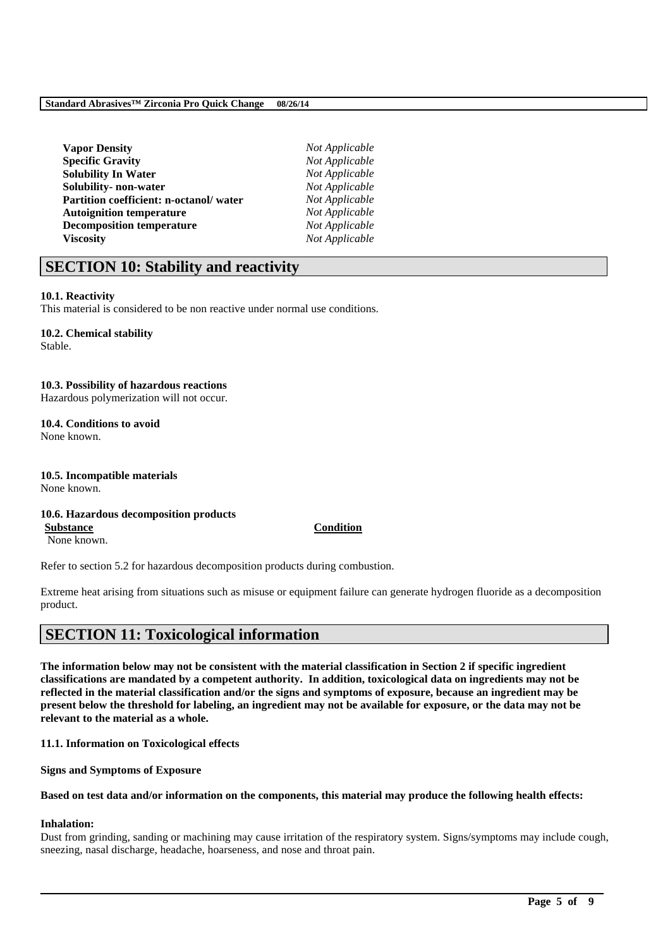| <b>Vapor Density</b>                   |  |
|----------------------------------------|--|
| <b>Specific Gravity</b>                |  |
| <b>Solubility In Water</b>             |  |
| Solubility- non-water                  |  |
| Partition coefficient: n-octanol/water |  |
| <b>Autoignition temperature</b>        |  |
| <b>Decomposition temperature</b>       |  |
| <b>Viscosity</b>                       |  |

 $Not Appliedble$ **Specific Gravity** *Not Applicable*  $Not Appliedble$  $Not Apolicable$  $Not Applicable$ **Not Applicable**  $Not Applicable$ **Viscosity** *Not Applicable*

## **SECTION 10: Stability and reactivity**

#### **10.1. Reactivity**

This material is considered to be non reactive under normal use conditions.

## **10.2. Chemical stability**

Stable.

#### **10.3. Possibility of hazardous reactions**

Hazardous polymerization will not occur.

## **10.4. Conditions to avoid**

None known.

**10.5. Incompatible materials** None known.

#### **10.6. Hazardous decomposition products**

**Substance Condition** None known.

Refer to section 5.2 for hazardous decomposition products during combustion.

Extreme heat arising from situations such as misuse or equipment failure can generate hydrogen fluoride as a decomposition product.

## **SECTION 11: Toxicological information**

**The information below may not be consistent with the material classification in Section 2 if specific ingredient classifications are mandated by a competent authority. In addition, toxicological data on ingredients may not be reflected in the material classification and/or the signs and symptoms of exposure, because an ingredient may be present below the threshold for labeling, an ingredient may not be available for exposure, or the data may not be relevant to the material as a whole.**

**11.1. Information on Toxicological effects**

**Signs and Symptoms of Exposure**

#### **Based on test data and/or information on the components, this material may produce the following health effects:**

### **Inhalation:**

Dust from grinding, sanding or machining may cause irritation of the respiratory system. Signs/symptoms may include cough, sneezing, nasal discharge, headache, hoarseness, and nose and throat pain.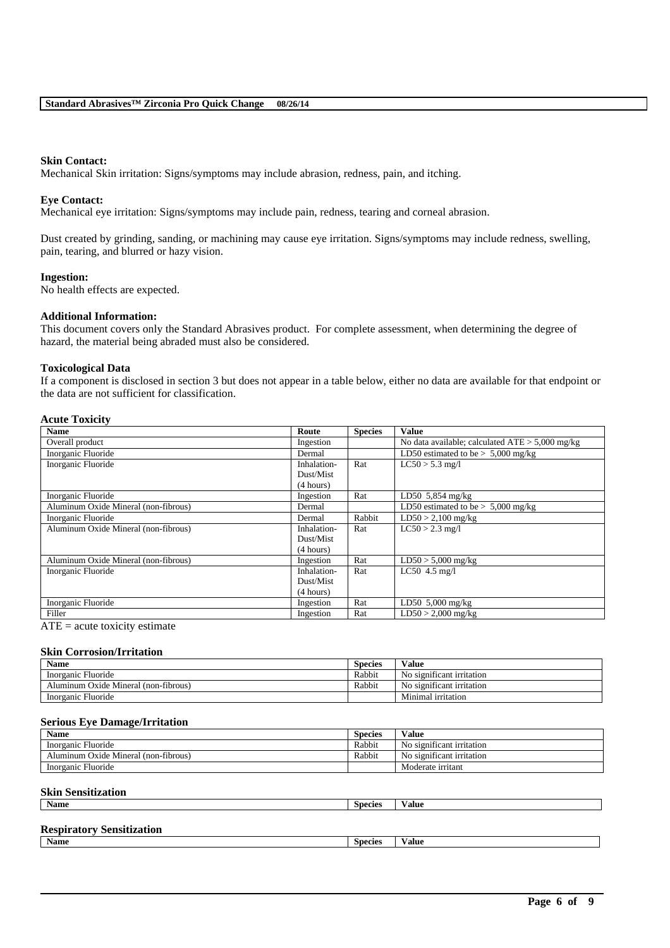#### **Skin Contact:**

Mechanical Skin irritation: Signs/symptoms may include abrasion, redness, pain, and itching.

#### **Eye Contact:**

Mechanical eye irritation: Signs/symptoms may include pain, redness, tearing and corneal abrasion.

Dust created by grinding, sanding, or machining may cause eye irritation. Signs/symptoms may include redness, swelling, pain, tearing, and blurred or hazy vision.

#### **Ingestion:**

No health effects are expected.

#### **Additional Information:**

This document covers only the Standard Abrasives product. For complete assessment, when determining the degree of hazard, the material being abraded must also be considered.

#### **Toxicological Data**

If a component is disclosed in section 3 but does not appear in a table below, either no data are available for that endpoint or the data are not sufficient for classification.

#### **Acute Toxicity**

| <b>Name</b>                          | Route       | <b>Species</b> | <b>Value</b>                                      |
|--------------------------------------|-------------|----------------|---------------------------------------------------|
| Overall product                      | Ingestion   |                | No data available; calculated $ATE > 5,000$ mg/kg |
| Inorganic Fluoride                   | Dermal      |                | LD50 estimated to be $> 5,000$ mg/kg              |
| Inorganic Fluoride                   | Inhalation- | Rat            | $LC50 > 5.3$ mg/l                                 |
|                                      | Dust/Mist   |                |                                                   |
|                                      | (4 hours)   |                |                                                   |
| Inorganic Fluoride                   | Ingestion   | Rat            | $LD50$ 5,854 mg/kg                                |
| Aluminum Oxide Mineral (non-fibrous) | Dermal      |                | LD50 estimated to be $> 5,000$ mg/kg              |
| Inorganic Fluoride                   | Dermal      | Rabbit         | $LD50 > 2,100$ mg/kg                              |
| Aluminum Oxide Mineral (non-fibrous) | Inhalation- | Rat            | $LC50 > 2.3$ mg/l                                 |
|                                      | Dust/Mist   |                |                                                   |
|                                      | (4 hours)   |                |                                                   |
| Aluminum Oxide Mineral (non-fibrous) | Ingestion   | Rat            | $LD50 > 5,000$ mg/kg                              |
| Inorganic Fluoride                   | Inhalation- | Rat            | $LC50$ 4.5 mg/l                                   |
|                                      | Dust/Mist   |                |                                                   |
|                                      | (4 hours)   |                |                                                   |
| Inorganic Fluoride                   | Ingestion   | Rat            | LD50 $5,000$ mg/kg                                |
| Filler                               | Ingestion   | Rat            | $LD50 > 2,000$ mg/kg                              |

 $ATE = acute$  toxicity estimate

#### **Skin Corrosion/Irritation**

| Name                                 | Species | Value                     |
|--------------------------------------|---------|---------------------------|
| Inorganic Fluoride                   | Rabbit  | No significant irritation |
| Aluminum Oxide Mineral (non-fibrous) | Rabbit  | No significant irritation |
| Inorganic Fluoride                   |         | Minimal irritation        |

#### **Serious Eye Damage/Irritation**

| <b>Name</b>                          | Species | Value                     |
|--------------------------------------|---------|---------------------------|
| Inorganic Fluoride                   | Rabbit  | No significant irritation |
| Aluminum Oxide Mineral (non-fibrous) | Rabbit  | No significant irritation |
| Inorganic Fluoride                   |         | Moderate irritant         |

#### **Skin Sensitization**

| <b>Name</b> | <b>COL</b><br>Species | /alue |
|-------------|-----------------------|-------|
|             |                       |       |

\_\_\_\_\_\_\_\_\_\_\_\_\_\_\_\_\_\_\_\_\_\_\_\_\_\_\_\_\_\_\_\_\_\_\_\_\_\_\_\_\_\_\_\_\_\_\_\_\_\_\_\_\_\_\_\_\_\_\_\_\_\_\_\_\_\_\_\_\_\_\_\_\_\_\_\_\_\_\_\_\_\_\_\_\_\_\_\_\_\_

#### **Respiratory Sensitization**

**Name Species Value**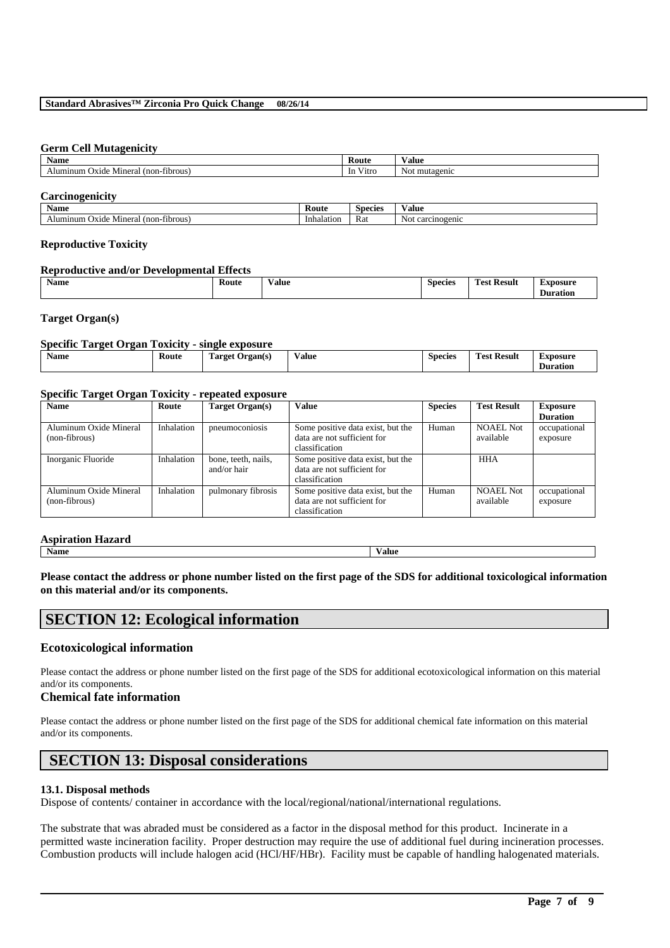#### **Standard Abrasives™ Zirconia Pro Quick Change 08/26/14**

#### **Germ Cell Mutagenicity**

| <b>BY</b><br>Name                            | Route                                        | Value            |
|----------------------------------------------|----------------------------------------------|------------------|
| $non-throws$<br>Oxide<br>Mineral<br>Alumınum | $-1$<br>V <sub>1</sub> trc<br><sub>1</sub> n | mutagenic<br>Not |

#### **Carcinogenicity**

| - -<br>Name                                     | Koute      | Species | / alue               |
|-------------------------------------------------|------------|---------|----------------------|
| minum<br>'non-<br>-fibrous'<br>Oxide<br>Mineral | Inhalation | Rat     | carcinogenic<br>NOL. |

#### **Reproductive Toxicity**

#### **Reproductive and/or Developmental Effects**

| Name<br>--<br>–<br>-<br>Route<br>i'net.<br><b>Result</b><br>species<br>⁄ alue<br>×DOSU.<br>.<br>.<br>.<br>. |  |  |  |  |  |  |  |  |
|-------------------------------------------------------------------------------------------------------------|--|--|--|--|--|--|--|--|
|-------------------------------------------------------------------------------------------------------------|--|--|--|--|--|--|--|--|

#### **Target Organ(s)**

#### **Specific Target Organ Toxicity - single exposure**

| -<br>Koute<br><b>Target</b><br>rgan(s) | Value<br>. | <b>Species</b> | <b>CONTRACTOR</b><br>$\overline{\phantom{a}}$<br>Result<br>est | Exposure<br>Duration |
|----------------------------------------|------------|----------------|----------------------------------------------------------------|----------------------|
|----------------------------------------|------------|----------------|----------------------------------------------------------------|----------------------|

#### **Specific Target Organ Toxicity - repeated exposure**

| <b>Name</b>                             | Route      | Target Organ(s)                    | Value                                                                              | <b>Species</b> | <b>Test Result</b>            | <b>Exposure</b><br><b>Duration</b> |
|-----------------------------------------|------------|------------------------------------|------------------------------------------------------------------------------------|----------------|-------------------------------|------------------------------------|
| Aluminum Oxide Mineral<br>(non-fibrous) | Inhalation | pneumoconiosis                     | Some positive data exist, but the<br>data are not sufficient for<br>classification | Human          | <b>NOAEL Not</b><br>available | occupational<br>exposure           |
| Inorganic Fluoride                      | Inhalation | bone, teeth, nails,<br>and/or hair | Some positive data exist, but the<br>data are not sufficient for<br>classification |                | <b>HHA</b>                    |                                    |
| Aluminum Oxide Mineral<br>(non-fibrous) | Inhalation | pulmonary fibrosis                 | Some positive data exist, but the<br>data are not sufficient for<br>classification | Human          | <b>NOAEL Not</b><br>available | occupational<br>exposure           |

# **Aspiration Hazard**

**Name Value**

**Please contact the address or phone number listed on the first page of the SDS for additional toxicological information on this material and/or its components.**

## **SECTION 12: Ecological information**

#### **Ecotoxicological information**

Please contact the address or phone number listed on the first page of the SDS for additional ecotoxicological information on this material and/or its components.

#### **Chemical fate information**

Please contact the address or phone number listed on the first page of the SDS for additional chemical fate information on this material and/or its components.

## **SECTION 13: Disposal considerations**

#### **13.1. Disposal methods**

Dispose of contents/ container in accordance with the local/regional/national/international regulations.

The substrate that was abraded must be considered as a factor in the disposal method for this product. Incinerate in a permitted waste incineration facility. Proper destruction may require the use of additional fuel during incineration processes. Combustion products will include halogen acid (HCl/HF/HBr). Facility must be capable of handling halogenated materials.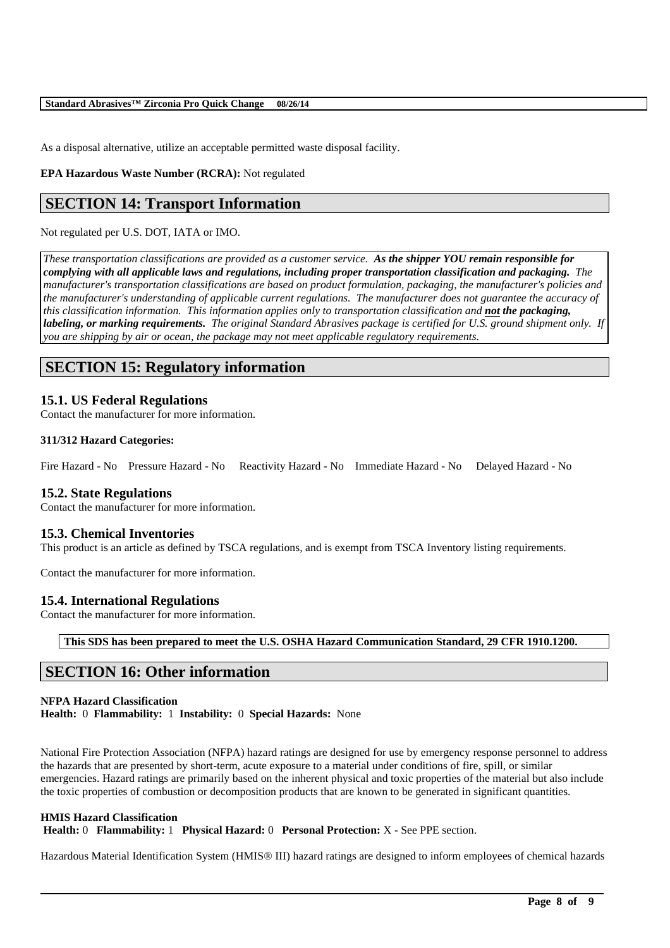As a disposal alternative, utilize an acceptable permitted waste disposal facility.

**EPA Hazardous Waste Number (RCRA):** Not regulated

# **SECTION 14: Transport Information**

#### Not regulated per U.S. DOT, IATA or IMO.

*These transportation classifications are provided as a customer service. As the shipper YOU remain responsible for complying with all applicable laws and regulations, including proper transportation classification and packaging. The manufacturer's transportation classifications are based on product formulation, packaging, the manufacturer's policies and the manufacturer's understanding of applicable current regulations. The manufacturer does not guarantee the accuracy of this classification information. This information applies only to transportation classification and not the packaging, labeling, or marking requirements. The original Standard Abrasives package is certified for U.S. ground shipment only. If you are shipping by air or ocean, the package may not meet applicable regulatory requirements.* 

# **SECTION 15: Regulatory information**

#### **15.1. US Federal Regulations**

Contact the manufacturer for more information.

#### **311/312 Hazard Categories:**

Fire Hazard - No Pressure Hazard - No Reactivity Hazard - No Immediate Hazard - No Delayed Hazard - No

#### **15.2. State Regulations**

Contact the manufacturer for more information.

#### **15.3. Chemical Inventories**

This product is an article as defined by TSCA regulations, and is exempt from TSCA Inventory listing requirements.

Contact the manufacturer for more information.

#### **15.4. International Regulations**

Contact the manufacturer for more information.

**This SDS has been prepared to meet the U.S. OSHA Hazard Communication Standard, 29 CFR 1910.1200.**

# **SECTION 16: Other information**

#### **NFPA Hazard Classification**

**Health:** 0 **Flammability:** 1 **Instability:** 0 **Special Hazards:** None

National Fire Protection Association (NFPA) hazard ratings are designed for use by emergency response personnel to address the hazards that are presented by short-term, acute exposure to a material under conditions of fire, spill, or similar emergencies. Hazard ratings are primarily based on the inherent physical and toxic properties of the material but also include the toxic properties of combustion or decomposition products that are known to be generated in significant quantities.

#### **HMIS Hazard Classification**

**Health:** 0 **Flammability:** 1 **Physical Hazard:** 0 **Personal Protection:** X - See PPE section.

Hazardous Material Identification System (HMIS® III) hazard ratings are designed to inform employees of chemical hazards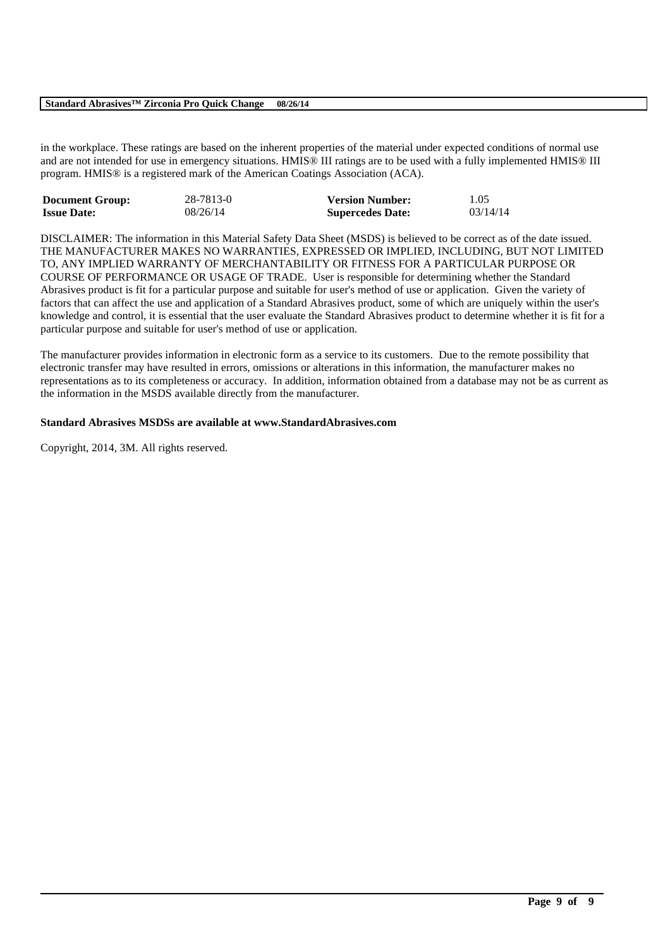#### **Standard Abrasives™ Zirconia Pro Quick Change 08/26/14**

in the workplace. These ratings are based on the inherent properties of the material under expected conditions of normal use and are not intended for use in emergency situations. HMIS® III ratings are to be used with a fully implemented HMIS® III program. HMIS® is a registered mark of the American Coatings Association (ACA).

| <b>Document Group:</b> | 28-7813-0 | <b>Version Number:</b>  | 1.05     |
|------------------------|-----------|-------------------------|----------|
| <b>Issue Date:</b>     | 08/26/14  | <b>Supercedes Date:</b> | 03/14/14 |

DISCLAIMER: The information in this Material Safety Data Sheet (MSDS) is believed to be correct as of the date issued. THE MANUFACTURER MAKES NO WARRANTIES, EXPRESSED OR IMPLIED, INCLUDING, BUT NOT LIMITED TO, ANY IMPLIED WARRANTY OF MERCHANTABILITY OR FITNESS FOR A PARTICULAR PURPOSE OR COURSE OF PERFORMANCE OR USAGE OF TRADE. User is responsible for determining whether the Standard Abrasives product is fit for a particular purpose and suitable for user's method of use or application. Given the variety of factors that can affect the use and application of a Standard Abrasives product, some of which are uniquely within the user's knowledge and control, it is essential that the user evaluate the Standard Abrasives product to determine whether it is fit for a particular purpose and suitable for user's method of use or application.

The manufacturer provides information in electronic form as a service to its customers. Due to the remote possibility that electronic transfer may have resulted in errors, omissions or alterations in this information, the manufacturer makes no representations as to its completeness or accuracy. In addition, information obtained from a database may not be as current as the information in the MSDS available directly from the manufacturer.

\_\_\_\_\_\_\_\_\_\_\_\_\_\_\_\_\_\_\_\_\_\_\_\_\_\_\_\_\_\_\_\_\_\_\_\_\_\_\_\_\_\_\_\_\_\_\_\_\_\_\_\_\_\_\_\_\_\_\_\_\_\_\_\_\_\_\_\_\_\_\_\_\_\_\_\_\_\_\_\_\_\_\_\_\_\_\_\_\_\_

#### **Standard Abrasives MSDSs are available at www.StandardAbrasives.com**

Copyright, 2014, 3M. All rights reserved.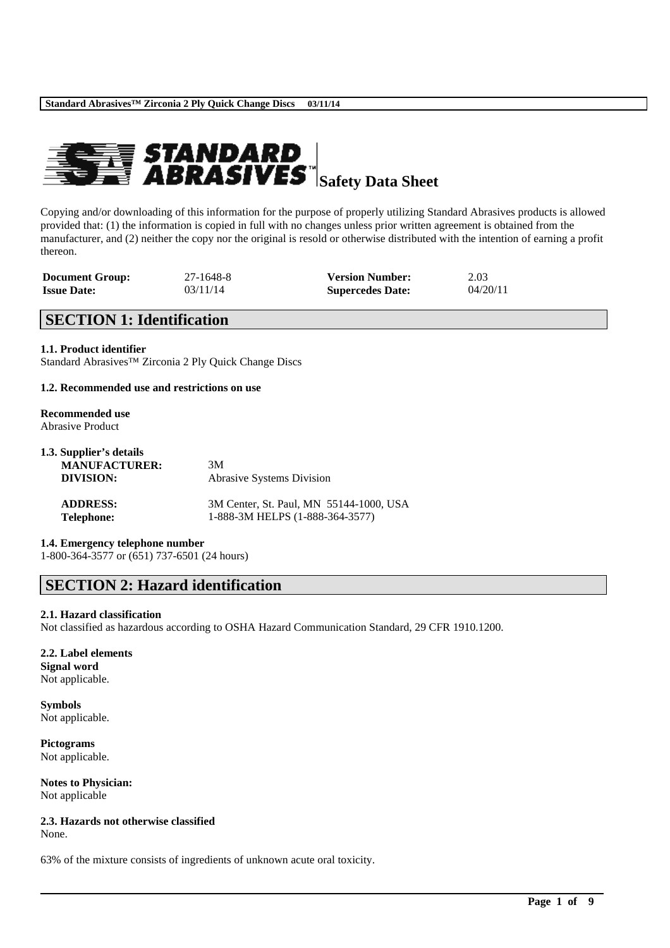

Copying and/or downloading of this information for the purpose of properly utilizing Standard Abrasives products is allowed provided that: (1) the information is copied in full with no changes unless prior written agreement is obtained from the manufacturer, and (2) neither the copy nor the original is resold or otherwise distributed with the intention of earning a profit thereon.

| <b>Document Group:</b> | 27-1648-8 | <b>Version Number:</b>  | 2.03     |
|------------------------|-----------|-------------------------|----------|
| <b>Issue Date:</b>     | 03/11/14  | <b>Supercedes Date:</b> | 04/20/11 |

# **SECTION 1: Identification**

**1.1. Product identifier** Standard Abrasives™ Zirconia 2 Ply Quick Change Discs

#### **1.2. Recommended use and restrictions on use**

#### **Recommended use** Abrasive Product

| 1.3. Supplier's details<br><b>MANUFACTURER:</b> | 3M                                                                         |
|-------------------------------------------------|----------------------------------------------------------------------------|
| DIVISION:                                       | <b>Abrasive Systems Division</b>                                           |
| <b>ADDRESS:</b><br><b>Telephone:</b>            | 3M Center, St. Paul, MN 55144-1000, USA<br>1-888-3M HELPS (1-888-364-3577) |

**1.4. Emergency telephone number**

1-800-364-3577 or (651) 737-6501 (24 hours)

# **SECTION 2: Hazard identification**

#### **2.1. Hazard classification**

Not classified as hazardous according to OSHA Hazard Communication Standard, 29 CFR 1910.1200.

\_\_\_\_\_\_\_\_\_\_\_\_\_\_\_\_\_\_\_\_\_\_\_\_\_\_\_\_\_\_\_\_\_\_\_\_\_\_\_\_\_\_\_\_\_\_\_\_\_\_\_\_\_\_\_\_\_\_\_\_\_\_\_\_\_\_\_\_\_\_\_\_\_\_\_\_\_\_\_\_\_\_\_\_\_\_\_\_\_\_

# **2.2. Label elements**

**Signal word** Not applicable.

**Symbols** Not applicable.

**Pictograms** Not applicable.

**Notes to Physician:** Not applicable

**2.3. Hazards not otherwise classified** None.

63% of the mixture consists of ingredients of unknown acute oral toxicity.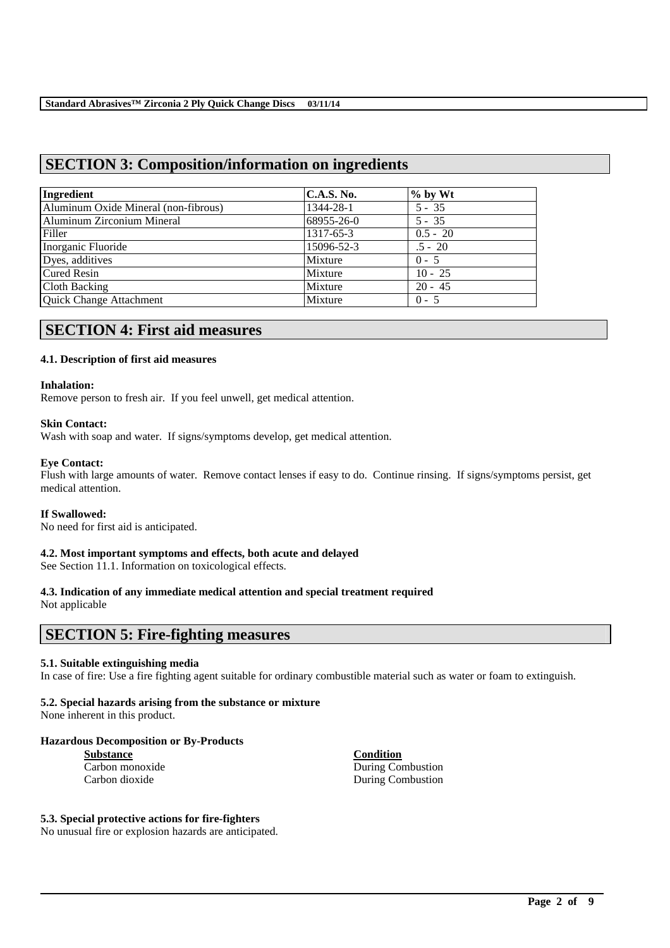# **SECTION 3: Composition/information on ingredients**

| Ingredient                           | <b>C.A.S. No.</b> | $\%$ by Wt |  |
|--------------------------------------|-------------------|------------|--|
| Aluminum Oxide Mineral (non-fibrous) | 1344-28-1         | $5 - 35$   |  |
| Aluminum Zirconium Mineral           | 68955-26-0        | $5 - 35$   |  |
| Filler                               | 1317-65-3         | $0.5 - 20$ |  |
| Inorganic Fluoride                   | 15096-52-3        | $.5 - 20$  |  |
| Dyes, additives                      | Mixture           | $0 - 5$    |  |
| <b>Cured Resin</b>                   | Mixture           | $10 - 25$  |  |
| Cloth Backing                        | Mixture           | $20 - 45$  |  |
| Quick Change Attachment              | Mixture           | $0 - 5$    |  |

# **SECTION 4: First aid measures**

#### **4.1. Description of first aid measures**

#### **Inhalation:**

Remove person to fresh air. If you feel unwell, get medical attention.

#### **Skin Contact:**

Wash with soap and water. If signs/symptoms develop, get medical attention.

#### **Eye Contact:**

Flush with large amounts of water. Remove contact lenses if easy to do. Continue rinsing. If signs/symptoms persist, get medical attention.

#### **If Swallowed:**

No need for first aid is anticipated.

#### **4.2. Most important symptoms and effects, both acute and delayed**

See Section 11.1. Information on toxicological effects.

#### **4.3. Indication of any immediate medical attention and special treatment required**

Not applicable

# **SECTION 5: Fire-fighting measures**

#### **5.1. Suitable extinguishing media**

In case of fire: Use a fire fighting agent suitable for ordinary combustible material such as water or foam to extinguish.

\_\_\_\_\_\_\_\_\_\_\_\_\_\_\_\_\_\_\_\_\_\_\_\_\_\_\_\_\_\_\_\_\_\_\_\_\_\_\_\_\_\_\_\_\_\_\_\_\_\_\_\_\_\_\_\_\_\_\_\_\_\_\_\_\_\_\_\_\_\_\_\_\_\_\_\_\_\_\_\_\_\_\_\_\_\_\_\_\_\_

#### **5.2. Special hazards arising from the substance or mixture**

None inherent in this product.

#### **Hazardous Decomposition or By-Products**

| <b>Substance</b> |
|------------------|
| Carbon monoxide  |
| Carbon dioxide   |

**Condition** During Combustion During Combustion

#### **5.3. Special protective actions for fire-fighters**

No unusual fire or explosion hazards are anticipated.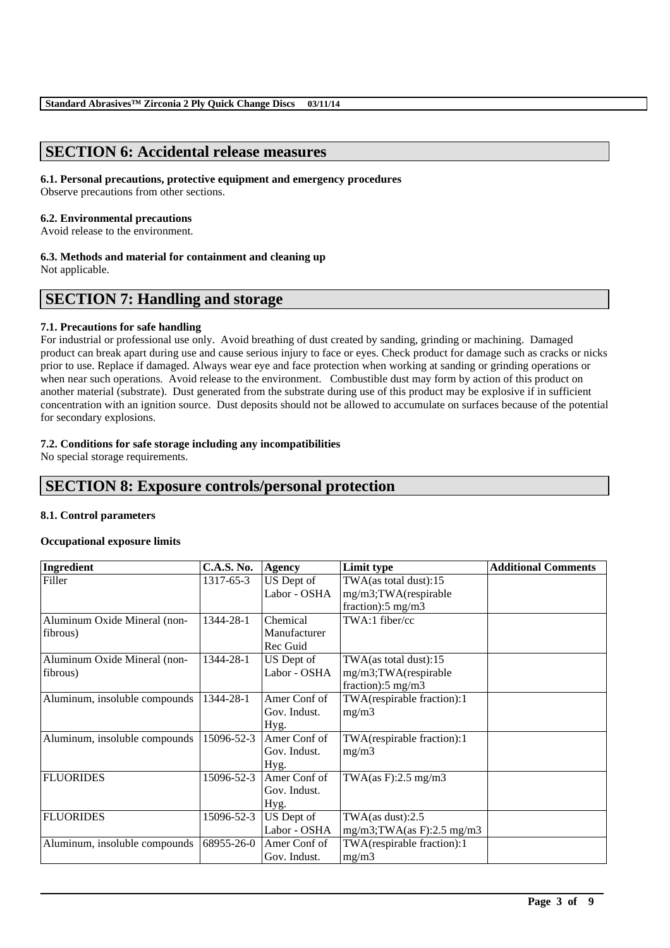# **SECTION 6: Accidental release measures**

#### **6.1. Personal precautions, protective equipment and emergency procedures**

Observe precautions from other sections.

#### **6.2. Environmental precautions**

Avoid release to the environment.

#### **6.3. Methods and material for containment and cleaning up**

Not applicable.

# **SECTION 7: Handling and storage**

#### **7.1. Precautions for safe handling**

For industrial or professional use only. Avoid breathing of dust created by sanding, grinding or machining. Damaged product can break apart during use and cause serious injury to face or eyes. Check product for damage such as cracks or nicks prior to use. Replace if damaged. Always wear eye and face protection when working at sanding or grinding operations or when near such operations. Avoid release to the environment. Combustible dust may form by action of this product on another material (substrate). Dust generated from the substrate during use of this product may be explosive if in sufficient concentration with an ignition source. Dust deposits should not be allowed to accumulate on surfaces because of the potential for secondary explosions.

#### **7.2. Conditions for safe storage including any incompatibilities**

No special storage requirements.

# **SECTION 8: Exposure controls/personal protection**

#### **8.1. Control parameters**

#### **Occupational exposure limits**

| Ingredient                    | <b>C.A.S. No.</b> | <b>Agency</b> | Limit type                     | <b>Additional Comments</b> |
|-------------------------------|-------------------|---------------|--------------------------------|----------------------------|
| Filler                        | 1317-65-3         | US Dept of    | TWA(as total dust):15          |                            |
|                               |                   | Labor - OSHA  | mg/m3;TWA(respirable           |                            |
|                               |                   |               | fraction): $5 \text{ mg/m}$ 3  |                            |
| Aluminum Oxide Mineral (non-  | 1344-28-1         | Chemical      | TWA:1 fiber/cc                 |                            |
| fibrous)                      |                   | Manufacturer  |                                |                            |
|                               |                   | Rec Guid      |                                |                            |
| Aluminum Oxide Mineral (non-  | 1344-28-1         | US Dept of    | TWA(as total dust):15          |                            |
| fibrous)                      |                   | Labor - OSHA  | mg/m3;TWA(respirable           |                            |
|                               |                   |               | fraction): $5 \text{ mg/m}$ 3  |                            |
| Aluminum, insoluble compounds | 1344-28-1         | Amer Conf of  | TWA(respirable fraction):1     |                            |
|                               |                   | Gov. Indust.  | mg/m3                          |                            |
|                               |                   | Hyg.          |                                |                            |
| Aluminum, insoluble compounds | 15096-52-3        | Amer Conf of  | TWA(respirable fraction):1     |                            |
|                               |                   | Gov. Indust.  | mg/m3                          |                            |
|                               |                   | Hyg.          |                                |                            |
| <b>FLUORIDES</b>              | 15096-52-3        | Amer Conf of  | TWA(as F):2.5 mg/m3            |                            |
|                               |                   | Gov. Indust.  |                                |                            |
|                               |                   | Hyg.          |                                |                            |
| <b>FLUORIDES</b>              | 15096-52-3        | US Dept of    | TWA $(as dust):2.5$            |                            |
|                               |                   | Labor - OSHA  | $mg/m3$ ; TWA(as F): 2.5 mg/m3 |                            |
| Aluminum, insoluble compounds | 68955-26-0        | Amer Conf of  | TWA(respirable fraction):1     |                            |
|                               |                   | Gov. Indust.  | mg/m3                          |                            |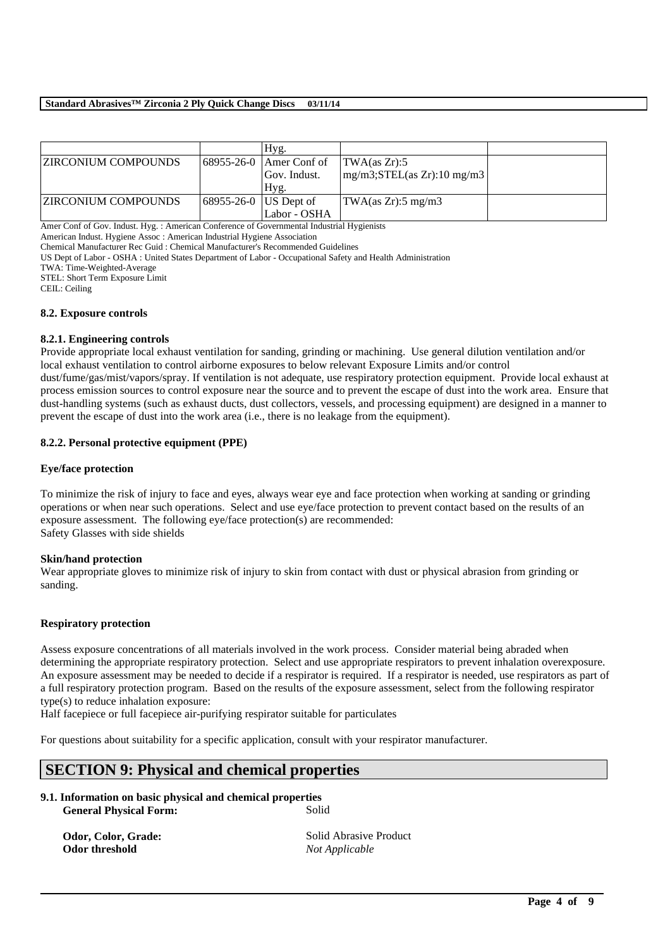#### **Standard Abrasives™ Zirconia 2 Ply Quick Change Discs 03/11/14**

|                            |                         | Hyg.                                         |                                             |  |
|----------------------------|-------------------------|----------------------------------------------|---------------------------------------------|--|
| <b>ZIRCONIUM COMPOUNDS</b> |                         | $\left  68955 - 26 - 0 \right $ Amer Conf of | TWA(as Zr):5                                |  |
|                            |                         | Gov. Indust.                                 | $mg/m3$ ; STEL(as Zr): 10 mg/m3             |  |
|                            |                         | Hyg.                                         |                                             |  |
| <b>ZIRCONIUM COMPOUNDS</b> | 68955-26-0   US Dept of |                                              | $\text{TWA}(as Zr): 5 \text{ mg}/\text{m}3$ |  |
|                            |                         | Labor - OSHA                                 |                                             |  |

Amer Conf of Gov. Indust. Hyg. : American Conference of Governmental Industrial Hygienists

American Indust. Hygiene Assoc : American Industrial Hygiene Association

Chemical Manufacturer Rec Guid : Chemical Manufacturer's Recommended Guidelines

US Dept of Labor - OSHA : United States Department of Labor - Occupational Safety and Health Administration

TWA: Time-Weighted-Average

STEL: Short Term Exposure Limit

CEIL: Ceiling

#### **8.2. Exposure controls**

#### **8.2.1. Engineering controls**

Provide appropriate local exhaust ventilation for sanding, grinding or machining. Use general dilution ventilation and/or local exhaust ventilation to control airborne exposures to below relevant Exposure Limits and/or control

dust/fume/gas/mist/vapors/spray. If ventilation is not adequate, use respiratory protection equipment. Provide local exhaust at process emission sources to control exposure near the source and to prevent the escape of dust into the work area. Ensure that dust-handling systems (such as exhaust ducts, dust collectors, vessels, and processing equipment) are designed in a manner to prevent the escape of dust into the work area (i.e., there is no leakage from the equipment).

#### **8.2.2. Personal protective equipment (PPE)**

#### **Eye/face protection**

To minimize the risk of injury to face and eyes, always wear eye and face protection when working at sanding or grinding operations or when near such operations. Select and use eye/face protection to prevent contact based on the results of an exposure assessment. The following eye/face protection(s) are recommended: Safety Glasses with side shields

#### **Skin/hand protection**

Wear appropriate gloves to minimize risk of injury to skin from contact with dust or physical abrasion from grinding or sanding.

#### **Respiratory protection**

Assess exposure concentrations of all materials involved in the work process. Consider material being abraded when determining the appropriate respiratory protection. Select and use appropriate respirators to prevent inhalation overexposure. An exposure assessment may be needed to decide if a respirator is required. If a respirator is needed, use respirators as part of a full respiratory protection program. Based on the results of the exposure assessment, select from the following respirator type(s) to reduce inhalation exposure:

\_\_\_\_\_\_\_\_\_\_\_\_\_\_\_\_\_\_\_\_\_\_\_\_\_\_\_\_\_\_\_\_\_\_\_\_\_\_\_\_\_\_\_\_\_\_\_\_\_\_\_\_\_\_\_\_\_\_\_\_\_\_\_\_\_\_\_\_\_\_\_\_\_\_\_\_\_\_\_\_\_\_\_\_\_\_\_\_\_\_

Half facepiece or full facepiece air-purifying respirator suitable for particulates

For questions about suitability for a specific application, consult with your respirator manufacturer.

# **SECTION 9: Physical and chemical properties**

| 9.1. Information on basic physical and chemical properties |       |
|------------------------------------------------------------|-------|
| <b>General Physical Form:</b>                              | Solid |

**Odor threshold** *Not Applicable*

**Odor, Color, Grade:** Solid Abrasive Product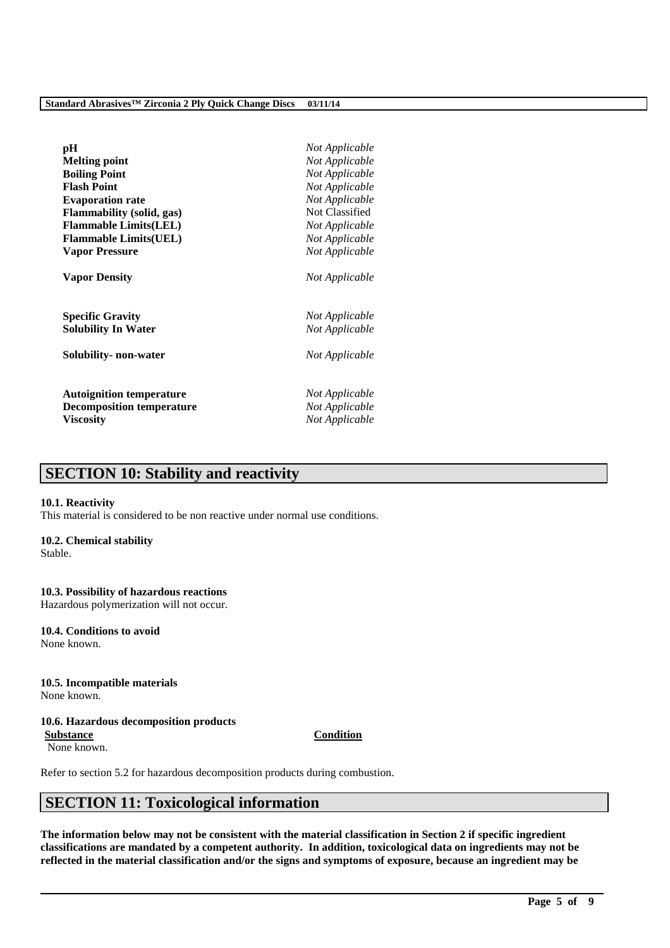| pH<br><b>Melting point</b><br><b>Boiling Point</b><br><b>Flash Point</b><br><b>Evaporation rate</b> | Not Applicable<br>Not Applicable<br>Not Applicable<br>Not Applicable<br>Not Applicable |
|-----------------------------------------------------------------------------------------------------|----------------------------------------------------------------------------------------|
| Flammability (solid, gas)                                                                           | Not Classified                                                                         |
| <b>Flammable Limits(LEL)</b>                                                                        | Not Applicable                                                                         |
| <b>Flammable Limits(UEL)</b>                                                                        | Not Applicable                                                                         |
| <b>Vapor Pressure</b>                                                                               | Not Applicable                                                                         |
| <b>Vapor Density</b>                                                                                | Not Applicable                                                                         |
| <b>Specific Gravity</b>                                                                             | Not Applicable                                                                         |
| <b>Solubility In Water</b>                                                                          | Not Applicable                                                                         |
| Solubility- non-water                                                                               | Not Applicable                                                                         |
| <b>Autoignition temperature</b>                                                                     | Not Applicable                                                                         |
| <b>Decomposition temperature</b>                                                                    | Not Applicable                                                                         |
| <b>Viscosity</b>                                                                                    | Not Applicable                                                                         |

# **SECTION 10: Stability and reactivity**

#### **10.1. Reactivity**

This material is considered to be non reactive under normal use conditions.

#### **10.2. Chemical stability**

Stable.

#### **10.3. Possibility of hazardous reactions**

Hazardous polymerization will not occur.

**10.4. Conditions to avoid** None known.

#### **10.5. Incompatible materials**

None known.

#### **10.6. Hazardous decomposition products**

None known.

Refer to section 5.2 for hazardous decomposition products during combustion.

# **SECTION 11: Toxicological information**

**The information below may not be consistent with the material classification in Section 2 if specific ingredient classifications are mandated by a competent authority. In addition, toxicological data on ingredients may not be reflected in the material classification and/or the signs and symptoms of exposure, because an ingredient may be** 

\_\_\_\_\_\_\_\_\_\_\_\_\_\_\_\_\_\_\_\_\_\_\_\_\_\_\_\_\_\_\_\_\_\_\_\_\_\_\_\_\_\_\_\_\_\_\_\_\_\_\_\_\_\_\_\_\_\_\_\_\_\_\_\_\_\_\_\_\_\_\_\_\_\_\_\_\_\_\_\_\_\_\_\_\_\_\_\_\_\_

**Substance Condition**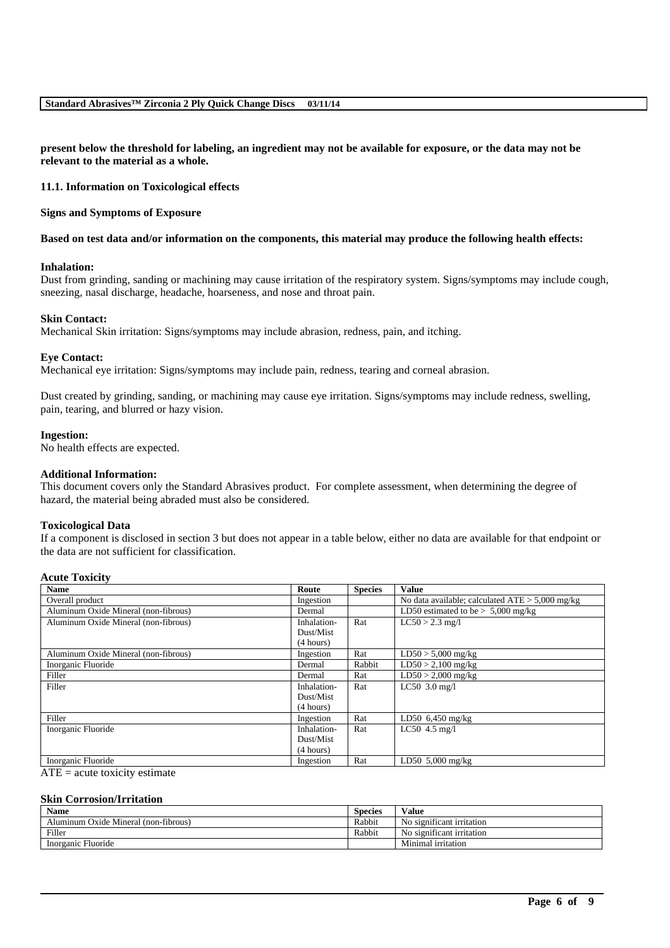**present below the threshold for labeling, an ingredient may not be available for exposure, or the data may not be relevant to the material as a whole.**

**11.1. Information on Toxicological effects**

**Signs and Symptoms of Exposure**

#### **Based on test data and/or information on the components, this material may produce the following health effects:**

#### **Inhalation:**

Dust from grinding, sanding or machining may cause irritation of the respiratory system. Signs/symptoms may include cough, sneezing, nasal discharge, headache, hoarseness, and nose and throat pain.

#### **Skin Contact:**

Mechanical Skin irritation: Signs/symptoms may include abrasion, redness, pain, and itching.

#### **Eye Contact:**

Mechanical eye irritation: Signs/symptoms may include pain, redness, tearing and corneal abrasion.

Dust created by grinding, sanding, or machining may cause eye irritation. Signs/symptoms may include redness, swelling, pain, tearing, and blurred or hazy vision.

#### **Ingestion:**

No health effects are expected.

#### **Additional Information:**

This document covers only the Standard Abrasives product. For complete assessment, when determining the degree of hazard, the material being abraded must also be considered.

#### **Toxicological Data**

If a component is disclosed in section 3 but does not appear in a table below, either no data are available for that endpoint or the data are not sufficient for classification.

#### **Acute Toxicity**

| <b>Name</b>                          | Route       | <b>Species</b> | <b>Value</b>                                      |
|--------------------------------------|-------------|----------------|---------------------------------------------------|
| Overall product                      | Ingestion   |                | No data available; calculated $ATE > 5,000$ mg/kg |
| Aluminum Oxide Mineral (non-fibrous) | Dermal      |                | LD50 estimated to be $> 5,000$ mg/kg              |
| Aluminum Oxide Mineral (non-fibrous) | Inhalation- | Rat            | $LC50 > 2.3$ mg/l                                 |
|                                      | Dust/Mist   |                |                                                   |
|                                      | (4 hours)   |                |                                                   |
| Aluminum Oxide Mineral (non-fibrous) | Ingestion   | Rat            | $LD50 > 5,000$ mg/kg                              |
| Inorganic Fluoride                   | Dermal      | Rabbit         | $LD50 > 2,100$ mg/kg                              |
| Filler                               | Dermal      | Rat            | $LD50 > 2,000$ mg/kg                              |
| Filler                               | Inhalation- | Rat            | $LC50$ 3.0 mg/l                                   |
|                                      | Dust/Mist   |                |                                                   |
|                                      | (4 hours)   |                |                                                   |
| Filler                               | Ingestion   | Rat            | $LD50$ 6,450 mg/kg                                |
| Inorganic Fluoride                   | Inhalation- | Rat            | LC50 $4.5$ mg/l                                   |
|                                      | Dust/Mist   |                |                                                   |
|                                      | (4 hours)   |                |                                                   |
| Inorganic Fluoride                   | Ingestion   | Rat            | LD50 $5,000$ mg/kg                                |
| $\blacksquare$                       |             |                |                                                   |

 $ATE = acute$  toxicity estimate

#### **Skin Corrosion/Irritation**

| <b>Name</b>                          | Species | Value                                |
|--------------------------------------|---------|--------------------------------------|
| Aluminum Oxide Mineral (non-fibrous) | Rabbit  | No significant irritation            |
| Filler                               | Rabbit  | $\cdot$<br>No significant irritation |
| Inorganic Fluoride                   |         | Minimal irritation                   |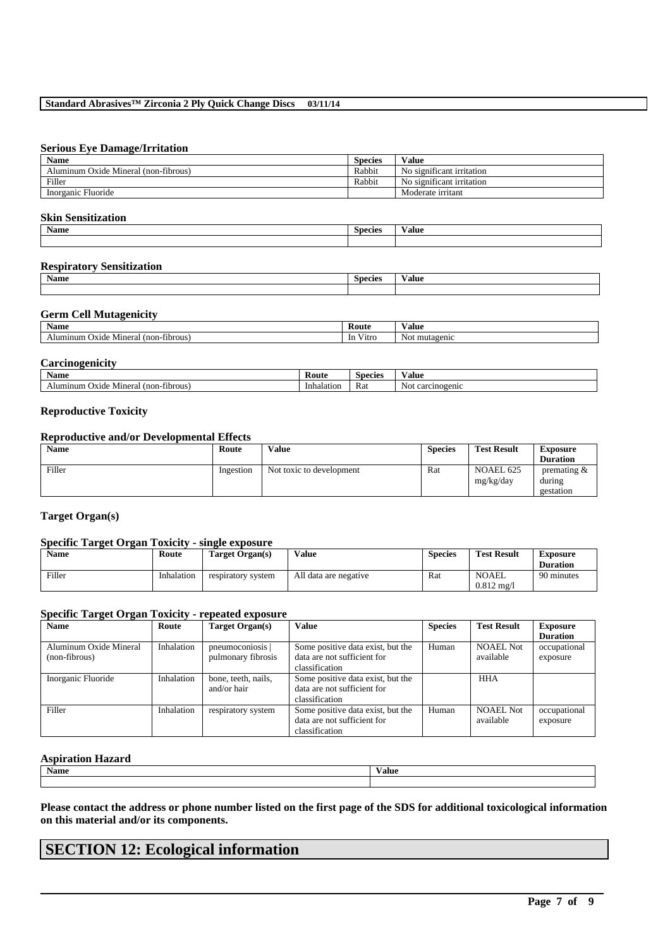#### **Serious Eye Damage/Irritation**

| <b>Name</b>                          | <b>Species</b> | Value                     |
|--------------------------------------|----------------|---------------------------|
| Aluminum Oxide Mineral (non-fibrous) | Rabbit         | No significant irritation |
| Filler                               | Rabbit         | No significant irritation |
| Inorganic Fluoride                   |                | Moderate irritant         |

#### **Skin Sensitization**

| Name | <b>CONTRACTOR</b><br><b>Species</b> | $- -$<br>Value |
|------|-------------------------------------|----------------|
|      |                                     |                |

#### **Respiratory Sensitization**

| <b>Name</b> | $\sim$<br><b>Species</b> | $ -$<br>∀alue |
|-------------|--------------------------|---------------|
|             |                          |               |

#### **Germ Cell Mutagenicity**

| <b>Name</b>                                      | Route                  | $ -$<br>⁄ alue    |
|--------------------------------------------------|------------------------|-------------------|
| fibrous<br>'non-<br>Mineral<br>Alumınum<br>Oxide | $- - -$<br>Vitrc<br>1n | mutagenic<br>-Not |

#### **Carcinogenicity**

| Name                                                  | Koute      | Species | Value               |
|-------------------------------------------------------|------------|---------|---------------------|
| -fibrous'<br>Alumınum<br>. (non-f<br>Oxide<br>Mineral | Inhalation | Rat     | No.<br>carcinogenic |

#### **Reproductive Toxicity**

## **Reproductive and/or Developmental Effects**

| <b>Name</b> | Route     | <b>Value</b>             | <b>Species</b> | <b>Test Result</b>     | Exposure                              |
|-------------|-----------|--------------------------|----------------|------------------------|---------------------------------------|
|             |           |                          |                |                        | <b>Duration</b>                       |
| Filler      | Ingestion | Not toxic to development | Rat            | NOAEL 625<br>mg/kg/day | premating $\&$<br>during<br>gestation |

#### **Target Organ(s)**

#### **Specific Target Organ Toxicity - single exposure**

| <b>Name</b> | Route      | Target Organ(s)    | Value                 | <b>Species</b> | <b>Test Result</b>            | Exposure<br><b>Duration</b> |
|-------------|------------|--------------------|-----------------------|----------------|-------------------------------|-----------------------------|
| Filler      | Inhalation | respiratory system | All data are negative | Rat            | NOAEL<br>$0.812 \text{ mg}/1$ | 90 minutes                  |

#### **Specific Target Organ Toxicity - repeated exposure**

| <b>Name</b>            | Route      | Target Organ(s)     | Value                             | <b>Species</b> | <b>Test Result</b> | <b>Exposure</b> |
|------------------------|------------|---------------------|-----------------------------------|----------------|--------------------|-----------------|
|                        |            |                     |                                   |                |                    | <b>Duration</b> |
| Aluminum Oxide Mineral | Inhalation | pneumoconiosis      | Some positive data exist, but the | Human          | <b>NOAEL Not</b>   | occupational    |
| (non-fibrous)          |            | pulmonary fibrosis  | data are not sufficient for       |                | available          | exposure        |
|                        |            |                     | classification                    |                |                    |                 |
| Inorganic Fluoride     | Inhalation | bone, teeth, nails, | Some positive data exist, but the |                | <b>HHA</b>         |                 |
|                        |            | and/or hair         | data are not sufficient for       |                |                    |                 |
|                        |            |                     | classification                    |                |                    |                 |
| Filler                 | Inhalation | respiratory system  | Some positive data exist, but the | Human          | <b>NOAEL Not</b>   | occupational    |
|                        |            |                     | data are not sufficient for       |                | available          | exposure        |
|                        |            |                     | classification                    |                |                    |                 |

#### **Aspiration Hazard**

| <b>Name</b> | $ -$<br>Value |
|-------------|---------------|
|             |               |

**Please contact the address or phone number listed on the first page of the SDS for additional toxicological information on this material and/or its components.**

\_\_\_\_\_\_\_\_\_\_\_\_\_\_\_\_\_\_\_\_\_\_\_\_\_\_\_\_\_\_\_\_\_\_\_\_\_\_\_\_\_\_\_\_\_\_\_\_\_\_\_\_\_\_\_\_\_\_\_\_\_\_\_\_\_\_\_\_\_\_\_\_\_\_\_\_\_\_\_\_\_\_\_\_\_\_\_\_\_\_

# **SECTION 12: Ecological information**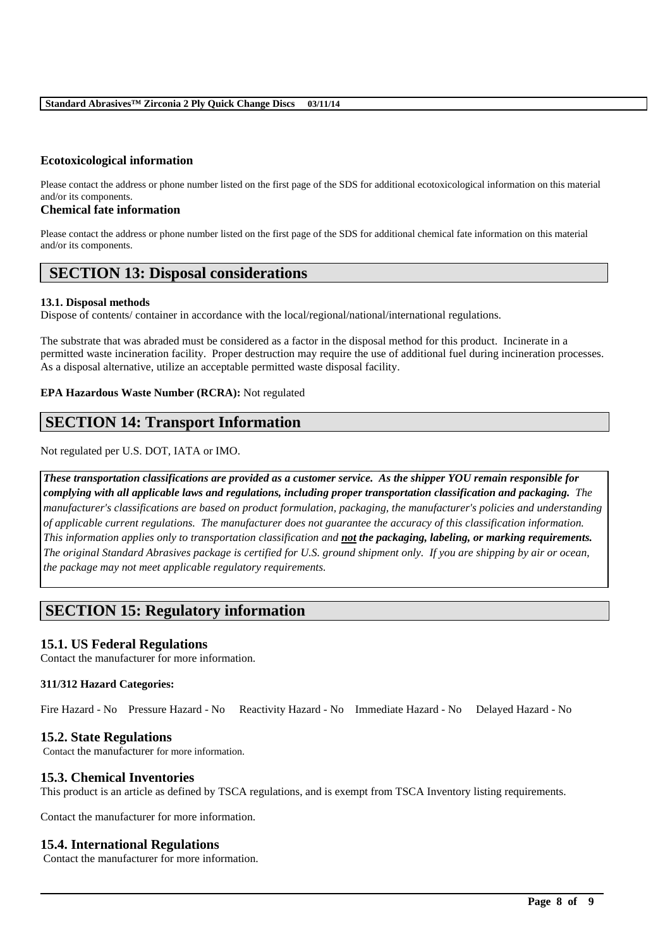#### **Ecotoxicological information**

Please contact the address or phone number listed on the first page of the SDS for additional ecotoxicological information on this material and/or its components.

### **Chemical fate information**

Please contact the address or phone number listed on the first page of the SDS for additional chemical fate information on this material and/or its components.

# **SECTION 13: Disposal considerations**

#### **13.1. Disposal methods**

Dispose of contents/ container in accordance with the local/regional/national/international regulations.

The substrate that was abraded must be considered as a factor in the disposal method for this product. Incinerate in a permitted waste incineration facility. Proper destruction may require the use of additional fuel during incineration processes. As a disposal alternative, utilize an acceptable permitted waste disposal facility.

#### **EPA Hazardous Waste Number (RCRA):** Not regulated

# **SECTION 14: Transport Information**

Not regulated per U.S. DOT, IATA or IMO.

*These transportation classifications are provided as a customer service. As the shipper YOU remain responsible for complying with all applicable laws and regulations, including proper transportation classification and packaging. The manufacturer's classifications are based on product formulation, packaging, the manufacturer's policies and understanding of applicable current regulations. The manufacturer does not guarantee the accuracy of this classification information. This information applies only to transportation classification and not the packaging, labeling, or marking requirements. The original Standard Abrasives package is certified for U.S. ground shipment only. If you are shipping by air or ocean, the package may not meet applicable regulatory requirements.*

# **SECTION 15: Regulatory information**

#### **15.1. US Federal Regulations**

Contact the manufacturer for more information.

#### **311/312 Hazard Categories:**

Fire Hazard - No Pressure Hazard - No Reactivity Hazard - No Immediate Hazard - No Delayed Hazard - No

#### **15.2. State Regulations**

Contact the manufacturer for more information.

#### **15.3. Chemical Inventories**

This product is an article as defined by TSCA regulations, and is exempt from TSCA Inventory listing requirements.

\_\_\_\_\_\_\_\_\_\_\_\_\_\_\_\_\_\_\_\_\_\_\_\_\_\_\_\_\_\_\_\_\_\_\_\_\_\_\_\_\_\_\_\_\_\_\_\_\_\_\_\_\_\_\_\_\_\_\_\_\_\_\_\_\_\_\_\_\_\_\_\_\_\_\_\_\_\_\_\_\_\_\_\_\_\_\_\_\_\_

Contact the manufacturer for more information.

#### **15.4. International Regulations**

Contact the manufacturer for more information.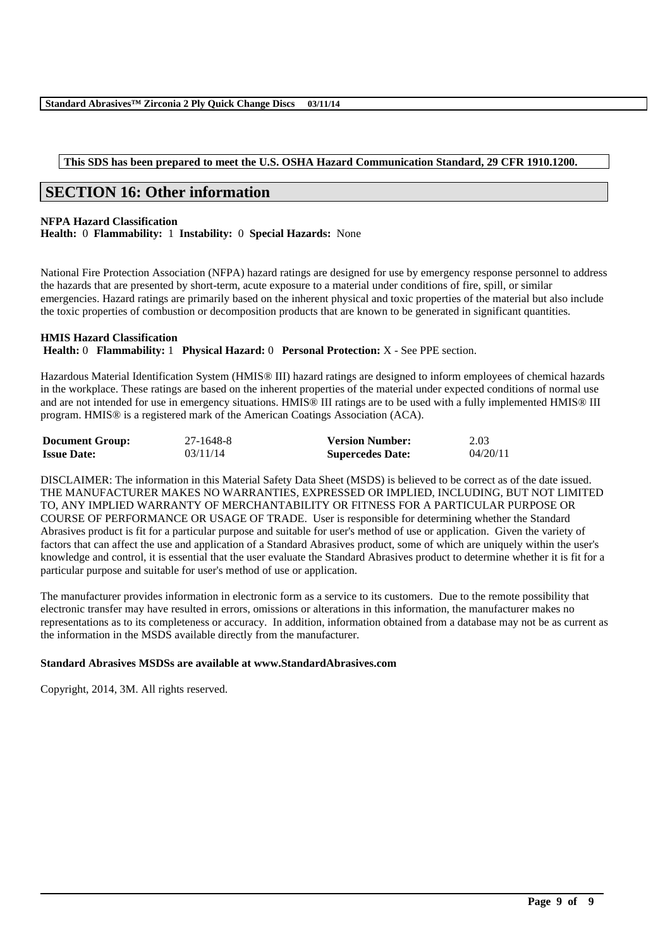#### **This SDS has been prepared to meet the U.S. OSHA Hazard Communication Standard, 29 CFR 1910.1200.**

# **SECTION 16: Other information**

#### **NFPA Hazard Classification**

**Health:** 0 **Flammability:** 1 **Instability:** 0 **Special Hazards:** None

National Fire Protection Association (NFPA) hazard ratings are designed for use by emergency response personnel to address the hazards that are presented by short-term, acute exposure to a material under conditions of fire, spill, or similar emergencies. Hazard ratings are primarily based on the inherent physical and toxic properties of the material but also include the toxic properties of combustion or decomposition products that are known to be generated in significant quantities.

#### **HMIS Hazard Classification Health:** 0 **Flammability:** 1 **Physical Hazard:** 0 **Personal Protection:** X - See PPE section.

Hazardous Material Identification System (HMIS® III) hazard ratings are designed to inform employees of chemical hazards in the workplace. These ratings are based on the inherent properties of the material under expected conditions of normal use and are not intended for use in emergency situations. HMIS® III ratings are to be used with a fully implemented HMIS® III program. HMIS® is a registered mark of the American Coatings Association (ACA).

| <b>Document Group:</b> | 27-1648-8 | <b>Version Number:</b>  | 2.03     |
|------------------------|-----------|-------------------------|----------|
| <b>Issue Date:</b>     | 03/11/14  | <b>Supercedes Date:</b> | 04/20/11 |

DISCLAIMER: The information in this Material Safety Data Sheet (MSDS) is believed to be correct as of the date issued. THE MANUFACTURER MAKES NO WARRANTIES, EXPRESSED OR IMPLIED, INCLUDING, BUT NOT LIMITED TO, ANY IMPLIED WARRANTY OF MERCHANTABILITY OR FITNESS FOR A PARTICULAR PURPOSE OR COURSE OF PERFORMANCE OR USAGE OF TRADE. User is responsible for determining whether the Standard Abrasives product is fit for a particular purpose and suitable for user's method of use or application. Given the variety of factors that can affect the use and application of a Standard Abrasives product, some of which are uniquely within the user's knowledge and control, it is essential that the user evaluate the Standard Abrasives product to determine whether it is fit for a particular purpose and suitable for user's method of use or application.

The manufacturer provides information in electronic form as a service to its customers. Due to the remote possibility that electronic transfer may have resulted in errors, omissions or alterations in this information, the manufacturer makes no representations as to its completeness or accuracy. In addition, information obtained from a database may not be as current as the information in the MSDS available directly from the manufacturer.

\_\_\_\_\_\_\_\_\_\_\_\_\_\_\_\_\_\_\_\_\_\_\_\_\_\_\_\_\_\_\_\_\_\_\_\_\_\_\_\_\_\_\_\_\_\_\_\_\_\_\_\_\_\_\_\_\_\_\_\_\_\_\_\_\_\_\_\_\_\_\_\_\_\_\_\_\_\_\_\_\_\_\_\_\_\_\_\_\_\_

#### **Standard Abrasives MSDSs are available at www.StandardAbrasives.com**

Copyright, 2014, 3M. All rights reserved.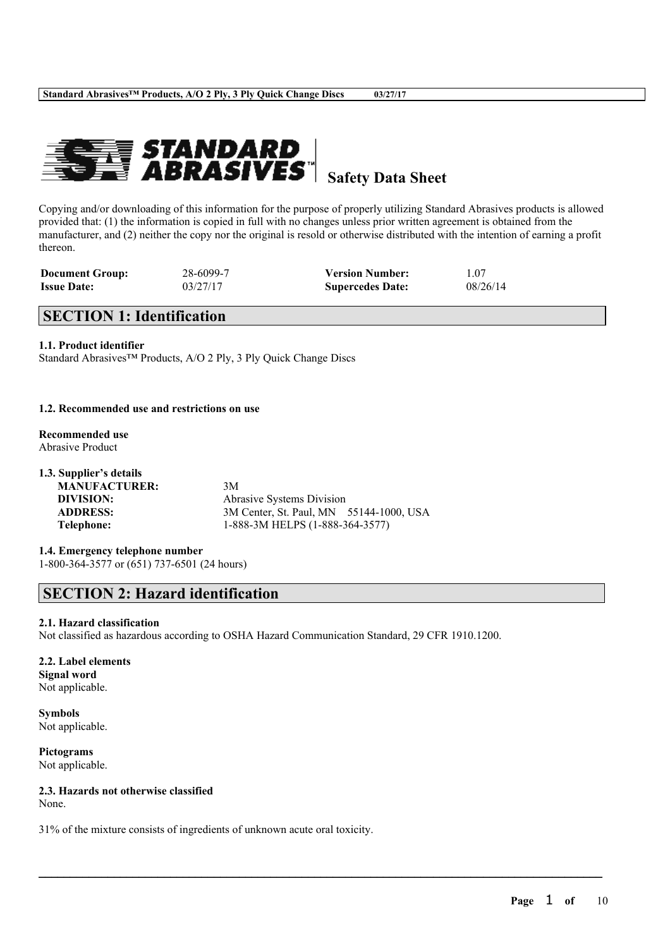

**Safety Data Sheet**

Copying and/or downloading of this information for the purpose of properly utilizing Standard Abrasives products is allowed provided that: (1) the information is copied in full with no changes unless prior written agreement is obtained from the manufacturer, and (2) neither the copy nor the original is resold or otherwise distributed with the intention of earning a profit thereon.

| <b>Document Group:</b> | 28-6099-7 | <b>Version Number:</b>  | 1.07     |
|------------------------|-----------|-------------------------|----------|
| <b>Issue Date:</b>     | 03/27/17  | <b>Supercedes Date:</b> | 08/26/14 |

# **SECTION 1: Identification**

#### **1.1. Product identifier**

Standard Abrasives™ Products, A/O 2 Ply, 3 Ply Quick Change Discs

#### **1.2. Recommended use and restrictions on use**

#### **Recommended use** Abrasive Product

| 1.3. Supplier's details |                                         |
|-------------------------|-----------------------------------------|
| <b>MANUFACTURER:</b>    | 3M                                      |
| DIVISION:               | Abrasive Systems Division               |
| <b>ADDRESS:</b>         | 3M Center, St. Paul, MN 55144-1000, USA |
| Telephone:              | 1-888-3M HELPS (1-888-364-3577)         |
|                         |                                         |

**1.4. Emergency telephone number**

1-800-364-3577 or (651) 737-6501 (24 hours)

# **SECTION 2: Hazard identification**

#### **2.1. Hazard classification**

Not classified as hazardous according to OSHA Hazard Communication Standard, 29 CFR 1910.1200.

 $\mathcal{L}_\mathcal{L} = \mathcal{L}_\mathcal{L} = \mathcal{L}_\mathcal{L} = \mathcal{L}_\mathcal{L} = \mathcal{L}_\mathcal{L} = \mathcal{L}_\mathcal{L} = \mathcal{L}_\mathcal{L} = \mathcal{L}_\mathcal{L} = \mathcal{L}_\mathcal{L} = \mathcal{L}_\mathcal{L} = \mathcal{L}_\mathcal{L} = \mathcal{L}_\mathcal{L} = \mathcal{L}_\mathcal{L} = \mathcal{L}_\mathcal{L} = \mathcal{L}_\mathcal{L} = \mathcal{L}_\mathcal{L} = \mathcal{L}_\mathcal{L}$ 

**2.2. Label elements Signal word** Not applicable.

**Symbols** Not applicable.

**Pictograms** Not applicable.

**2.3. Hazards not otherwise classified** None.

31% of the mixture consists of ingredients of unknown acute oral toxicity.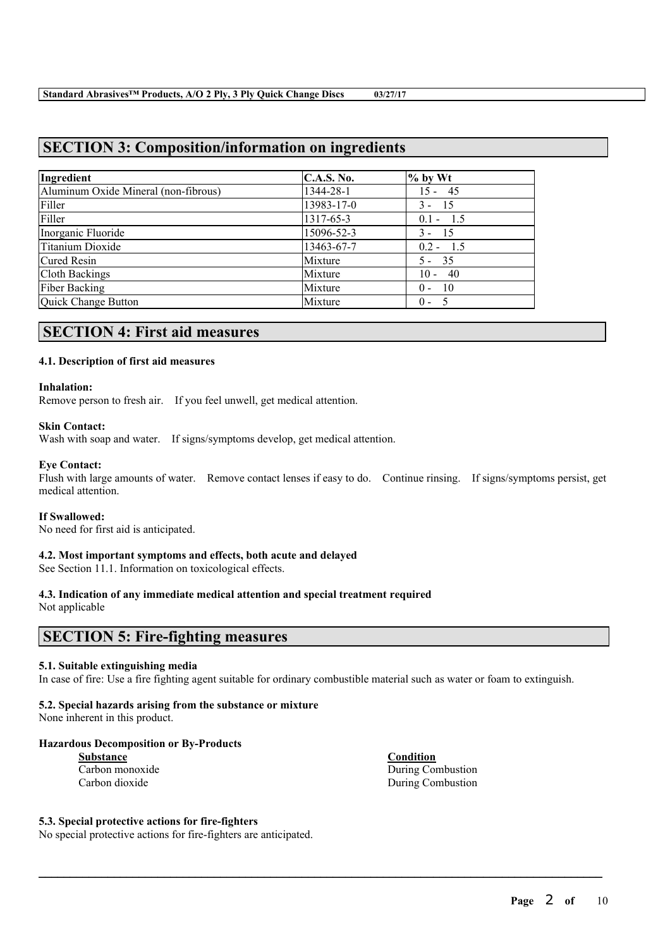# **SECTION 3: Composition/information on ingredients**

| Ingredient                           | <b>C.A.S. No.</b> | $%$ by Wt     |
|--------------------------------------|-------------------|---------------|
| Aluminum Oxide Mineral (non-fibrous) | 1344-28-1         | $15 - 45$     |
| Filler                               | 13983-17-0        | $3 - 15$      |
| Filler                               | 1317-65-3         | $0.1 - 1.5$   |
| Inorganic Fluoride                   | 15096-52-3        | $3 - 15$      |
| Titanium Dioxide                     | 13463-67-7        | $0.2 - 1.5$   |
| Cured Resin                          | Mixture           | $5 - 35$      |
| <b>Cloth Backings</b>                | Mixture           | $10 - 40$     |
| <b>Fiber Backing</b>                 | Mixture           | - 10<br>$0 -$ |
| Quick Change Button                  | Mixture           | $0 - 5$       |

# **SECTION 4: First aid measures**

#### **4.1. Description of first aid measures**

#### **Inhalation:**

Remove person to fresh air. If you feel unwell, get medical attention.

#### **Skin Contact:**

Wash with soap and water. If signs/symptoms develop, get medical attention.

#### **Eye Contact:**

Flush with large amounts of water. Remove contact lenses if easy to do. Continue rinsing. If signs/symptoms persist, get medical attention.

#### **If Swallowed:**

No need for first aid is anticipated.

#### **4.2. Most important symptoms and effects, both acute and delayed**

See Section 11.1. Information on toxicological effects.

#### **4.3. Indication of any immediate medical attention and special treatment required**

Not applicable

# **SECTION 5: Fire-fighting measures**

#### **5.1. Suitable extinguishing media**

In case of fire: Use a fire fighting agent suitable for ordinary combustible material such as water or foam to extinguish.

 $\mathcal{L}_\mathcal{L} = \mathcal{L}_\mathcal{L} = \mathcal{L}_\mathcal{L} = \mathcal{L}_\mathcal{L} = \mathcal{L}_\mathcal{L} = \mathcal{L}_\mathcal{L} = \mathcal{L}_\mathcal{L} = \mathcal{L}_\mathcal{L} = \mathcal{L}_\mathcal{L} = \mathcal{L}_\mathcal{L} = \mathcal{L}_\mathcal{L} = \mathcal{L}_\mathcal{L} = \mathcal{L}_\mathcal{L} = \mathcal{L}_\mathcal{L} = \mathcal{L}_\mathcal{L} = \mathcal{L}_\mathcal{L} = \mathcal{L}_\mathcal{L}$ 

#### **5.2. Special hazards arising from the substance or mixture**

None inherent in this product.

#### **Hazardous Decomposition or By-Products**

| Substance       |  |
|-----------------|--|
| Carbon monoxide |  |
| Carbon dioxide  |  |

**Condition** During Combustion During Combustion

#### **5.3. Special protective actions for fire-fighters**

No special protective actions for fire-fighters are anticipated.

**Page** 2 **of** 10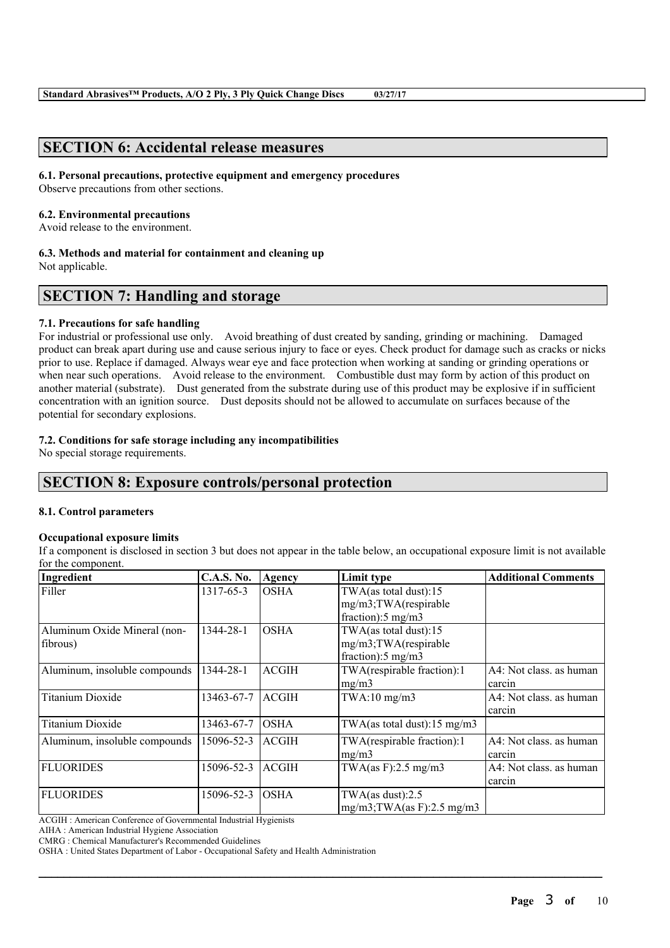# **SECTION 6: Accidental release measures**

#### **6.1. Personal precautions, protective equipment and emergency procedures**

Observe precautions from other sections.

#### **6.2. Environmental precautions**

Avoid release to the environment.

**6.3. Methods and material for containment and cleaning up**

Not applicable.

# **SECTION 7: Handling and storage**

#### **7.1. Precautions for safe handling**

For industrial or professional use only. Avoid breathing of dust created by sanding, grinding or machining. Damaged product can break apart during use and cause serious injury to face or eyes. Check product for damage such as cracks or nicks prior to use. Replace if damaged. Always wear eye and face protection when working at sanding or grinding operations or when near such operations. Avoid release to the environment. Combustible dust may form by action of this product on another material (substrate). Dust generated from the substrate during use of this product may be explosive if in sufficient concentration with an ignition source. Dust deposits should not be allowed to accumulate on surfaces because of the potential for secondary explosions.

#### **7.2. Conditions for safe storage including any incompatibilities**

No special storage requirements.

# **SECTION 8: Exposure controls/personal protection**

#### **8.1. Control parameters**

#### **Occupational exposure limits**

If a component is disclosed in section 3 but does not appear in the table below, an occupational exposure limit is not available for the component.

| Ingredient                    | <b>C.A.S. No.</b> | Agency       | Limit type                     | <b>Additional Comments</b> |
|-------------------------------|-------------------|--------------|--------------------------------|----------------------------|
| Filler                        | 1317-65-3         | <b>OSHA</b>  | TWA(as total dust):15          |                            |
|                               |                   |              | mg/m3;TWA(respirable           |                            |
|                               |                   |              | fraction): $5 \text{ mg/m}$ 3  |                            |
| Aluminum Oxide Mineral (non-  | 1344-28-1         | <b>OSHA</b>  | TWA(as total dust):15          |                            |
| fibrous)                      |                   |              | mg/m3;TWA(respirable           |                            |
|                               |                   |              | fraction): $5 \text{ mg/m}$ 3  |                            |
| Aluminum, insoluble compounds | 1344-28-1         | <b>ACGIH</b> | TWA(respirable fraction):1     | A4: Not class. as human    |
|                               |                   |              | mg/m3                          | carcin                     |
| <b>Titanium Dioxide</b>       | 13463-67-7        | <b>ACGIH</b> | $TWA:10$ mg/m $3$              | A4: Not class, as human    |
|                               |                   |              |                                | carcin                     |
| <b>Titanium Dioxide</b>       | 13463-67-7        | <b>OSHA</b>  | TWA(as total dust):15 mg/m3    |                            |
| Aluminum, insoluble compounds | 15096-52-3        | <b>ACGIH</b> | TWA(respirable fraction):1     | A4: Not class. as human    |
|                               |                   |              | mg/m3                          | carcin                     |
| <b>FLUORIDES</b>              | 15096-52-3        | <b>ACGIH</b> | TWA $(as F): 2.5 mg/m3$        | A4: Not class, as human    |
|                               |                   |              |                                | carcin                     |
| <b>FLUORIDES</b>              | 15096-52-3        | <b>OSHA</b>  | TWA $(as$ dust $):2.5$         |                            |
|                               |                   |              | $mg/m3$ ; TWA(as F): 2.5 mg/m3 |                            |

 $\mathcal{L}_\mathcal{L} = \mathcal{L}_\mathcal{L} = \mathcal{L}_\mathcal{L} = \mathcal{L}_\mathcal{L} = \mathcal{L}_\mathcal{L} = \mathcal{L}_\mathcal{L} = \mathcal{L}_\mathcal{L} = \mathcal{L}_\mathcal{L} = \mathcal{L}_\mathcal{L} = \mathcal{L}_\mathcal{L} = \mathcal{L}_\mathcal{L} = \mathcal{L}_\mathcal{L} = \mathcal{L}_\mathcal{L} = \mathcal{L}_\mathcal{L} = \mathcal{L}_\mathcal{L} = \mathcal{L}_\mathcal{L} = \mathcal{L}_\mathcal{L}$ 

ACGIH : American Conference of Governmental Industrial Hygienists

AIHA : American Industrial Hygiene Association

CMRG : Chemical Manufacturer's Recommended Guidelines

OSHA : United States Department of Labor - Occupational Safety and Health Administration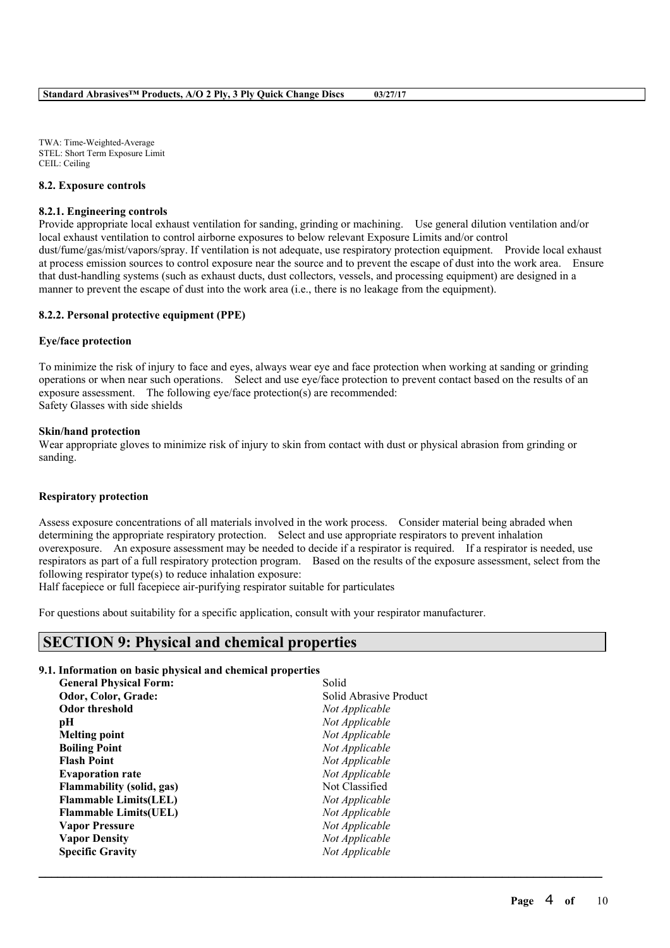TWA: Time-Weighted-Average STEL: Short Term Exposure Limit CEIL: Ceiling

#### **8.2. Exposure controls**

#### **8.2.1. Engineering controls**

Provide appropriate local exhaust ventilation for sanding, grinding or machining. Use general dilution ventilation and/or local exhaust ventilation to control airborne exposures to below relevant Exposure Limits and/or control dust/fume/gas/mist/vapors/spray. If ventilation is not adequate, use respiratory protection equipment. Provide local exhaust at process emission sources to control exposure near the source and to prevent the escape of dust into the work area. Ensure that dust-handling systems (such as exhaust ducts, dust collectors, vessels, and processing equipment) are designed in a manner to prevent the escape of dust into the work area (i.e., there is no leakage from the equipment).

#### **8.2.2. Personal protective equipment (PPE)**

#### **Eye/face protection**

To minimize the risk of injury to face and eyes, always wear eye and face protection when working at sanding or grinding operations or when near such operations. Select and use eye/face protection to prevent contact based on the results of an exposure assessment. The following eye/face protection(s) are recommended: Safety Glasses with side shields

#### **Skin/hand protection**

Wear appropriate gloves to minimize risk of injury to skin from contact with dust or physical abrasion from grinding or sanding.

#### **Respiratory protection**

Assess exposure concentrations of all materials involved in the work process. Consider material being abraded when determining the appropriate respiratory protection. Select and use appropriate respirators to prevent inhalation overexposure. An exposure assessment may be needed to decide if a respirator is required. If a respirator is needed, use respirators as part of a full respiratory protection program. Based on the results of the exposure assessment, select from the following respirator type(s) to reduce inhalation exposure:

 $\mathcal{L}_\mathcal{L} = \mathcal{L}_\mathcal{L} = \mathcal{L}_\mathcal{L} = \mathcal{L}_\mathcal{L} = \mathcal{L}_\mathcal{L} = \mathcal{L}_\mathcal{L} = \mathcal{L}_\mathcal{L} = \mathcal{L}_\mathcal{L} = \mathcal{L}_\mathcal{L} = \mathcal{L}_\mathcal{L} = \mathcal{L}_\mathcal{L} = \mathcal{L}_\mathcal{L} = \mathcal{L}_\mathcal{L} = \mathcal{L}_\mathcal{L} = \mathcal{L}_\mathcal{L} = \mathcal{L}_\mathcal{L} = \mathcal{L}_\mathcal{L}$ 

Half facepiece or full facepiece air-purifying respirator suitable for particulates

For questions about suitability for a specific application, consult with your respirator manufacturer.

# **SECTION 9: Physical and chemical properties**

#### **9.1. Information on basic physical and chemical properties**

| <b>General Physical Form:</b>    | Solid                  |
|----------------------------------|------------------------|
| Odor, Color, Grade:              | Solid Abrasive Product |
| <b>Odor threshold</b>            | Not Applicable         |
| рH                               | Not Applicable         |
| <b>Melting point</b>             | Not Applicable         |
| <b>Boiling Point</b>             | Not Applicable         |
| <b>Flash Point</b>               | Not Applicable         |
| <b>Evaporation rate</b>          | Not Applicable         |
| <b>Flammability (solid, gas)</b> | Not Classified         |
| <b>Flammable Limits(LEL)</b>     | Not Applicable         |
| <b>Flammable Limits (UEL)</b>    | Not Applicable         |
| <b>Vapor Pressure</b>            | Not Applicable         |
| <b>Vapor Density</b>             | Not Applicable         |
| <b>Specific Gravity</b>          | Not Applicable         |
|                                  |                        |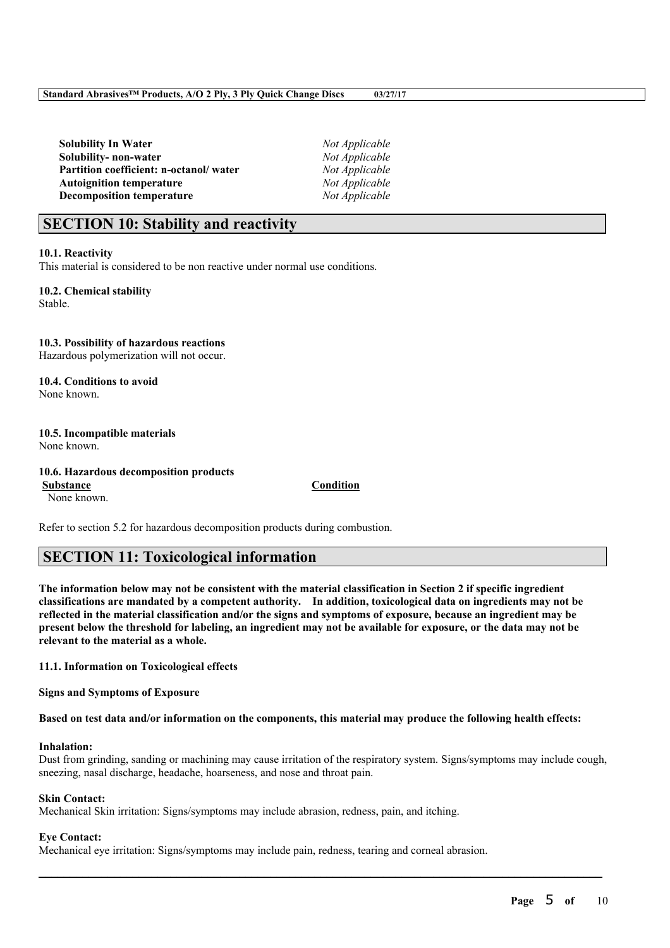**Solubility In Water** *Not Applicable* **Solubility- non-water** *Not Applicable* **Partition coefficient: n-octanol/ water** *Not Applicable* **Autoignition temperature** *Not Applicable* **Decomposition temperature** *Not Applicable*

# **SECTION 10: Stability and reactivity**

#### **10.1. Reactivity**

This material is considered to be non reactive under normal use conditions.

**10.2. Chemical stability** Stable.

#### **10.3. Possibility of hazardous reactions** Hazardous polymerization will not occur.

**10.4. Conditions to avoid** None known.

#### **10.5. Incompatible materials** None known.

#### **10.6. Hazardous decomposition products**

**Substance Condition** None known.

Refer to section 5.2 for hazardous decomposition products during combustion.

# **SECTION 11: Toxicological information**

The information below may not be consistent with the material classification in Section 2 if specific ingredient **classifications are mandated by a competent authority. In addition, toxicological data on ingredients may not be** reflected in the material classification and/or the signs and symptoms of exposure, because an ingredient may be present below the threshold for labeling, an ingredient may not be available for exposure, or the data may not be **relevant to the material as a whole.**

#### **11.1. Information on Toxicological effects**

**Signs and Symptoms of Exposure**

Based on test data and/or information on the components, this material may produce the following health effects:

#### **Inhalation:**

Dust from grinding, sanding or machining may cause irritation of the respiratory system. Signs/symptoms may include cough, sneezing, nasal discharge, headache, hoarseness, and nose and throat pain.

 $\mathcal{L}_\mathcal{L} = \mathcal{L}_\mathcal{L} = \mathcal{L}_\mathcal{L} = \mathcal{L}_\mathcal{L} = \mathcal{L}_\mathcal{L} = \mathcal{L}_\mathcal{L} = \mathcal{L}_\mathcal{L} = \mathcal{L}_\mathcal{L} = \mathcal{L}_\mathcal{L} = \mathcal{L}_\mathcal{L} = \mathcal{L}_\mathcal{L} = \mathcal{L}_\mathcal{L} = \mathcal{L}_\mathcal{L} = \mathcal{L}_\mathcal{L} = \mathcal{L}_\mathcal{L} = \mathcal{L}_\mathcal{L} = \mathcal{L}_\mathcal{L}$ 

#### **Skin Contact:**

Mechanical Skin irritation: Signs/symptoms may include abrasion, redness, pain, and itching.

#### **Eye Contact:**

Mechanical eye irritation: Signs/symptoms may include pain, redness, tearing and corneal abrasion.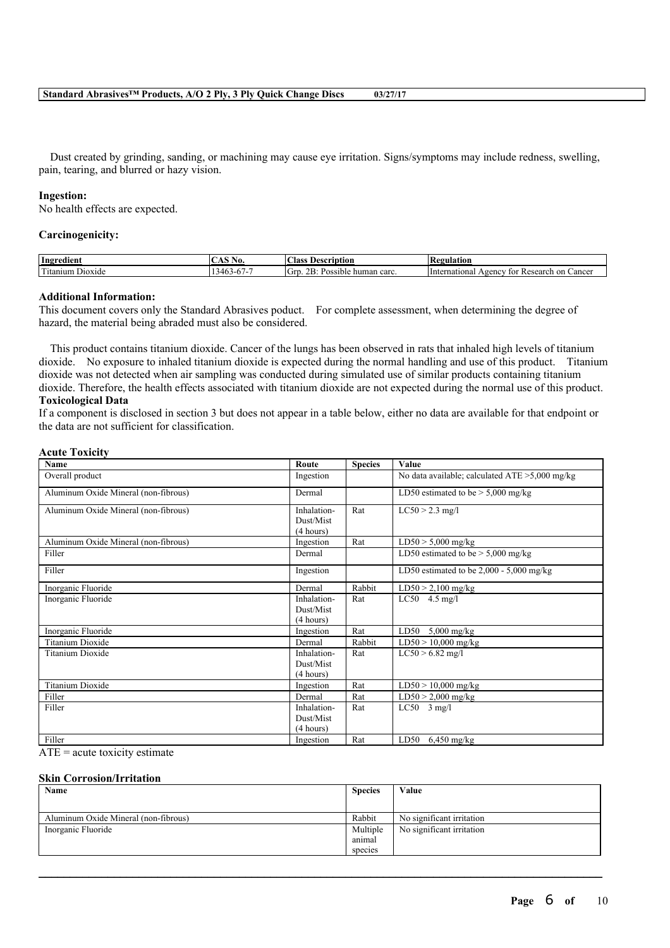Dust created by grinding, sanding, or machining may cause eye irritation. Signs/symptoms may include redness, swelling, pain, tearing, and blurred or hazy vision.

#### **Ingestion:**

No health effects are expected.

#### **Carcinogenicity:**

| Ingredient                                                    | AO.<br>- 1992 | $\sim$<br>lass<br>Description                  | 'egulation'                                                      |
|---------------------------------------------------------------|---------------|------------------------------------------------|------------------------------------------------------------------|
| <b>CONTRACTOR</b><br>$\sim$<br><sup>1</sup> tanıum<br>Dioxide | 1-h /-        | nD.<br>'Grt<br>carc.<br>Possible<br>human<br>. | Cancer<br>ternational<br>Research<br>∵on<br>vgency<br>tor<br>⊡n⊾ |

#### **Additional Information:**

This document covers only the Standard Abrasives poduct. For complete assessment, when determining the degree of hazard, the material being abraded must also be considered.

This product contains titanium dioxide. Cancer of the lungs has been observed in rats that inhaled high levels of titanium dioxide. No exposure to inhaled titanium dioxide is expected during the normal handling and use of this product. Titanium dioxide was not detected when air sampling was conducted during simulated use of similar products containing titanium dioxide. Therefore, the health effects associated with titanium dioxide are not expected during the normal use of this product. **Toxicological Data**

If a component is disclosed in section 3 but does not appear in a table below, either no data are available for that endpoint or the data are not sufficient for classification.

#### **Acute Toxicity**

| Name                                 | Route                    | <b>Species</b> | Value                                             |
|--------------------------------------|--------------------------|----------------|---------------------------------------------------|
| Overall product                      | Ingestion                |                | No data available; calculated $ATE > 5,000$ mg/kg |
| Aluminum Oxide Mineral (non-fibrous) | Dermal                   |                | LD50 estimated to be $>$ 5,000 mg/kg              |
| Aluminum Oxide Mineral (non-fibrous) | Inhalation-<br>Dust/Mist | Rat            | $LC50 > 2.3$ mg/l                                 |
|                                      | (4 hours)                |                |                                                   |
| Aluminum Oxide Mineral (non-fibrous) | Ingestion                | Rat            | $LD50 > 5,000$ mg/kg                              |
| Filler                               | Dermal                   |                | LD50 estimated to be $> 5,000$ mg/kg              |
| Filler                               | Ingestion                |                | LD50 estimated to be $2,000 - 5,000$ mg/kg        |
| Inorganic Fluoride                   | Dermal                   | Rabbit         | $LD50 > 2,100$ mg/kg                              |
| Inorganic Fluoride                   | Inhalation-              | Rat            | $LC50$ 4.5 mg/l                                   |
|                                      | Dust/Mist                |                |                                                   |
|                                      | (4 hours)                |                |                                                   |
| Inorganic Fluoride                   | Ingestion                | Rat            | LD50<br>$5,000$ mg/kg                             |
| <b>Titanium Dioxide</b>              | Dermal                   | Rabbit         | $LD50 > 10,000$ mg/kg                             |
| <b>Titanium Dioxide</b>              | Inhalation-              | Rat            | $LC50 > 6.82$ mg/l                                |
|                                      | Dust/Mist                |                |                                                   |
|                                      | (4 hours)                |                |                                                   |
| <b>Titanium Dioxide</b>              | Ingestion                | Rat            | $LD50 > 10,000$ mg/kg                             |
| Filler                               | Dermal                   | Rat            | $LD50 > 2,000$ mg/kg                              |
| Filler                               | Inhalation-              | Rat            | $LC50$ 3 mg/l                                     |
|                                      | Dust/Mist                |                |                                                   |
|                                      | (4 hours)                |                |                                                   |
| Filler                               | Ingestion                | Rat            | LD50 $6,450$ mg/kg                                |

 $ATE = acute$  toxicity estimate

#### **Skin Corrosion/Irritation**

| Name                                 | <b>Species</b> | Value                     |
|--------------------------------------|----------------|---------------------------|
| Aluminum Oxide Mineral (non-fibrous) | Rabbit         | No significant irritation |
| Inorganic Fluoride                   | Multiple       | No significant irritation |
|                                      | anımal         |                           |
|                                      | species        |                           |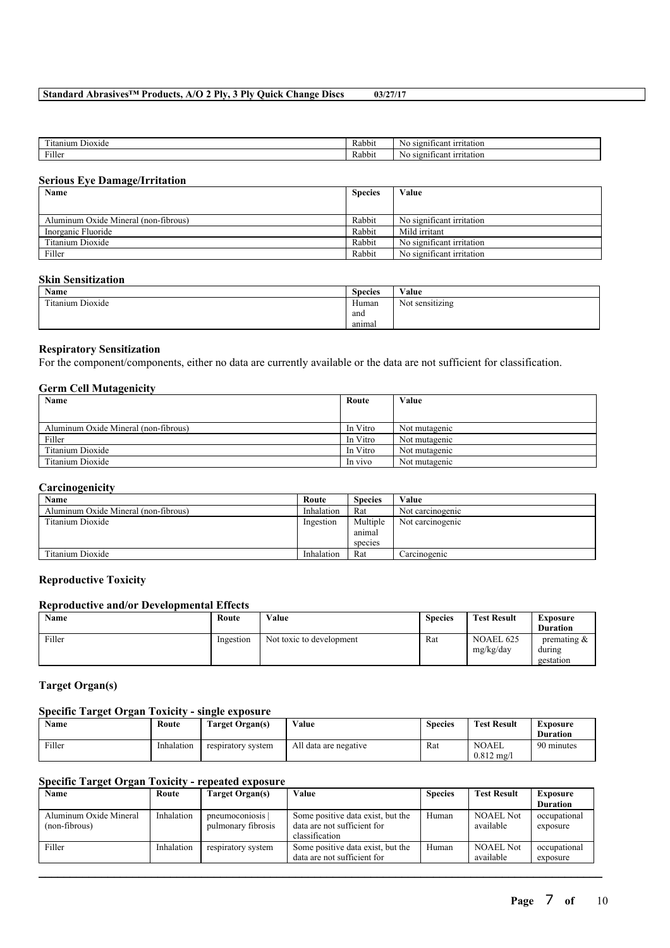| company of<br>-<br>Dioxide<br>`tanıum | $\mathbf{r}$<br>Rabbit | $\sim$<br>'cant<br>$11^{\circ}$<br>utation<br>510 n<br>NC |
|---------------------------------------|------------------------|-----------------------------------------------------------|
| Filler                                | $\sim$<br>Rabbit       | 510 n<br>'cant<br>1rr<br>utation<br>NG                    |

#### **Serious Eye Damage/Irritation**

| Name                                 | <b>Species</b> | Value                     |
|--------------------------------------|----------------|---------------------------|
|                                      |                |                           |
| Aluminum Oxide Mineral (non-fibrous) | Rabbit         | No significant irritation |
| Inorganic Fluoride                   | Rabbit         | Mild irritant             |
| Titanium Dioxide                     | Rabbit         | No significant irritation |
| Filler                               | Rabbit         | No significant irritation |

#### **Skin Sensitization**

| <b>Name</b>                     | <b>Species</b> | Value                                |
|---------------------------------|----------------|--------------------------------------|
| Titanium Dioxide<br>contact and | Human          | .<br>$\mathbf{X}$<br>Not sensitizing |
|                                 | and            |                                      |
|                                 | anımal         |                                      |

#### **Respiratory Sensitization**

For the component/components, either no data are currently available or the data are not sufficient for classification.

#### **Germ Cell Mutagenicity**

| Name                                 | Route    | Value         |
|--------------------------------------|----------|---------------|
|                                      |          |               |
| Aluminum Oxide Mineral (non-fibrous) | In Vitro | Not mutagenic |
| Filler                               | In Vitro | Not mutagenic |
| Titanium Dioxide                     | In Vitro | Not mutagenic |
| Titanium Dioxide                     | In vivo  | Not mutagenic |

#### **Carcinogenicity**

| Name                                 | Route      | <b>Species</b> | Value            |
|--------------------------------------|------------|----------------|------------------|
| Aluminum Oxide Mineral (non-fibrous) | Inhalation | Rat            | Not carcinogenic |
| Titanium Dioxide                     | Ingestion  | Multiple       | Not carcinogenic |
|                                      |            | animal         |                  |
|                                      |            | species        |                  |
| Titanium Dioxide                     | Inhalation | Rat            | Carcinogenic     |

#### **Reproductive Toxicity**

#### **Reproductive and/or Developmental Effects**

| Name   | Route     | Value                    | <b>Species</b> | <b>Test Result</b>     | Exposure                              |
|--------|-----------|--------------------------|----------------|------------------------|---------------------------------------|
|        |           |                          |                |                        | <b>Duration</b>                       |
| Filler | Ingestion | Not toxic to development | Rat            | NOAEL 625<br>mg/kg/day | premating $\&$<br>during<br>gestation |

#### **Target Organ(s)**

#### **Specific Target Organ Toxicity - single exposure**

| <b>Name</b> | Route      | Target Organ(s)    | Value                 | <b>Species</b> | <b>Test Result</b>                    | Exposure<br><b>Duration</b> |
|-------------|------------|--------------------|-----------------------|----------------|---------------------------------------|-----------------------------|
| Filler      | Inhalation | respiratory system | All data are negative | Rat            | <b>NOAEL</b><br>$0.812 \text{ mg}$ /l | 90 minutes                  |

#### **Specific Target Organ Toxicity - repeated exposure**

| Name                                    | Route      | Target Organ(s)                      | Value                                                                              | <b>Species</b> | <b>Test Result</b>            | Exposure                 |
|-----------------------------------------|------------|--------------------------------------|------------------------------------------------------------------------------------|----------------|-------------------------------|--------------------------|
|                                         |            |                                      |                                                                                    |                |                               | <b>Duration</b>          |
| Aluminum Oxide Mineral<br>(non-fibrous) | Inhalation | pneumoconiosis<br>pulmonary fibrosis | Some positive data exist, but the<br>data are not sufficient for<br>classification | Human          | <b>NOAEL Not</b><br>available | occupational<br>exposure |
| Filler                                  | Inhalation | respiratory system                   | Some positive data exist, but the<br>data are not sufficient for                   | Human          | <b>NOAEL Not</b><br>available | occupational<br>exposure |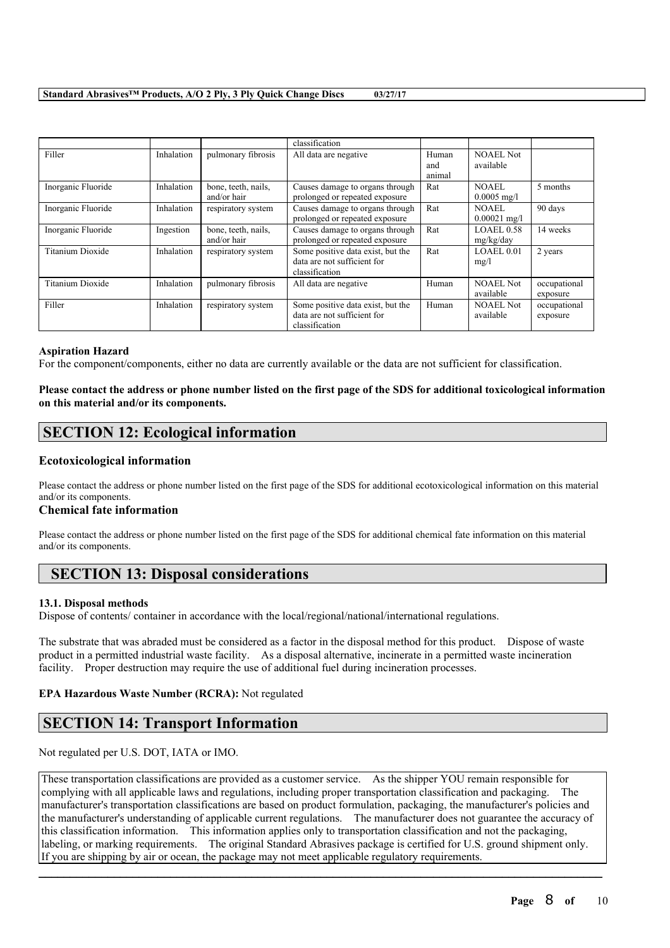|                         |            |                                    | classification                                                                     |                        |                               |                          |
|-------------------------|------------|------------------------------------|------------------------------------------------------------------------------------|------------------------|-------------------------------|--------------------------|
| Filler                  | Inhalation | pulmonary fibrosis                 | All data are negative                                                              | Human<br>and<br>animal | <b>NOAEL Not</b><br>available |                          |
| Inorganic Fluoride      | Inhalation | bone, teeth, nails,<br>and/or hair | Causes damage to organs through<br>prolonged or repeated exposure                  | Rat                    | NOAEL<br>$0.0005$ mg/l        | 5 months                 |
| Inorganic Fluoride      | Inhalation | respiratory system                 | Causes damage to organs through<br>prolonged or repeated exposure                  | Rat                    | NOAEL.<br>$0.00021$ mg/l      | 90 days                  |
| Inorganic Fluoride      | Ingestion  | bone, teeth, nails,<br>and/or hair | Causes damage to organs through<br>prolonged or repeated exposure                  | Rat                    | <b>LOAEL0.58</b><br>mg/kg/day | 14 weeks                 |
| Titanium Dioxide        | Inhalation | respiratory system                 | Some positive data exist, but the<br>data are not sufficient for<br>classification | Rat                    | LOAEL 0.01<br>mg/l            | 2 years                  |
| <b>Titanium Dioxide</b> | Inhalation | pulmonary fibrosis                 | All data are negative                                                              | Human                  | <b>NOAEL Not</b><br>available | occupational<br>exposure |
| Filler                  | Inhalation | respiratory system                 | Some positive data exist, but the<br>data are not sufficient for<br>classification | Human                  | <b>NOAEL Not</b><br>available | occupational<br>exposure |

#### **Aspiration Hazard**

For the component/components, either no data are currently available or the data are not sufficient for classification.

#### Please contact the address or phone number listed on the first page of the SDS for additional toxicological information **on this material and/or its components.**

# **SECTION 12: Ecological information**

#### **Ecotoxicological information**

Please contact the address or phone number listed on the first page of the SDS for additional ecotoxicological information on this material and/or its components.

#### **Chemical fate information**

Please contact the address or phone number listed on the first page of the SDS for additional chemical fate information on this material and/or its components.

## **SECTION 13: Disposal considerations**

#### **13.1. Disposal methods**

Dispose of contents/ container in accordance with the local/regional/national/international regulations.

The substrate that was abraded must be considered as a factor in the disposal method for this product. Dispose of waste product in a permitted industrial waste facility. As a disposal alternative, incinerate in a permitted waste incineration facility. Proper destruction may require the use of additional fuel during incineration processes.

#### **EPA Hazardous Waste Number (RCRA):** Not regulated

# **SECTION 14: Transport Information**

Not regulated per U.S. DOT, IATA or IMO.

These transportation classifications are provided as a customer service. As the shipper YOU remain responsible for complying with all applicable laws and regulations, including proper transportation classification and packaging. The manufacturer's transportation classifications are based on product formulation, packaging, the manufacturer's policies and the manufacturer's understanding of applicable current regulations. The manufacturer does not guarantee the accuracy of this classification information. This information applies only to transportation classification and not the packaging, labeling, or marking requirements. The original Standard Abrasives package is certified for U.S. ground shipment only. If you are shipping by air or ocean, the package may not meet applicable regulatory requirements.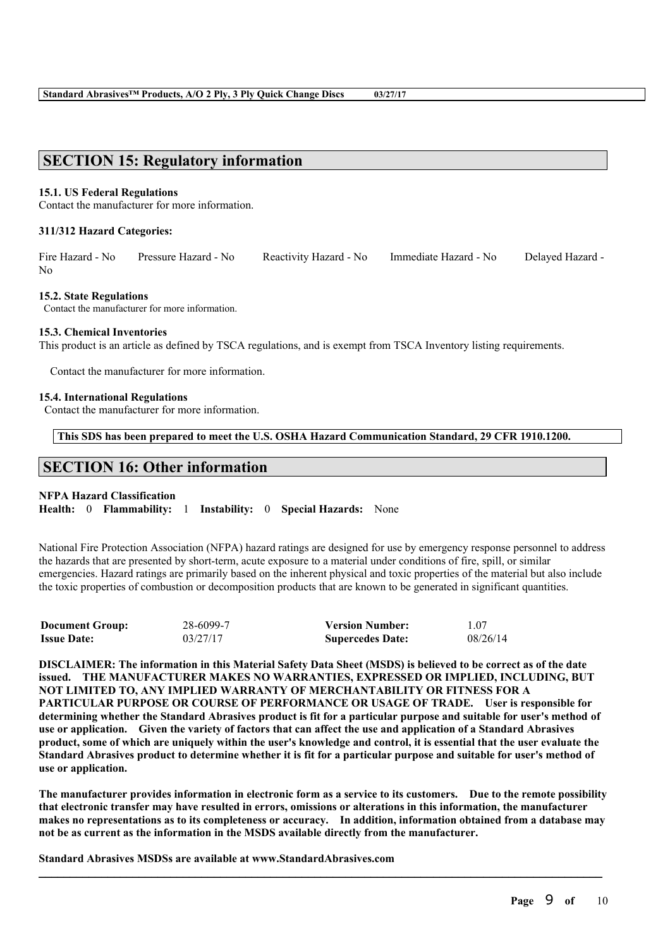# **SECTION 15: Regulatory information**

#### **15.1. US Federal Regulations**

Contact the manufacturer for more information.

#### **311/312 Hazard Categories:**

Fire Hazard - No Pressure Hazard - No Reactivity Hazard - No Immediate Hazard - No Delayed Hazard -  $N_{\Omega}$ 

#### **15.2. State Regulations**

Contact the manufacturer for more information.

#### **15.3. Chemical Inventories**

This product is an article as defined by TSCA regulations, and is exempt from TSCA Inventory listing requirements.

Contact the manufacturer for more information.

#### **15.4. International Regulations**

Contact the manufacturer for more information.

**This SDS has been prepared to meet the U.S. OSHA Hazard Communication Standard, 29 CFR 1910.1200.**

# **SECTION 16: Other information**

#### **NFPA Hazard Classification**

**Health:** 0 **Flammability:** 1 **Instability:** 0 **Special Hazards:** None

National Fire Protection Association (NFPA) hazard ratings are designed for use by emergency response personnel to address the hazards that are presented by short-term, acute exposure to a material under conditions of fire, spill, or similar emergencies. Hazard ratings are primarily based on the inherent physical and toxic properties of the material but also include the toxic properties of combustion or decomposition products that are known to be generated in significant quantities.

| <b>Document Group:</b> | 28-6099-7 | <b>Version Number:</b>  | L07      |
|------------------------|-----------|-------------------------|----------|
| <b>Issue Date:</b>     | 03/27/17  | <b>Supercedes Date:</b> | 08/26/14 |

DISCLAIMER: The information in this Material Safety Data Sheet (MSDS) is believed to be correct as of the date **issued. THE MANUFACTURER MAKES NO WARRANTIES, EXPRESSED OR IMPLIED, INCLUDING, BUT NOT LIMITED TO, ANY IMPLIED WARRANTY OF MERCHANTABILITY OR FITNESS FOR A PARTICULAR PURPOSE OR COURSE OF PERFORMANCE OR USAGE OF TRADE. User is responsible for** determining whether the Standard Abrasives product is fit for a particular purpose and suitable for user's method of use or application. Given the variety of factors that can affect the use and application of a Standard Abrasives product, some of which are uniquely within the user's knowledge and control, it is essential that the user evaluate the Standard Abrasives product to determine whether it is fit for a particular purpose and suitable for user's method of **use or application.**

The manufacturer provides information in electronic form as a service to its customers. Due to the remote possibility that electronic transfer may have resulted in errors, omissions or alterations in this information, the manufacturer makes no representations as to its completeness or accuracy. In addition, information obtained from a database may **not be as current as the information in the MSDS available directly from the manufacturer.**

 $\mathcal{L}_\mathcal{L} = \mathcal{L}_\mathcal{L} = \mathcal{L}_\mathcal{L} = \mathcal{L}_\mathcal{L} = \mathcal{L}_\mathcal{L} = \mathcal{L}_\mathcal{L} = \mathcal{L}_\mathcal{L} = \mathcal{L}_\mathcal{L} = \mathcal{L}_\mathcal{L} = \mathcal{L}_\mathcal{L} = \mathcal{L}_\mathcal{L} = \mathcal{L}_\mathcal{L} = \mathcal{L}_\mathcal{L} = \mathcal{L}_\mathcal{L} = \mathcal{L}_\mathcal{L} = \mathcal{L}_\mathcal{L} = \mathcal{L}_\mathcal{L}$ 

**Standard Abrasives MSDSs are available at www.StandardAbrasives.com**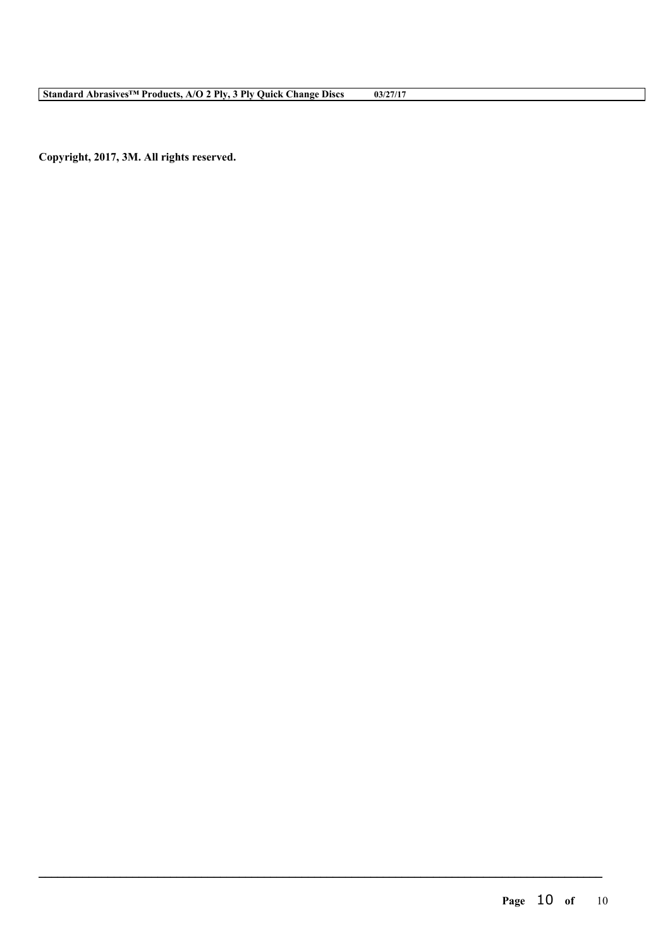**Copyright, 2017, 3M. All rights reserved.**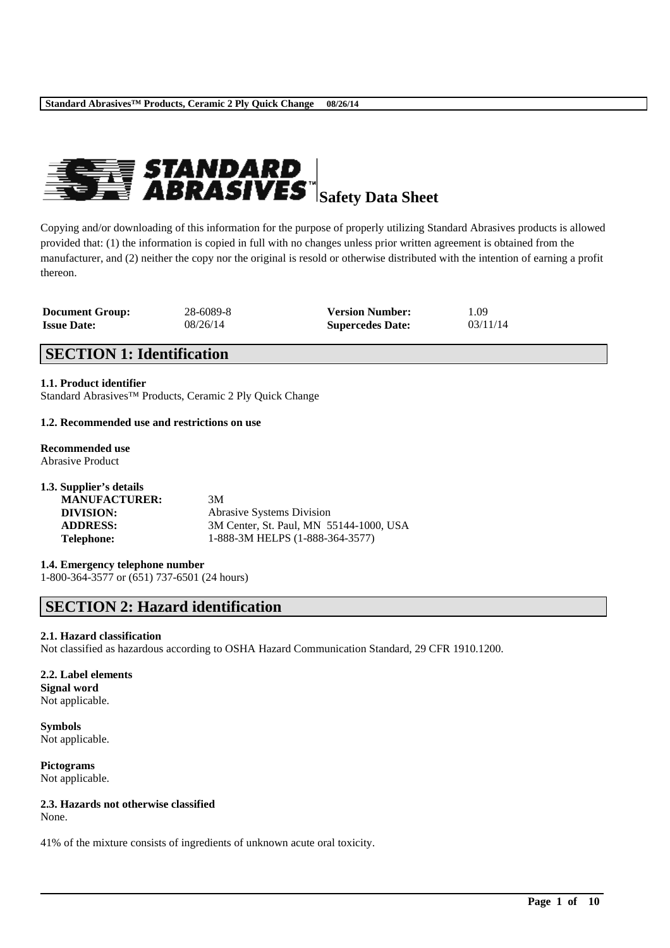

Copying and/or downloading of this information for the purpose of properly utilizing Standard Abrasives products is allowed provided that: (1) the information is copied in full with no changes unless prior written agreement is obtained from the manufacturer, and (2) neither the copy nor the original is resold or otherwise distributed with the intention of earning a profit thereon.

| <b>Document Group:</b> | 28-6089-8 | <b>Version Number:</b>  | 1.09     |
|------------------------|-----------|-------------------------|----------|
| <b>Issue Date:</b>     | 08/26/14  | <b>Supercedes Date:</b> | 03/11/14 |

# **SECTION 1: Identification**

**1.1. Product identifier**

Standard Abrasives™ Products, Ceramic 2 Ply Quick Change

#### **1.2. Recommended use and restrictions on use**

**Recommended use** Abrasive Product

| 1.3. Supplier's details |                                         |
|-------------------------|-----------------------------------------|
| <b>MANUFACTURER:</b>    | 3M                                      |
| DIVISION:               | <b>Abrasive Systems Division</b>        |
| <b>ADDRESS:</b>         | 3M Center, St. Paul, MN 55144-1000, USA |
| <b>Telephone:</b>       | 1-888-3M HELPS (1-888-364-3577)         |

#### **1.4. Emergency telephone number**

1-800-364-3577 or (651) 737-6501 (24 hours)

# **SECTION 2: Hazard identification**

#### **2.1. Hazard classification**

Not classified as hazardous according to OSHA Hazard Communication Standard, 29 CFR 1910.1200.

\_\_\_\_\_\_\_\_\_\_\_\_\_\_\_\_\_\_\_\_\_\_\_\_\_\_\_\_\_\_\_\_\_\_\_\_\_\_\_\_\_\_\_\_\_\_\_\_\_\_\_\_\_\_\_\_\_\_\_\_\_\_\_\_\_\_\_\_\_\_\_\_\_\_\_\_\_\_\_\_\_\_\_\_\_\_\_\_\_\_

#### **2.2. Label elements Signal word**

Not applicable.

**Symbols** Not applicable.

**Pictograms** Not applicable.

# **2.3. Hazards not otherwise classified**

None.

41% of the mixture consists of ingredients of unknown acute oral toxicity.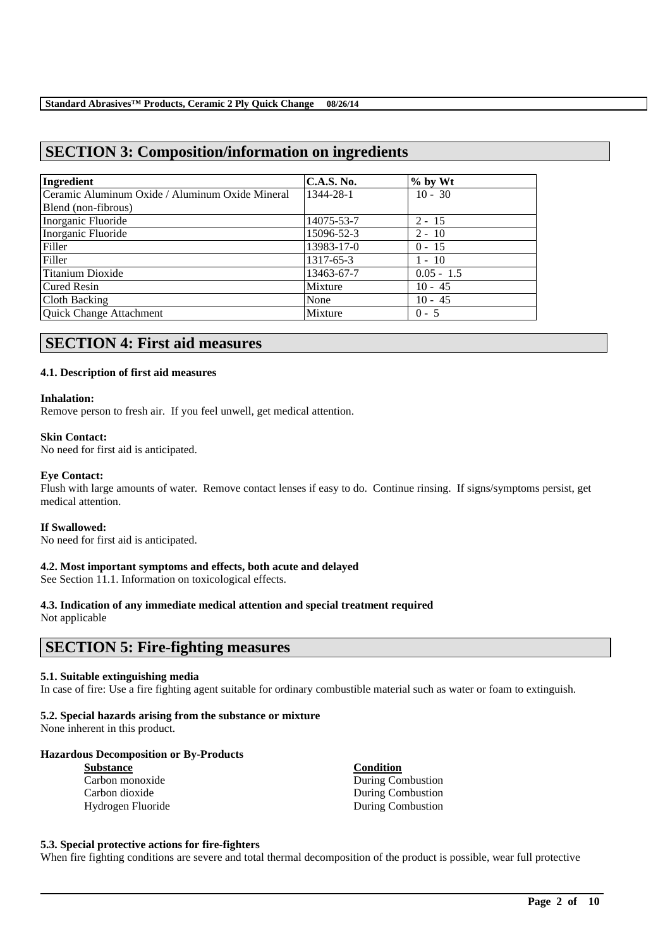# **SECTION 3: Composition/information on ingredients**

| Ingredient                                      | <b>C.A.S. No.</b> | $\%$ by Wt   |
|-------------------------------------------------|-------------------|--------------|
| Ceramic Aluminum Oxide / Aluminum Oxide Mineral | 1344-28-1         | $10 - 30$    |
| Blend (non-fibrous)                             |                   |              |
| Inorganic Fluoride                              | 14075-53-7        | $2 - 15$     |
| Inorganic Fluoride                              | 15096-52-3        | $2 - 10$     |
| Filler                                          | 13983-17-0        | $0 - 15$     |
| Filler                                          | 1317-65-3         | $1 - 10$     |
| Titanium Dioxide                                | 13463-67-7        | $0.05 - 1.5$ |
| Cured Resin                                     | Mixture           | $10 - 45$    |
| Cloth Backing                                   | None              | $10 - 45$    |
| Quick Change Attachment                         | Mixture           | $0 - 5$      |

# **SECTION 4: First aid measures**

#### **4.1. Description of first aid measures**

#### **Inhalation:**

Remove person to fresh air. If you feel unwell, get medical attention.

#### **Skin Contact:**

No need for first aid is anticipated.

#### **Eye Contact:**

Flush with large amounts of water. Remove contact lenses if easy to do. Continue rinsing. If signs/symptoms persist, get medical attention.

#### **If Swallowed:**

No need for first aid is anticipated.

#### **4.2. Most important symptoms and effects, both acute and delayed**

See Section 11.1. Information on toxicological effects.

# **4.3. Indication of any immediate medical attention and special treatment required**

Not applicable

# **SECTION 5: Fire-fighting measures**

#### **5.1. Suitable extinguishing media**

In case of fire: Use a fire fighting agent suitable for ordinary combustible material such as water or foam to extinguish.

#### **5.2. Special hazards arising from the substance or mixture**

None inherent in this product.

#### **Hazardous Decomposition or By-Products**

| <b>Substance</b>  | <b>Condition</b>  |
|-------------------|-------------------|
| Carbon monoxide   | During Combustion |
| Carbon dioxide    | During Combustion |
| Hydrogen Fluoride | During Combustion |

#### **5.3. Special protective actions for fire-fighters**

When fire fighting conditions are severe and total thermal decomposition of the product is possible, wear full protective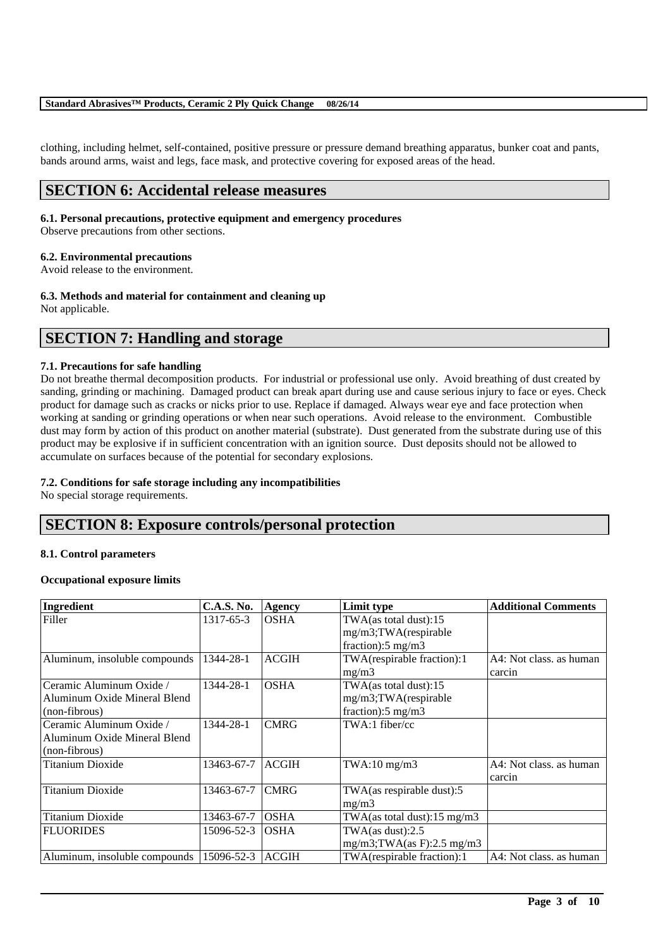#### **Standard Abrasives™ Products, Ceramic 2 Ply Quick Change 08/26/14**

clothing, including helmet, self-contained, positive pressure or pressure demand breathing apparatus, bunker coat and pants, bands around arms, waist and legs, face mask, and protective covering for exposed areas of the head.

# **SECTION 6: Accidental release measures**

#### **6.1. Personal precautions, protective equipment and emergency procedures**

Observe precautions from other sections.

#### **6.2. Environmental precautions**

Avoid release to the environment.

**6.3. Methods and material for containment and cleaning up**

Not applicable.

# **SECTION 7: Handling and storage**

#### **7.1. Precautions for safe handling**

Do not breathe thermal decomposition products. For industrial or professional use only. Avoid breathing of dust created by sanding, grinding or machining. Damaged product can break apart during use and cause serious injury to face or eyes. Check product for damage such as cracks or nicks prior to use. Replace if damaged. Always wear eye and face protection when working at sanding or grinding operations or when near such operations. Avoid release to the environment. Combustible dust may form by action of this product on another material (substrate). Dust generated from the substrate during use of this product may be explosive if in sufficient concentration with an ignition source. Dust deposits should not be allowed to accumulate on surfaces because of the potential for secondary explosions.

#### **7.2. Conditions for safe storage including any incompatibilities**

No special storage requirements.

# **SECTION 8: Exposure controls/personal protection**

#### **8.1. Control parameters**

#### **Occupational exposure limits**

| Ingredient                     | <b>C.A.S. No.</b> | Agency       | Limit type                     | <b>Additional Comments</b> |
|--------------------------------|-------------------|--------------|--------------------------------|----------------------------|
| Filler                         | 1317-65-3         | <b>OSHA</b>  | TWA(as total dust):15          |                            |
|                                |                   |              | mg/m3;TWA(respirable           |                            |
|                                |                   |              | fraction): $5 \text{ mg/m}$ 3  |                            |
| Aluminum, insoluble compounds  | 1344-28-1         | <b>ACGIH</b> | TWA(respirable fraction):1     | A4: Not class. as human    |
|                                |                   |              | mg/m3                          | carcin                     |
| Ceramic Aluminum Oxide /       | 1344-28-1         | <b>OSHA</b>  | TWA(as total dust):15          |                            |
| Aluminum Oxide Mineral Blend   |                   |              | mg/m3;TWA(respirable           |                            |
| (non-fibrous)                  |                   |              | fraction): $5 \text{ mg/m}$ 3  |                            |
| Ceramic Aluminum Oxide /       | 1344-28-1         | <b>CMRG</b>  | TWA:1 fiber/cc                 |                            |
| Aluminum Oxide Mineral Blend   |                   |              |                                |                            |
| $\left($ non-fibrous $\right)$ |                   |              |                                |                            |
| Titanium Dioxide               | 13463-67-7        | <b>ACGIH</b> | $TWA:10$ mg/m $3$              | A4: Not class, as human    |
|                                |                   |              |                                | carcin                     |
| <b>Titanium Dioxide</b>        | 13463-67-7        | <b>CMRG</b>  | TWA(as respirable dust):5      |                            |
|                                |                   |              | mg/m3                          |                            |
| <b>Titanium Dioxide</b>        | 13463-67-7        | <b>OSHA</b>  | TWA(as total dust):15 mg/m3    |                            |
| <b>FLUORIDES</b>               | 15096-52-3        | <b>OSHA</b>  | TWA $(as dust):2.5$            |                            |
|                                |                   |              | $mg/m3$ ; TWA(as F): 2.5 mg/m3 |                            |
| Aluminum, insoluble compounds  | 15096-52-3        | <b>ACGIH</b> | TWA(respirable fraction):1     | A4: Not class. as human    |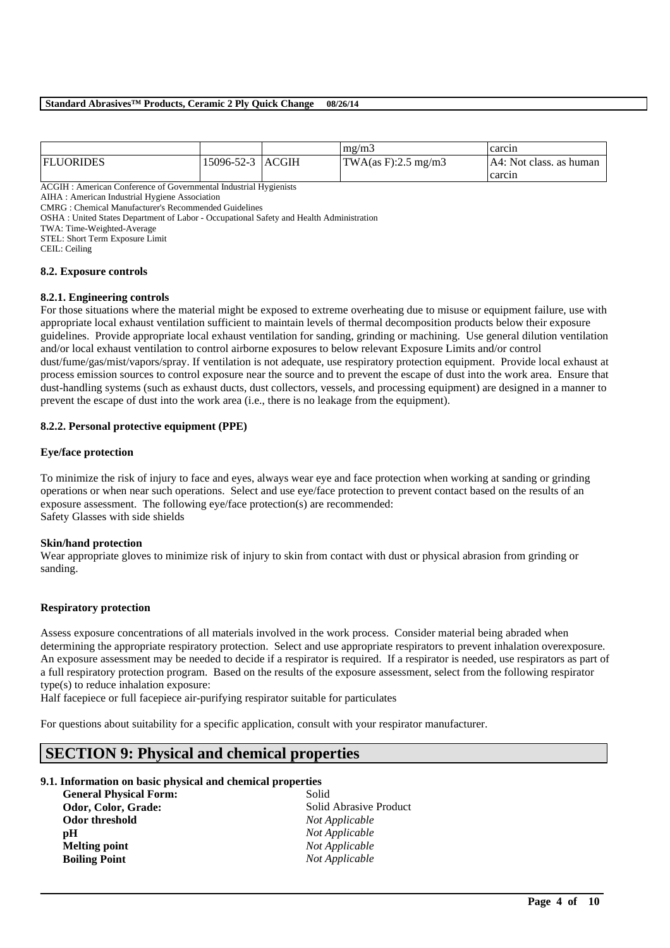#### **Standard Abrasives™ Products, Ceramic 2 Ply Quick Change 08/26/14**

|                  |                  | mg/m3               | carcin                    |
|------------------|------------------|---------------------|---------------------------|
| <b>FLUORIDES</b> | 15096-52-3 ACGIH | TWA(as F):2.5 mg/m3 | I A4: Not class. as human |
|                  |                  |                     | carcin                    |

ACGIH : American Conference of Governmental Industrial Hygienists

AIHA : American Industrial Hygiene Association

CMRG : Chemical Manufacturer's Recommended Guidelines

OSHA : United States Department of Labor - Occupational Safety and Health Administration

TWA: Time-Weighted-Average

STEL: Short Term Exposure Limit

CEIL: Ceiling

#### **8.2. Exposure controls**

#### **8.2.1. Engineering controls**

For those situations where the material might be exposed to extreme overheating due to misuse or equipment failure, use with appropriate local exhaust ventilation sufficient to maintain levels of thermal decomposition products below their exposure guidelines. Provide appropriate local exhaust ventilation for sanding, grinding or machining. Use general dilution ventilation and/or local exhaust ventilation to control airborne exposures to below relevant Exposure Limits and/or control dust/fume/gas/mist/vapors/spray. If ventilation is not adequate, use respiratory protection equipment. Provide local exhaust at process emission sources to control exposure near the source and to prevent the escape of dust into the work area. Ensure that dust-handling systems (such as exhaust ducts, dust collectors, vessels, and processing equipment) are designed in a manner to prevent the escape of dust into the work area (i.e., there is no leakage from the equipment).

#### **8.2.2. Personal protective equipment (PPE)**

#### **Eye/face protection**

To minimize the risk of injury to face and eyes, always wear eye and face protection when working at sanding or grinding operations or when near such operations. Select and use eye/face protection to prevent contact based on the results of an exposure assessment. The following eye/face protection(s) are recommended: Safety Glasses with side shields

#### **Skin/hand protection**

Wear appropriate gloves to minimize risk of injury to skin from contact with dust or physical abrasion from grinding or sanding.

#### **Respiratory protection**

Assess exposure concentrations of all materials involved in the work process. Consider material being abraded when determining the appropriate respiratory protection. Select and use appropriate respirators to prevent inhalation overexposure. An exposure assessment may be needed to decide if a respirator is required. If a respirator is needed, use respirators as part of a full respiratory protection program. Based on the results of the exposure assessment, select from the following respirator type(s) to reduce inhalation exposure:

\_\_\_\_\_\_\_\_\_\_\_\_\_\_\_\_\_\_\_\_\_\_\_\_\_\_\_\_\_\_\_\_\_\_\_\_\_\_\_\_\_\_\_\_\_\_\_\_\_\_\_\_\_\_\_\_\_\_\_\_\_\_\_\_\_\_\_\_\_\_\_\_\_\_\_\_\_\_\_\_\_\_\_\_\_\_\_\_\_\_

Half facepiece or full facepiece air-purifying respirator suitable for particulates

For questions about suitability for a specific application, consult with your respirator manufacturer.

# **SECTION 9: Physical and chemical properties**

#### **9.1. Information on basic physical and chemical properties**

| <b>General Physical Form:</b> | Solid                  |
|-------------------------------|------------------------|
| Odor, Color, Grade:           | Solid Abrasive Product |
| Odor threshold                | Not Applicable         |
| рH                            | Not Applicable         |
| <b>Melting point</b>          | Not Applicable         |
| <b>Boiling Point</b>          | Not Applicable         |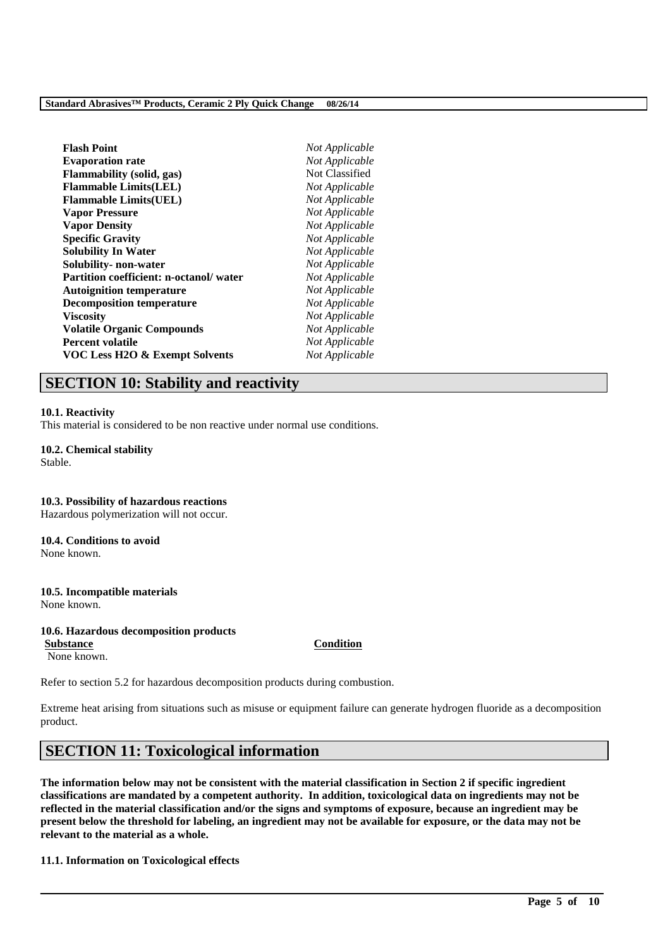| Not Applicable |
|----------------|
| Not Applicable |
| Not Classified |
| Not Applicable |
| Not Applicable |
| Not Applicable |
| Not Applicable |
| Not Applicable |
| Not Applicable |
| Not Applicable |
| Not Applicable |
| Not Applicable |
| Not Applicable |
| Not Applicable |
| Not Applicable |
| Not Applicable |
| Not Applicable |
|                |

# **SECTION 10: Stability and reactivity**

#### **10.1. Reactivity**

This material is considered to be non reactive under normal use conditions.

# **10.2. Chemical stability**

Stable.

#### **10.3. Possibility of hazardous reactions** Hazardous polymerization will not occur.

#### **10.4. Conditions to avoid**

None known.

#### **10.5. Incompatible materials** None known.

#### **10.6. Hazardous decomposition products**

**Substance Condition** None known.

Refer to section 5.2 for hazardous decomposition products during combustion.

Extreme heat arising from situations such as misuse or equipment failure can generate hydrogen fluoride as a decomposition product.

# **SECTION 11: Toxicological information**

**The information below may not be consistent with the material classification in Section 2 if specific ingredient classifications are mandated by a competent authority. In addition, toxicological data on ingredients may not be reflected in the material classification and/or the signs and symptoms of exposure, because an ingredient may be present below the threshold for labeling, an ingredient may not be available for exposure, or the data may not be relevant to the material as a whole.**

\_\_\_\_\_\_\_\_\_\_\_\_\_\_\_\_\_\_\_\_\_\_\_\_\_\_\_\_\_\_\_\_\_\_\_\_\_\_\_\_\_\_\_\_\_\_\_\_\_\_\_\_\_\_\_\_\_\_\_\_\_\_\_\_\_\_\_\_\_\_\_\_\_\_\_\_\_\_\_\_\_\_\_\_\_\_\_\_\_\_

#### **11.1. Information on Toxicological effects**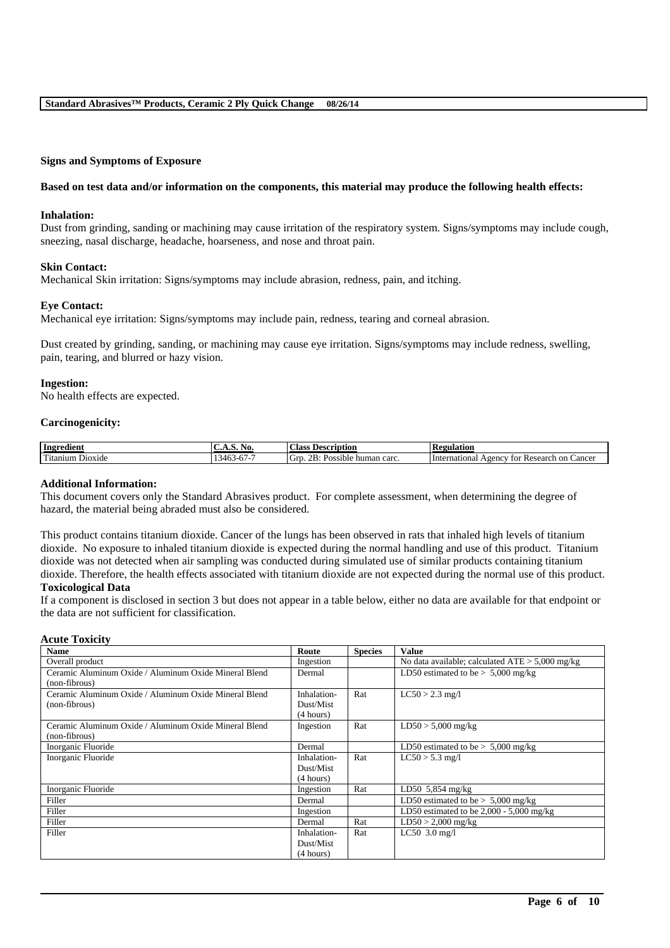#### **Signs and Symptoms of Exposure**

#### **Based on test data and/or information on the components, this material may produce the following health effects:**

#### **Inhalation:**

Dust from grinding, sanding or machining may cause irritation of the respiratory system. Signs/symptoms may include cough, sneezing, nasal discharge, headache, hoarseness, and nose and throat pain.

#### **Skin Contact:**

Mechanical Skin irritation: Signs/symptoms may include abrasion, redness, pain, and itching.

#### **Eye Contact:**

Mechanical eye irritation: Signs/symptoms may include pain, redness, tearing and corneal abrasion.

Dust created by grinding, sanding, or machining may cause eye irritation. Signs/symptoms may include redness, swelling, pain, tearing, and blurred or hazy vision.

#### **Ingestion:**

No health effects are expected.

#### **Carcinogenicity:**

| edient:<br>. Ingr                                                                                                                                                                                                                                                 | NO.<br>. <i>.</i>                                                              | <b>Description</b><br>Alass                                                       | n<br><b>tegulation</b><br><b>ING</b>                         |
|-------------------------------------------------------------------------------------------------------------------------------------------------------------------------------------------------------------------------------------------------------------------|--------------------------------------------------------------------------------|-----------------------------------------------------------------------------------|--------------------------------------------------------------|
| rent to the second the second term in the second term in the second term in the second term in the second term in the second term in the second term in the second term in the second term in the second term in the second te<br>D <sub>10X1</sub> de<br>itanıum | --<br>$\sim$ $\sim$<br>$\sqrt{6}$<br>$\sim$<br>$-1$<br>.<br>⊸ບ⊃<br>$\mathbf v$ | . .<br>2 <sub>B</sub><br>human carc.<br>Úľ<br>$\mathbf{v}_{\text{OSSible}}$<br>-- | International<br>vgency<br>Cancer<br>Research<br>on C<br>tor |

#### **Additional Information:**

This document covers only the Standard Abrasives product. For complete assessment, when determining the degree of hazard, the material being abraded must also be considered.

This product contains titanium dioxide. Cancer of the lungs has been observed in rats that inhaled high levels of titanium dioxide. No exposure to inhaled titanium dioxide is expected during the normal handling and use of this product. Titanium dioxide was not detected when air sampling was conducted during simulated use of similar products containing titanium dioxide. Therefore, the health effects associated with titanium dioxide are not expected during the normal use of this product.

#### **Toxicological Data**

If a component is disclosed in section 3 but does not appear in a table below, either no data are available for that endpoint or the data are not sufficient for classification.

#### **Acute Toxicity**

| <b>Name</b>                                           | Route       | <b>Species</b> | <b>Value</b>                                      |
|-------------------------------------------------------|-------------|----------------|---------------------------------------------------|
| Overall product                                       | Ingestion   |                | No data available; calculated $ATE > 5,000$ mg/kg |
| Ceramic Aluminum Oxide / Aluminum Oxide Mineral Blend | Dermal      |                | LD50 estimated to be $> 5,000$ mg/kg              |
| (non-fibrous)                                         |             |                |                                                   |
| Ceramic Aluminum Oxide / Aluminum Oxide Mineral Blend | Inhalation- | Rat            | $LC50 > 2.3$ mg/l                                 |
| (non-fibrous)                                         | Dust/Mist   |                |                                                   |
|                                                       | (4 hours)   |                |                                                   |
| Ceramic Aluminum Oxide / Aluminum Oxide Mineral Blend | Ingestion   | Rat            | $LD50 > 5,000$ mg/kg                              |
| (non-fibrous)                                         |             |                |                                                   |
| Inorganic Fluoride                                    | Dermal      |                | LD50 estimated to be $> 5,000$ mg/kg              |
| Inorganic Fluoride                                    | Inhalation- | Rat            | $LC50 > 5.3$ mg/l                                 |
|                                                       | Dust/Mist   |                |                                                   |
|                                                       | (4 hours)   |                |                                                   |
| Inorganic Fluoride                                    | Ingestion   | Rat            | LD50 5,854 mg/kg                                  |
| Filler                                                | Dermal      |                | LD50 estimated to be $> 5,000$ mg/kg              |
| Filler                                                | Ingestion   |                | LD50 estimated to be $2,000 - 5,000$ mg/kg        |
| Filler                                                | Dermal      | Rat            | $LD50 > 2,000$ mg/kg                              |
| Filler                                                | Inhalation- | Rat            | $LC50$ 3.0 mg/l                                   |
|                                                       | Dust/Mist   |                |                                                   |
|                                                       | (4 hours)   |                |                                                   |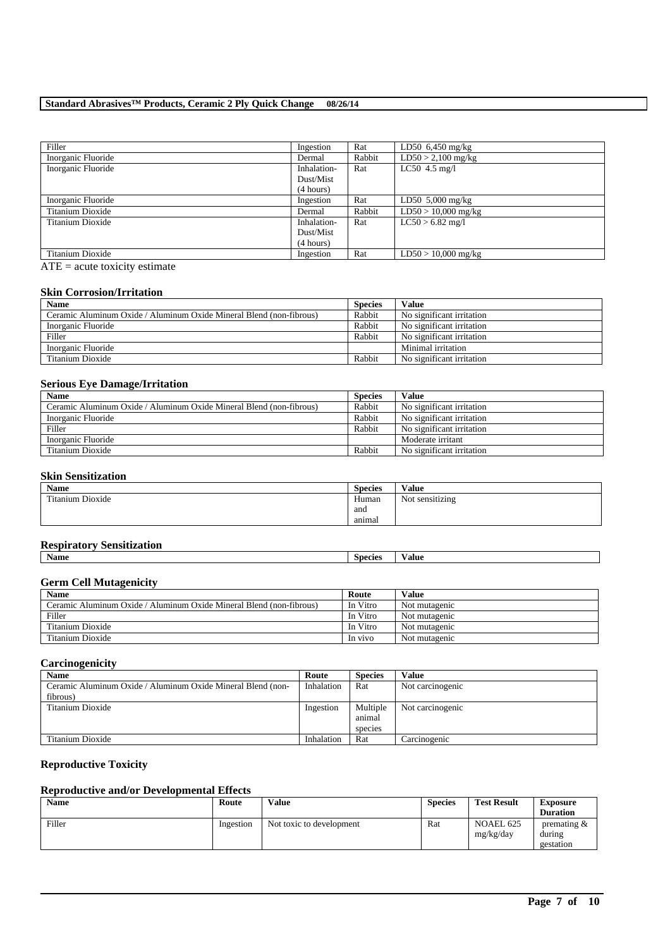## **Standard Abrasives™ Products, Ceramic 2 Ply Quick Change 08/26/14**

| Filler             | Ingestion   | Rat    | LD50 $6,450$ mg/kg         |
|--------------------|-------------|--------|----------------------------|
| Inorganic Fluoride | Dermal      | Rabbit | $LD50 > 2,100$ mg/kg       |
| Inorganic Fluoride | Inhalation- | Rat    | $LC50$ 4.5 mg/l            |
|                    | Dust/Mist   |        |                            |
|                    | (4 hours)   |        |                            |
| Inorganic Fluoride | Ingestion   | Rat    | LD50 $5,000 \text{ mg/kg}$ |
| Titanium Dioxide   | Dermal      | Rabbit | $LD50 > 10,000$ mg/kg      |
| Titanium Dioxide   | Inhalation- | Rat    | $LC50 > 6.82$ mg/l         |
|                    | Dust/Mist   |        |                            |
|                    | (4 hours)   |        |                            |
| Titanium Dioxide   | Ingestion   | Rat    | $LD50 > 10,000$ mg/kg      |

 $ATE = acute$  toxicity estimate

#### **Skin Corrosion/Irritation**

| <b>Name</b>                                                         | <b>Species</b> | Value                     |
|---------------------------------------------------------------------|----------------|---------------------------|
| Ceramic Aluminum Oxide / Aluminum Oxide Mineral Blend (non-fibrous) | Rabbit         | No significant irritation |
| Inorganic Fluoride                                                  | Rabbit         | No significant irritation |
| Filler                                                              | Rabbit         | No significant irritation |
| Inorganic Fluoride                                                  |                | Minimal irritation        |
| Titanium Dioxide                                                    | Rabbit         | No significant irritation |

#### **Serious Eye Damage/Irritation**

| <b>Name</b>                                                         | <b>Species</b> | Value                     |
|---------------------------------------------------------------------|----------------|---------------------------|
| Ceramic Aluminum Oxide / Aluminum Oxide Mineral Blend (non-fibrous) | Rabbit         | No significant irritation |
| Inorganic Fluoride                                                  | Rabbit         | No significant irritation |
| Filler                                                              | Rabbit         | No significant irritation |
| Inorganic Fluoride                                                  |                | Moderate irritant         |
| Titanium Dioxide                                                    | Rabbit         | No significant irritation |

### **Skin Sensitization**

| Name             | <b>Species</b> | Value                       |
|------------------|----------------|-----------------------------|
| Titanium Dioxide | Human          | $\cdots$<br>Not sensitizing |
|                  | and            |                             |
|                  | animal         |                             |

#### **Respiratory Sensitization**

| Name | Species | /alue |
|------|---------|-------|
|      |         |       |

#### **Germ Cell Mutagenicity**

| <b>Name</b>                                                         | Route    | <b>Value</b>  |
|---------------------------------------------------------------------|----------|---------------|
| Ceramic Aluminum Oxide / Aluminum Oxide Mineral Blend (non-fibrous) | In Vitro | Not mutagenic |
| Filler                                                              | In Vitro | Not mutagenic |
| Titanium Dioxide                                                    | In Vitro | Not mutagenic |
| Titanium Dioxide                                                    | In vivo  | Not mutagenic |

# **Carcinogenicity**

| <b>Name</b>                                                 | Route      | <b>Species</b> | Value            |
|-------------------------------------------------------------|------------|----------------|------------------|
| Ceramic Aluminum Oxide / Aluminum Oxide Mineral Blend (non- | Inhalation | Rat            | Not carcinogenic |
| fibrous)                                                    |            |                |                  |
| Titanium Dioxide                                            | Ingestion  | Multiple       | Not carcinogenic |
|                                                             |            | animal         |                  |
|                                                             |            | species        |                  |
| Titanium Dioxide                                            | Inhalation | Rat            | Carcinogenic     |

## **Reproductive Toxicity**

### **Reproductive and/or Developmental Effects**

| <b>Name</b> | Route     | <b>Value</b>             | <b>Species</b> | <b>Test Result</b>            | <b>Exposure</b><br><b>Duration</b>             |
|-------------|-----------|--------------------------|----------------|-------------------------------|------------------------------------------------|
| Filler      | Ingestion | Not toxic to development | Rat            | <b>NOAEL 625</b><br>mg/kg/day | $v$ or $v$ are $\alpha$<br>during<br>gestation |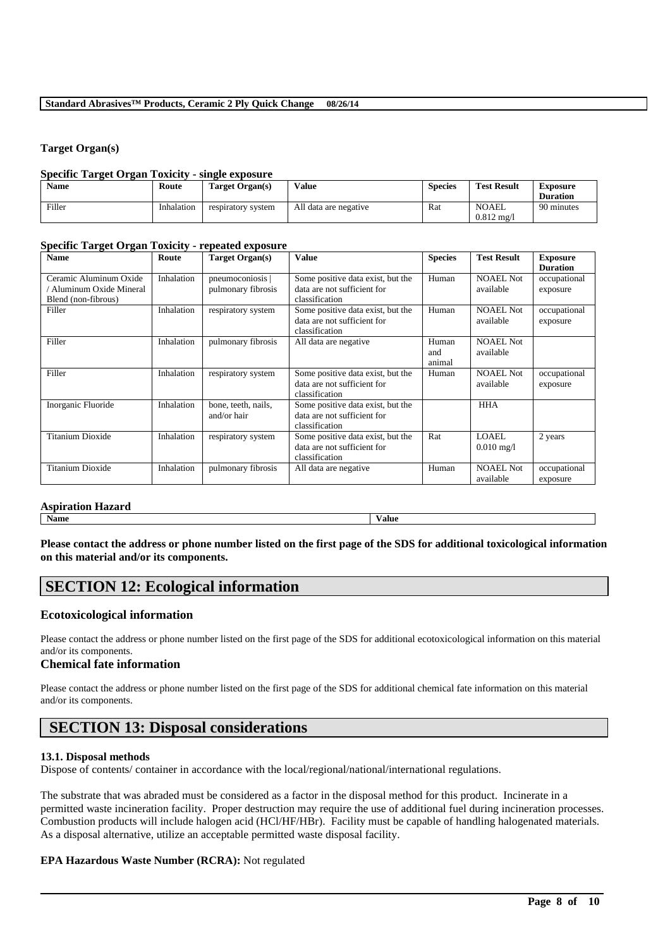#### **Target Organ(s)**

#### **Specific Target Organ Toxicity - single exposure**

| <b>Name</b> | Route      | Target Organ(s)    | Value                 | <b>Species</b> | <b>Test Result</b>                    | <b>Exposure</b><br><b>Duration</b> |
|-------------|------------|--------------------|-----------------------|----------------|---------------------------------------|------------------------------------|
| Filler      | Inhalation | respiratory system | All data are negative | Rat            | <b>NOAEL</b><br>$0.812 \text{ m}$ g/l | 90 minutes                         |

#### **Specific Target Organ Toxicity - repeated exposure**

| <b>Name</b>                                                             | Route      | Target Organ(s)                      | <b>Value</b>                                                                       | <b>Species</b>         | <b>Test Result</b>                   | <b>Exposure</b><br><b>Duration</b> |
|-------------------------------------------------------------------------|------------|--------------------------------------|------------------------------------------------------------------------------------|------------------------|--------------------------------------|------------------------------------|
| Ceramic Aluminum Oxide<br>Aluminum Oxide Mineral<br>Blend (non-fibrous) | Inhalation | pneumoconiosis<br>pulmonary fibrosis | Some positive data exist, but the<br>data are not sufficient for<br>classification | Human                  | <b>NOAEL Not</b><br>available        | occupational<br>exposure           |
| Filler                                                                  | Inhalation | respiratory system                   | Some positive data exist, but the<br>data are not sufficient for<br>classification | Human                  | <b>NOAEL Not</b><br>available        | occupational<br>exposure           |
| Filler                                                                  | Inhalation | pulmonary fibrosis                   | All data are negative                                                              | Human<br>and<br>animal | <b>NOAEL Not</b><br>available        |                                    |
| Filler                                                                  | Inhalation | respiratory system                   | Some positive data exist, but the<br>data are not sufficient for<br>classification | Human                  | <b>NOAEL Not</b><br>available        | occupational<br>exposure           |
| Inorganic Fluoride                                                      | Inhalation | bone, teeth, nails,<br>and/or hair   | Some positive data exist, but the<br>data are not sufficient for<br>classification |                        | <b>HHA</b>                           |                                    |
| <b>Titanium Dioxide</b>                                                 | Inhalation | respiratory system                   | Some positive data exist, but the<br>data are not sufficient for<br>classification | Rat                    | <b>LOAEL</b><br>$0.010 \text{ mg}/1$ | 2 years                            |
| <b>Titanium Dioxide</b>                                                 | Inhalation | pulmonary fibrosis                   | All data are negative                                                              | Human                  | <b>NOAEL Not</b><br>available        | occupational<br>exposure           |

# **Aspiration Hazard**

**Name Value**

**Please contact the address or phone number listed on the first page of the SDS for additional toxicological information on this material and/or its components.**

# **SECTION 12: Ecological information**

# **Ecotoxicological information**

Please contact the address or phone number listed on the first page of the SDS for additional ecotoxicological information on this material and/or its components.

# **Chemical fate information**

Please contact the address or phone number listed on the first page of the SDS for additional chemical fate information on this material and/or its components.

# **SECTION 13: Disposal considerations**

#### **13.1. Disposal methods**

Dispose of contents/ container in accordance with the local/regional/national/international regulations.

The substrate that was abraded must be considered as a factor in the disposal method for this product. Incinerate in a permitted waste incineration facility. Proper destruction may require the use of additional fuel during incineration processes. Combustion products will include halogen acid (HCl/HF/HBr). Facility must be capable of handling halogenated materials. As a disposal alternative, utilize an acceptable permitted waste disposal facility.

\_\_\_\_\_\_\_\_\_\_\_\_\_\_\_\_\_\_\_\_\_\_\_\_\_\_\_\_\_\_\_\_\_\_\_\_\_\_\_\_\_\_\_\_\_\_\_\_\_\_\_\_\_\_\_\_\_\_\_\_\_\_\_\_\_\_\_\_\_\_\_\_\_\_\_\_\_\_\_\_\_\_\_\_\_\_\_\_\_\_

# **EPA Hazardous Waste Number (RCRA):** Not regulated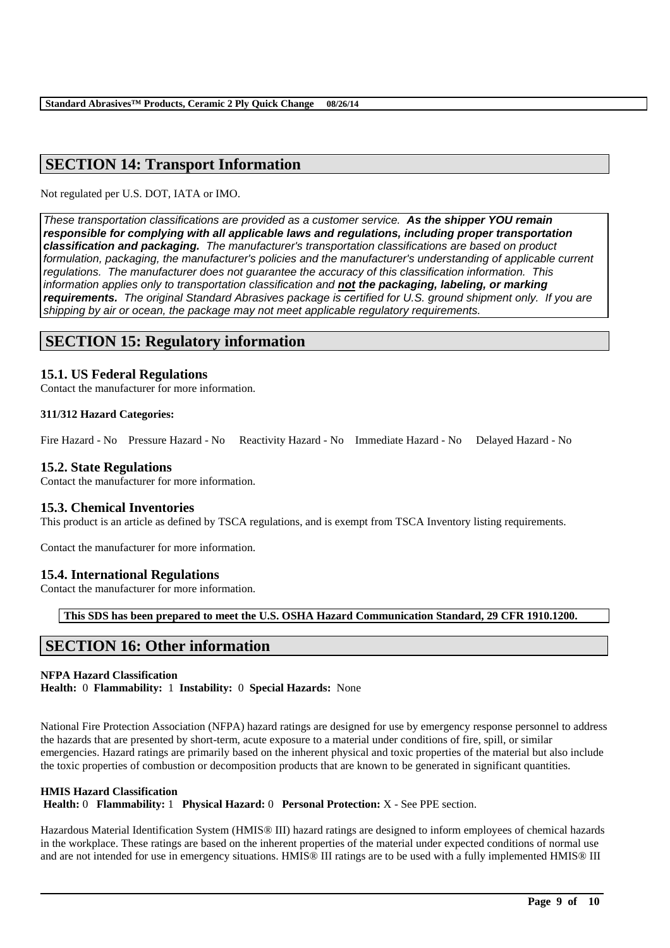# **SECTION 14: Transport Information**

Not regulated per U.S. DOT, IATA or IMO.

*These transportation classifications are provided as a customer service. As the shipper YOU remain responsible for complying with all applicable laws and regulations, including proper transportation classification and packaging. The manufacturer's transportation classifications are based on product*  formulation, packaging, the manufacturer's policies and the manufacturer's understanding of applicable current *regulations. The manufacturer does not guarantee the accuracy of this classification information. This information applies only to transportation classification and not the packaging, labeling, or marking requirements. The original Standard Abrasives package is certified for U.S. ground shipment only. If you are shipping by air or ocean, the package may not meet applicable regulatory requirements.* 

# **SECTION 15: Regulatory information**

#### **15.1. US Federal Regulations**

Contact the manufacturer for more information.

#### **311/312 Hazard Categories:**

Fire Hazard - No Pressure Hazard - No Reactivity Hazard - No Immediate Hazard - No Delayed Hazard - No

#### **15.2. State Regulations**

Contact the manufacturer for more information.

#### **15.3. Chemical Inventories**

This product is an article as defined by TSCA regulations, and is exempt from TSCA Inventory listing requirements.

Contact the manufacturer for more information.

#### **15.4. International Regulations**

Contact the manufacturer for more information.

**This SDS has been prepared to meet the U.S. OSHA Hazard Communication Standard, 29 CFR 1910.1200.**

# **SECTION 16: Other information**

#### **NFPA Hazard Classification**

**Health:** 0 **Flammability:** 1 **Instability:** 0 **Special Hazards:** None

National Fire Protection Association (NFPA) hazard ratings are designed for use by emergency response personnel to address the hazards that are presented by short-term, acute exposure to a material under conditions of fire, spill, or similar emergencies. Hazard ratings are primarily based on the inherent physical and toxic properties of the material but also include the toxic properties of combustion or decomposition products that are known to be generated in significant quantities.

#### **HMIS Hazard Classification**

**Health:** 0 **Flammability:** 1 **Physical Hazard:** 0 **Personal Protection:** X - See PPE section.

Hazardous Material Identification System (HMIS® III) hazard ratings are designed to inform employees of chemical hazards in the workplace. These ratings are based on the inherent properties of the material under expected conditions of normal use and are not intended for use in emergency situations. HMIS® III ratings are to be used with a fully implemented HMIS® III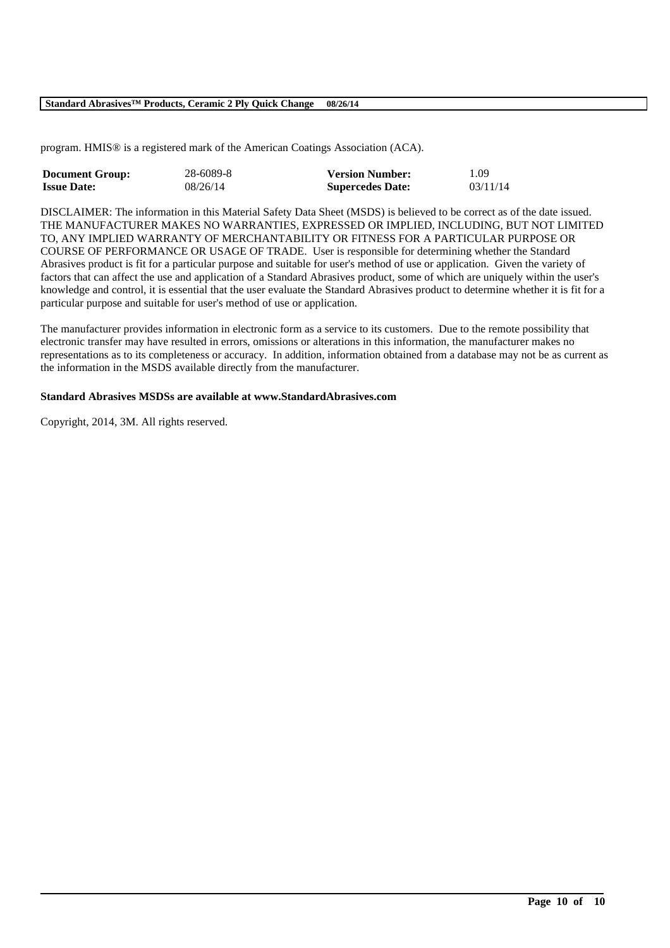#### **Standard Abrasives™ Products, Ceramic 2 Ply Quick Change 08/26/14**

program. HMIS® is a registered mark of the American Coatings Association (ACA).

| <b>Document Group:</b> | 28-6089-8 | <b>Version Number:</b>  | 1.09     |
|------------------------|-----------|-------------------------|----------|
| <b>Issue Date:</b>     | 08/26/14  | <b>Supercedes Date:</b> | 03/11/14 |

DISCLAIMER: The information in this Material Safety Data Sheet (MSDS) is believed to be correct as of the date issued. THE MANUFACTURER MAKES NO WARRANTIES, EXPRESSED OR IMPLIED, INCLUDING, BUT NOT LIMITED TO, ANY IMPLIED WARRANTY OF MERCHANTABILITY OR FITNESS FOR A PARTICULAR PURPOSE OR COURSE OF PERFORMANCE OR USAGE OF TRADE. User is responsible for determining whether the Standard Abrasives product is fit for a particular purpose and suitable for user's method of use or application. Given the variety of factors that can affect the use and application of a Standard Abrasives product, some of which are uniquely within the user's knowledge and control, it is essential that the user evaluate the Standard Abrasives product to determine whether it is fit for a particular purpose and suitable for user's method of use or application.

The manufacturer provides information in electronic form as a service to its customers. Due to the remote possibility that electronic transfer may have resulted in errors, omissions or alterations in this information, the manufacturer makes no representations as to its completeness or accuracy. In addition, information obtained from a database may not be as current as the information in the MSDS available directly from the manufacturer.

\_\_\_\_\_\_\_\_\_\_\_\_\_\_\_\_\_\_\_\_\_\_\_\_\_\_\_\_\_\_\_\_\_\_\_\_\_\_\_\_\_\_\_\_\_\_\_\_\_\_\_\_\_\_\_\_\_\_\_\_\_\_\_\_\_\_\_\_\_\_\_\_\_\_\_\_\_\_\_\_\_\_\_\_\_\_\_\_\_\_

#### **Standard Abrasives MSDSs are available at www.StandardAbrasives.com**

Copyright, 2014, 3M. All rights reserved.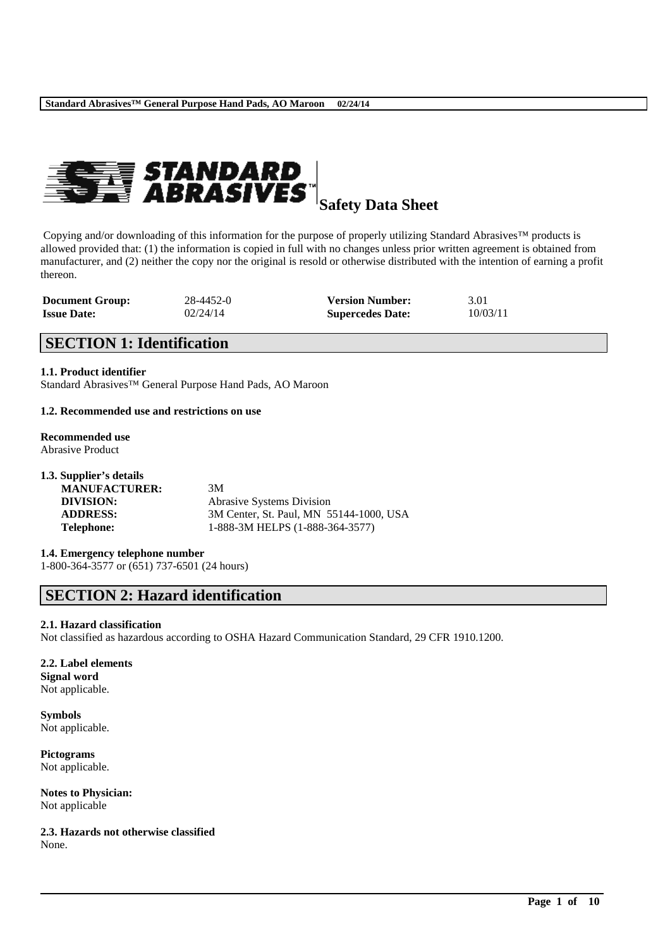

**Safety Data Sheet**

Copying and/or downloading of this information for the purpose of properly utilizing Standard Abrasives™ products is allowed provided that: (1) the information is copied in full with no changes unless prior written agreement is obtained from manufacturer, and (2) neither the copy nor the original is resold or otherwise distributed with the intention of earning a profit thereon.

| <b>Document Group:</b> | 28-4452-0 | <b>Version Number:</b>  | 3.01     |
|------------------------|-----------|-------------------------|----------|
| <b>Issue Date:</b>     | 02/24/14  | <b>Supercedes Date:</b> | 10/03/11 |

# **SECTION 1: Identification**

**1.1. Product identifier**

Standard Abrasives™ General Purpose Hand Pads, AO Maroon

#### **1.2. Recommended use and restrictions on use**

# **Recommended use**

Abrasive Product

| 1.3. Supplier's details |                                         |
|-------------------------|-----------------------------------------|
| <b>MANUFACTURER:</b>    | 3M                                      |
| DIVISION:               | <b>Abrasive Systems Division</b>        |
| <b>ADDRESS:</b>         | 3M Center, St. Paul, MN 55144-1000, USA |
| Telephone:              | 1-888-3M HELPS (1-888-364-3577)         |

#### **1.4. Emergency telephone number**

1-800-364-3577 or (651) 737-6501 (24 hours)

# **SECTION 2: Hazard identification**

#### **2.1. Hazard classification**

Not classified as hazardous according to OSHA Hazard Communication Standard, 29 CFR 1910.1200.

\_\_\_\_\_\_\_\_\_\_\_\_\_\_\_\_\_\_\_\_\_\_\_\_\_\_\_\_\_\_\_\_\_\_\_\_\_\_\_\_\_\_\_\_\_\_\_\_\_\_\_\_\_\_\_\_\_\_\_\_\_\_\_\_\_\_\_\_\_\_\_\_\_\_\_\_\_\_\_\_\_\_\_\_\_\_\_\_\_\_

#### **2.2. Label elements Signal word** Not applicable.

**Symbols** Not applicable.

**Pictograms** Not applicable.

**Notes to Physician:** Not applicable

**2.3. Hazards not otherwise classified** None.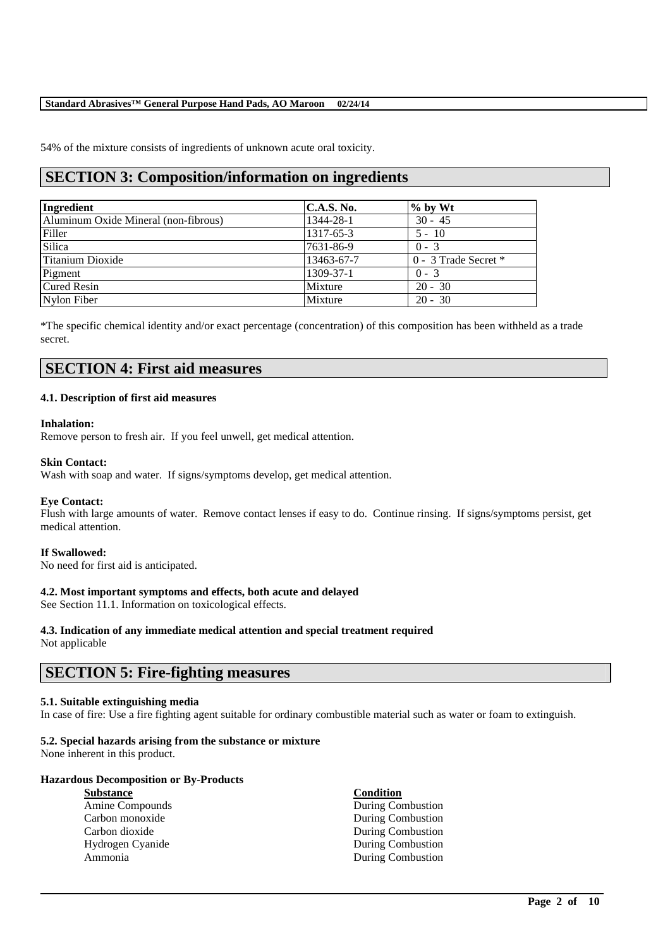#### **Standard Abrasives™ General Purpose Hand Pads, AO Maroon 02/24/14**

54% of the mixture consists of ingredients of unknown acute oral toxicity.

# **SECTION 3: Composition/information on ingredients**

| Ingredient                           | <b>C.A.S. No.</b> | $\%$ by Wt               |
|--------------------------------------|-------------------|--------------------------|
| Aluminum Oxide Mineral (non-fibrous) | 1344-28-1         | $30 - 45$                |
| Filler                               | 1317-65-3         | $5 - 10$                 |
| <b>Silica</b>                        | 7631-86-9         | $0 - 3$                  |
| Titanium Dioxide                     | 13463-67-7        | $0 - 3$ Trade Secret $*$ |
| Pigment                              | 1309-37-1         | $0 - 3$                  |
| <b>Cured Resin</b>                   | Mixture           | $20 - 30$                |
| Nylon Fiber                          | Mixture           | $20 - 30$                |

\*The specific chemical identity and/or exact percentage (concentration) of this composition has been withheld as a trade secret.

# **SECTION 4: First aid measures**

#### **4.1. Description of first aid measures**

#### **Inhalation:**

Remove person to fresh air. If you feel unwell, get medical attention.

#### **Skin Contact:**

Wash with soap and water. If signs/symptoms develop, get medical attention.

#### **Eye Contact:**

Flush with large amounts of water. Remove contact lenses if easy to do. Continue rinsing. If signs/symptoms persist, get medical attention.

#### **If Swallowed:**

No need for first aid is anticipated.

#### **4.2. Most important symptoms and effects, both acute and delayed**

See Section 11.1. Information on toxicological effects.

# **4.3. Indication of any immediate medical attention and special treatment required**

Not applicable

# **SECTION 5: Fire-fighting measures**

#### **5.1. Suitable extinguishing media**

In case of fire: Use a fire fighting agent suitable for ordinary combustible material such as water or foam to extinguish.

\_\_\_\_\_\_\_\_\_\_\_\_\_\_\_\_\_\_\_\_\_\_\_\_\_\_\_\_\_\_\_\_\_\_\_\_\_\_\_\_\_\_\_\_\_\_\_\_\_\_\_\_\_\_\_\_\_\_\_\_\_\_\_\_\_\_\_\_\_\_\_\_\_\_\_\_\_\_\_\_\_\_\_\_\_\_\_\_\_\_

#### **5.2. Special hazards arising from the substance or mixture**

None inherent in this product.

#### **Hazardous Decomposition or By-Products**

| Substance        |
|------------------|
| Amine Compounds  |
| Carbon monoxide  |
| Carbon dioxide   |
| Hydrogen Cyanide |
| Ammonia          |

#### **Substance Condition During Combustion** During Combustion During Combustion During Combustion **During Combustion**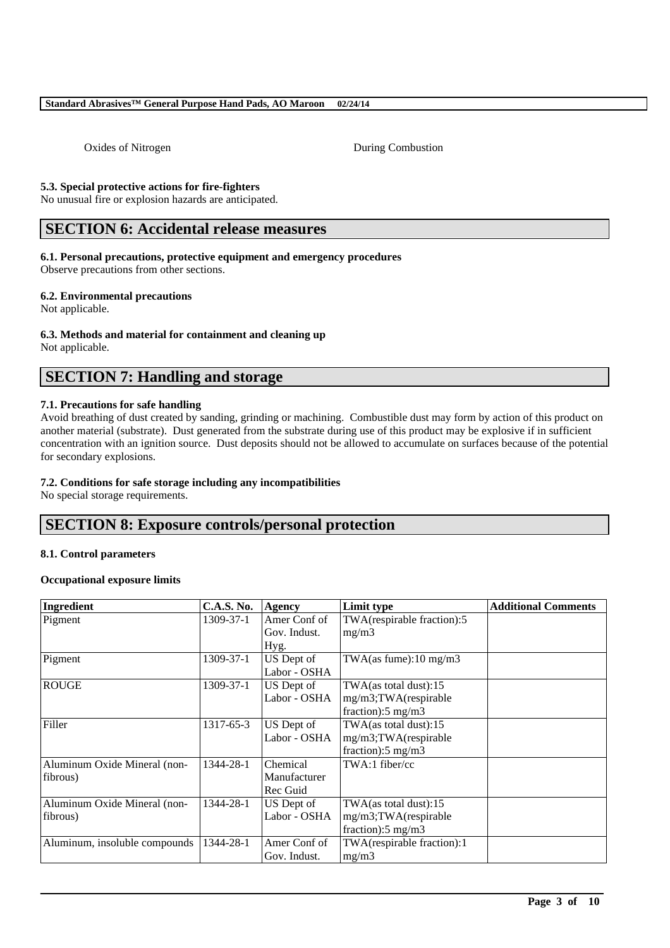#### **Standard Abrasives™ General Purpose Hand Pads, AO Maroon 02/24/14**

Oxides of Nitrogen During Combustion

#### **5.3. Special protective actions for fire-fighters**

No unusual fire or explosion hazards are anticipated.

# **SECTION 6: Accidental release measures**

#### **6.1. Personal precautions, protective equipment and emergency procedures**

Observe precautions from other sections.

#### **6.2. Environmental precautions**

Not applicable.

#### **6.3. Methods and material for containment and cleaning up**

Not applicable.

# **SECTION 7: Handling and storage**

#### **7.1. Precautions for safe handling**

Avoid breathing of dust created by sanding, grinding or machining. Combustible dust may form by action of this product on another material (substrate). Dust generated from the substrate during use of this product may be explosive if in sufficient concentration with an ignition source. Dust deposits should not be allowed to accumulate on surfaces because of the potential for secondary explosions.

#### **7.2. Conditions for safe storage including any incompatibilities**

No special storage requirements.

# **SECTION 8: Exposure controls/personal protection**

#### **8.1. Control parameters**

#### **Occupational exposure limits**

| Ingredient                    | <b>C.A.S. No.</b> | Agency       | Limit type                    | <b>Additional Comments</b> |
|-------------------------------|-------------------|--------------|-------------------------------|----------------------------|
| Pigment                       | 1309-37-1         | Amer Conf of | TWA(respirable fraction):5    |                            |
|                               |                   | Gov. Indust. | mg/m3                         |                            |
|                               |                   | Hyg.         |                               |                            |
| Pigment                       | 1309-37-1         | US Dept of   | TWA(as fume):10 mg/m3         |                            |
|                               |                   | Labor - OSHA |                               |                            |
| <b>ROUGE</b>                  | 1309-37-1         | US Dept of   | TWA(as total dust):15         |                            |
|                               |                   | Labor - OSHA | mg/m3;TWA(respirable          |                            |
|                               |                   |              | fraction): $5 \text{ mg/m}$ 3 |                            |
| Filler                        | 1317-65-3         | US Dept of   | $TWA$ (as total dust):15      |                            |
|                               |                   | Labor - OSHA | mg/m3;TWA(respirable          |                            |
|                               |                   |              | fraction): $5 \text{ mg/m}$ 3 |                            |
| Aluminum Oxide Mineral (non-  | 1344-28-1         | Chemical     | TWA:1 fiber/cc                |                            |
| fibrous)                      |                   | Manufacturer |                               |                            |
|                               |                   | Rec Guid     |                               |                            |
| Aluminum Oxide Mineral (non-  | 1344-28-1         | US Dept of   | TWA(as total dust):15         |                            |
| fibrous)                      |                   | Labor - OSHA | mg/m3;TWA(respirable          |                            |
|                               |                   |              | fraction): $5 \text{ mg/m}$ 3 |                            |
| Aluminum, insoluble compounds | 1344-28-1         | Amer Conf of | TWA(respirable fraction):1    |                            |
|                               |                   | Gov. Indust. | mg/m3                         |                            |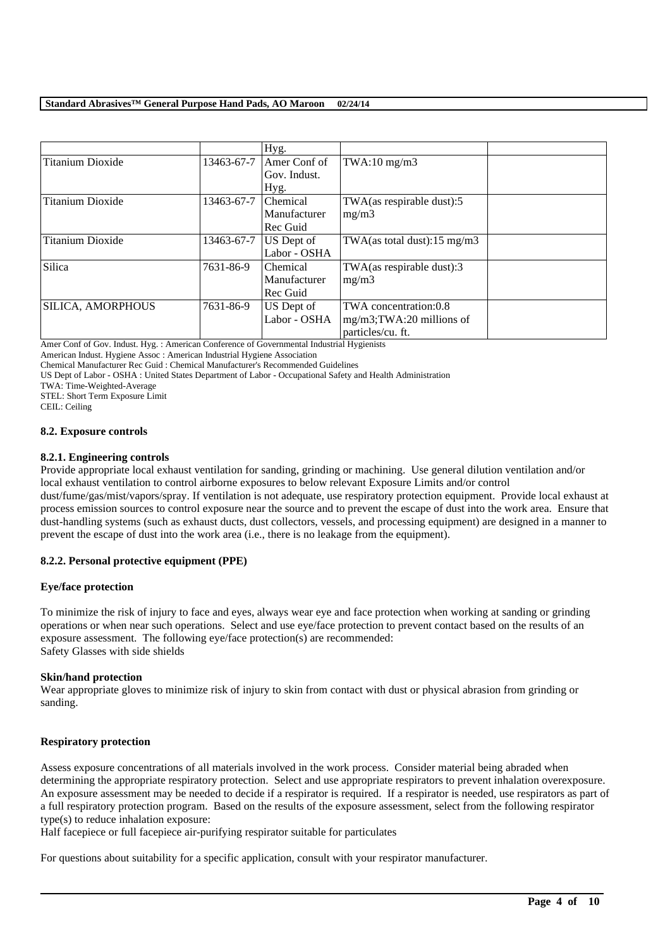|                          |            | Hyg.         |                               |  |
|--------------------------|------------|--------------|-------------------------------|--|
| <b>Titanium Dioxide</b>  | 13463-67-7 | Amer Conf of | TWA:10 $mg/m3$                |  |
|                          |            | Gov. Indust. |                               |  |
|                          |            | Hyg.         |                               |  |
| Titanium Dioxide         | 13463-67-7 | Chemical     | TWA(as respirable dust):5     |  |
|                          |            | Manufacturer | mg/m3                         |  |
|                          |            | Rec Guid     |                               |  |
| Titanium Dioxide         | 13463-67-7 | US Dept of   | TWA(as total dust):15 mg/m3   |  |
|                          |            | Labor - OSHA |                               |  |
| Silica                   | 7631-86-9  | Chemical     | TWA(as respirable dust):3     |  |
|                          |            | Manufacturer | mg/m3                         |  |
|                          |            | Rec Guid     |                               |  |
| <b>SILICA, AMORPHOUS</b> | 7631-86-9  | US Dept of   | TWA concentration:0.8         |  |
|                          |            | Labor - OSHA | $mg/m3$ ; TWA: 20 millions of |  |
|                          |            |              | particles/cu. ft.             |  |

Amer Conf of Gov. Indust. Hyg. : American Conference of Governmental Industrial Hygienists

American Indust. Hygiene Assoc : American Industrial Hygiene Association

Chemical Manufacturer Rec Guid : Chemical Manufacturer's Recommended Guidelines

US Dept of Labor - OSHA : United States Department of Labor - Occupational Safety and Health Administration

TWA: Time-Weighted-Average

STEL: Short Term Exposure Limit

CEIL: Ceiling

#### **8.2. Exposure controls**

#### **8.2.1. Engineering controls**

Provide appropriate local exhaust ventilation for sanding, grinding or machining. Use general dilution ventilation and/or local exhaust ventilation to control airborne exposures to below relevant Exposure Limits and/or control

dust/fume/gas/mist/vapors/spray. If ventilation is not adequate, use respiratory protection equipment. Provide local exhaust at process emission sources to control exposure near the source and to prevent the escape of dust into the work area. Ensure that dust-handling systems (such as exhaust ducts, dust collectors, vessels, and processing equipment) are designed in a manner to prevent the escape of dust into the work area (i.e., there is no leakage from the equipment).

#### **8.2.2. Personal protective equipment (PPE)**

#### **Eye/face protection**

To minimize the risk of injury to face and eyes, always wear eye and face protection when working at sanding or grinding operations or when near such operations. Select and use eye/face protection to prevent contact based on the results of an exposure assessment. The following eye/face protection(s) are recommended: Safety Glasses with side shields

#### **Skin/hand protection**

Wear appropriate gloves to minimize risk of injury to skin from contact with dust or physical abrasion from grinding or sanding.

#### **Respiratory protection**

Assess exposure concentrations of all materials involved in the work process. Consider material being abraded when determining the appropriate respiratory protection. Select and use appropriate respirators to prevent inhalation overexposure. An exposure assessment may be needed to decide if a respirator is required. If a respirator is needed, use respirators as part of a full respiratory protection program. Based on the results of the exposure assessment, select from the following respirator type(s) to reduce inhalation exposure:

\_\_\_\_\_\_\_\_\_\_\_\_\_\_\_\_\_\_\_\_\_\_\_\_\_\_\_\_\_\_\_\_\_\_\_\_\_\_\_\_\_\_\_\_\_\_\_\_\_\_\_\_\_\_\_\_\_\_\_\_\_\_\_\_\_\_\_\_\_\_\_\_\_\_\_\_\_\_\_\_\_\_\_\_\_\_\_\_\_\_

Half facepiece or full facepiece air-purifying respirator suitable for particulates

For questions about suitability for a specific application, consult with your respirator manufacturer.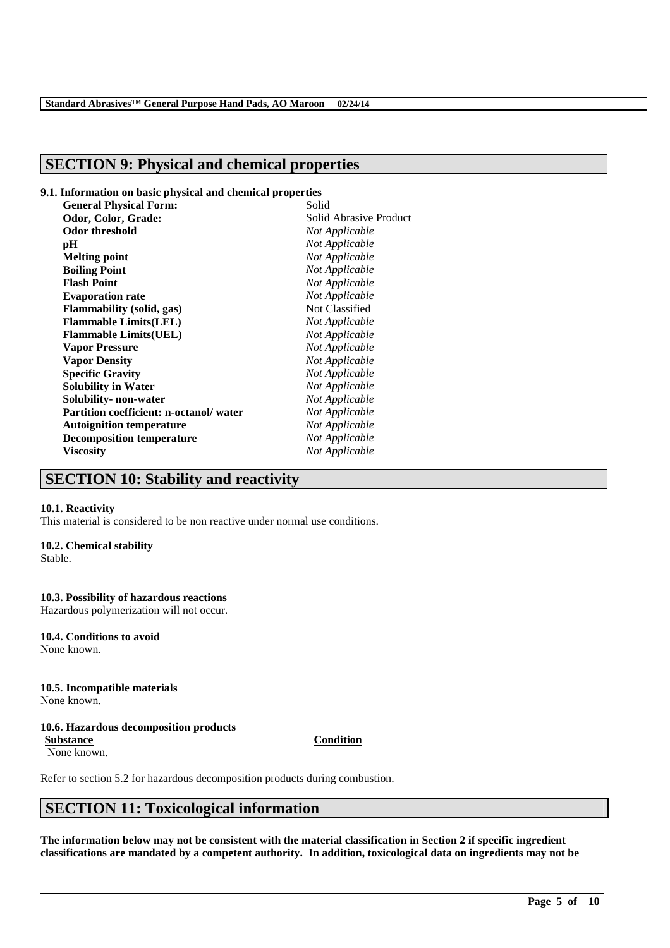# **SECTION 9: Physical and chemical properties**

#### **9.1. Information on basic physical and chemical properties**

| <b>General Physical Form:</b>          | Solid                  |
|----------------------------------------|------------------------|
| Odor, Color, Grade:                    | Solid Abrasive Product |
| <b>Odor threshold</b>                  | Not Applicable         |
| рH                                     | Not Applicable         |
| <b>Melting point</b>                   | Not Applicable         |
| <b>Boiling Point</b>                   | Not Applicable         |
| <b>Flash Point</b>                     | Not Applicable         |
| <b>Evaporation rate</b>                | Not Applicable         |
| <b>Flammability (solid, gas)</b>       | Not Classified         |
| <b>Flammable Limits(LEL)</b>           | Not Applicable         |
| <b>Flammable Limits(UEL)</b>           | Not Applicable         |
| <b>Vapor Pressure</b>                  | Not Applicable         |
| <b>Vapor Density</b>                   | Not Applicable         |
| <b>Specific Gravity</b>                | Not Applicable         |
| <b>Solubility in Water</b>             | Not Applicable         |
| Solubility- non-water                  | Not Applicable         |
| Partition coefficient: n-octanol/water | Not Applicable         |
| <b>Autoignition temperature</b>        | Not Applicable         |
| <b>Decomposition temperature</b>       | Not Applicable         |
| <b>Viscosity</b>                       | Not Applicable         |
|                                        |                        |

# **SECTION 10: Stability and reactivity**

#### **10.1. Reactivity**

This material is considered to be non reactive under normal use conditions.

#### **10.2. Chemical stability**

Stable.

#### **10.3. Possibility of hazardous reactions**

Hazardous polymerization will not occur.

#### **10.4. Conditions to avoid** None known.

# **10.5. Incompatible materials**

None known.

# **10.6. Hazardous decomposition products**

None known.

Refer to section 5.2 for hazardous decomposition products during combustion.

# **SECTION 11: Toxicological information**

**The information below may not be consistent with the material classification in Section 2 if specific ingredient classifications are mandated by a competent authority. In addition, toxicological data on ingredients may not be** 

\_\_\_\_\_\_\_\_\_\_\_\_\_\_\_\_\_\_\_\_\_\_\_\_\_\_\_\_\_\_\_\_\_\_\_\_\_\_\_\_\_\_\_\_\_\_\_\_\_\_\_\_\_\_\_\_\_\_\_\_\_\_\_\_\_\_\_\_\_\_\_\_\_\_\_\_\_\_\_\_\_\_\_\_\_\_\_\_\_\_

#### **Substance Condition**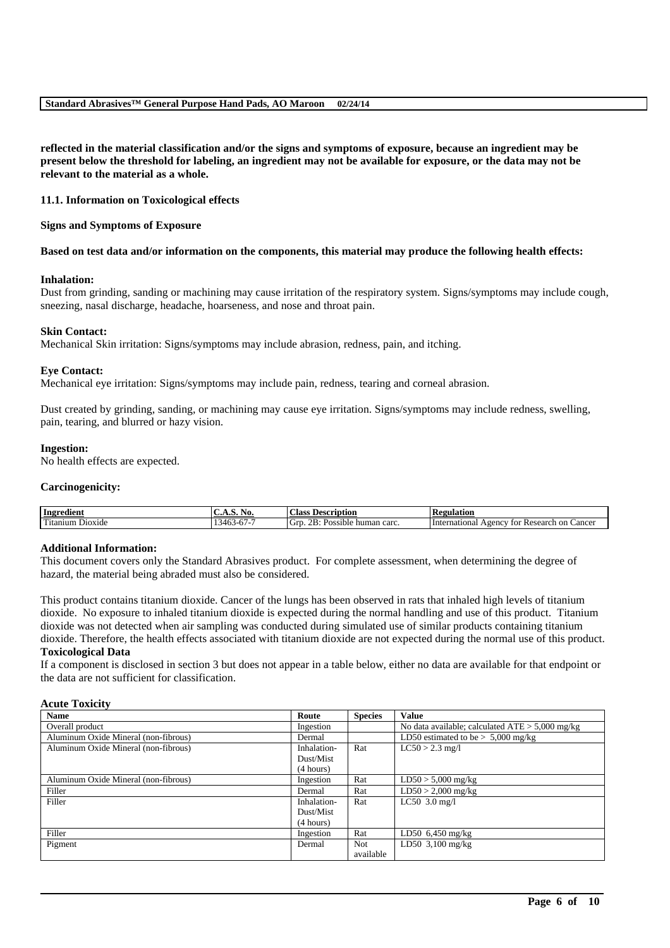**reflected in the material classification and/or the signs and symptoms of exposure, because an ingredient may be present below the threshold for labeling, an ingredient may not be available for exposure, or the data may not be relevant to the material as a whole.**

## **11.1. Information on Toxicological effects**

## **Signs and Symptoms of Exposure**

## **Based on test data and/or information on the components, this material may produce the following health effects:**

## **Inhalation:**

Dust from grinding, sanding or machining may cause irritation of the respiratory system. Signs/symptoms may include cough, sneezing, nasal discharge, headache, hoarseness, and nose and throat pain.

## **Skin Contact:**

Mechanical Skin irritation: Signs/symptoms may include abrasion, redness, pain, and itching.

## **Eye Contact:**

Mechanical eye irritation: Signs/symptoms may include pain, redness, tearing and corneal abrasion.

Dust created by grinding, sanding, or machining may cause eye irritation. Signs/symptoms may include redness, swelling, pain, tearing, and blurred or hazy vision.

## **Ingestion:**

No health effects are expected.

## **Carcinogenicity:**

| Ingredient                   | . VO.<br><b>1.7.7.1.7.</b>           | <b>Class</b><br>Description                                                   | <b>Regulation</b>                                                                 |
|------------------------------|--------------------------------------|-------------------------------------------------------------------------------|-----------------------------------------------------------------------------------|
| m.<br>ı Dioxide<br>! itanıum | $\sim$<br>$-$<br>54F<br>-O / -<br>᠇୰ | $\sim$<br>∽<br>$2R_1$<br>carc<br>Grr<br>م مان<br>human<br>sible<br>- 120<br>. | ∠ancei<br>International<br>. on<br>Research<br>tor<br>A <sub>gencv</sub><br>ำ I\⊾ |

## **Additional Information:**

This document covers only the Standard Abrasives product. For complete assessment, when determining the degree of hazard, the material being abraded must also be considered.

This product contains titanium dioxide. Cancer of the lungs has been observed in rats that inhaled high levels of titanium dioxide. No exposure to inhaled titanium dioxide is expected during the normal handling and use of this product. Titanium dioxide was not detected when air sampling was conducted during simulated use of similar products containing titanium dioxide. Therefore, the health effects associated with titanium dioxide are not expected during the normal use of this product. **Toxicological Data**

If a component is disclosed in section 3 but does not appear in a table below, either no data are available for that endpoint or the data are not sufficient for classification.

## **Acute Toxicity**

| <b>Name</b>                          | Route       | <b>Species</b> | <b>Value</b>                                      |
|--------------------------------------|-------------|----------------|---------------------------------------------------|
| Overall product                      | Ingestion   |                | No data available; calculated $ATE > 5,000$ mg/kg |
| Aluminum Oxide Mineral (non-fibrous) | Dermal      |                | LD50 estimated to be $> 5,000$ mg/kg              |
| Aluminum Oxide Mineral (non-fibrous) | Inhalation- | Rat            | $LC50 > 2.3$ mg/l                                 |
|                                      | Dust/Mist   |                |                                                   |
|                                      | (4 hours)   |                |                                                   |
| Aluminum Oxide Mineral (non-fibrous) | Ingestion   | Rat            | $LD50 > 5,000$ mg/kg                              |
| Filler                               | Dermal      | Rat            | $LD50 > 2,000$ mg/kg                              |
| Filler                               | Inhalation- | Rat            | $LC50$ 3.0 mg/l                                   |
|                                      | Dust/Mist   |                |                                                   |
|                                      | (4 hours)   |                |                                                   |
| Filler                               | Ingestion   | Rat            | LD50 $6,450$ mg/kg                                |
| Pigment                              | Dermal      | <b>Not</b>     | LD50 $3,100$ mg/kg                                |
|                                      |             | available      |                                                   |

\_\_\_\_\_\_\_\_\_\_\_\_\_\_\_\_\_\_\_\_\_\_\_\_\_\_\_\_\_\_\_\_\_\_\_\_\_\_\_\_\_\_\_\_\_\_\_\_\_\_\_\_\_\_\_\_\_\_\_\_\_\_\_\_\_\_\_\_\_\_\_\_\_\_\_\_\_\_\_\_\_\_\_\_\_\_\_\_\_\_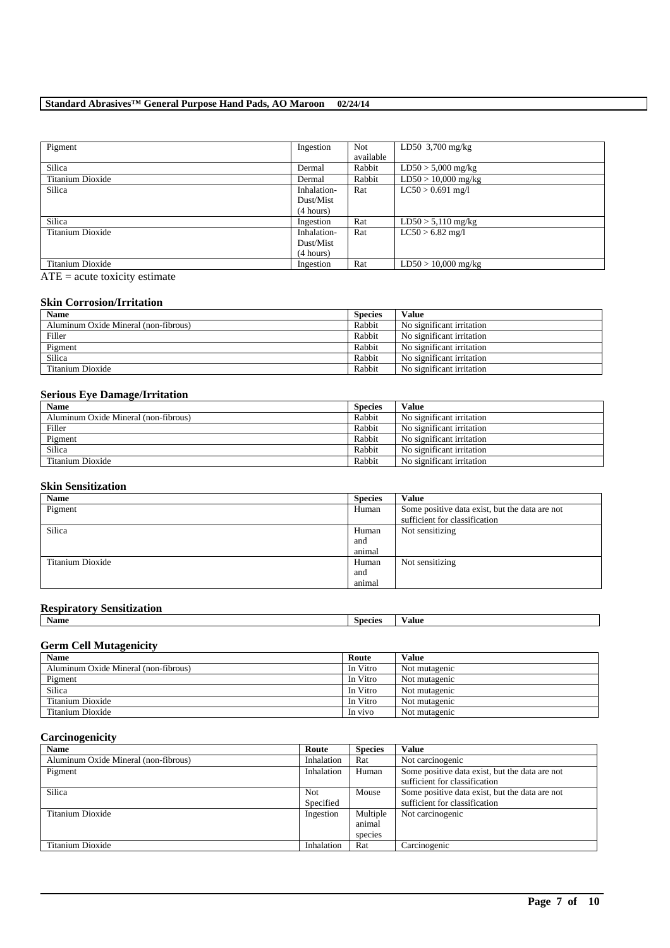# **Standard Abrasives™ General Purpose Hand Pads, AO Maroon 02/24/14**

| Pigment          | Ingestion   | <b>Not</b> | LD50 $3,700$ mg/kg    |
|------------------|-------------|------------|-----------------------|
|                  |             | available  |                       |
| Silica           | Dermal      | Rabbit     | $LD50 > 5,000$ mg/kg  |
| Titanium Dioxide | Dermal      | Rabbit     | $LD50 > 10,000$ mg/kg |
| Silica           | Inhalation- | Rat        | $LC50 > 0.691$ mg/l   |
|                  | Dust/Mist   |            |                       |
|                  | (4 hours)   |            |                       |
| Silica           | Ingestion   | Rat        | $LD50 > 5,110$ mg/kg  |
| Titanium Dioxide | Inhalation- | Rat        | $LC50 > 6.82$ mg/l    |
|                  | Dust/Mist   |            |                       |
|                  | (4 hours)   |            |                       |
| Titanium Dioxide | Ingestion   | Rat        | $LD50 > 10,000$ mg/kg |

 $ATE = acute toxicity estimate$ 

# **Skin Corrosion/Irritation**

| <b>Name</b>                          | <b>Species</b> | Value                     |
|--------------------------------------|----------------|---------------------------|
| Aluminum Oxide Mineral (non-fibrous) | Rabbit         | No significant irritation |
| Filler                               | Rabbit         | No significant irritation |
| Pigment                              | Rabbit         | No significant irritation |
| Silica                               | Rabbit         | No significant irritation |
| Titanium Dioxide                     | Rabbit         | No significant irritation |

# **Serious Eye Damage/Irritation**

| <b>Name</b>                          | <b>Species</b> | Value                     |
|--------------------------------------|----------------|---------------------------|
| Aluminum Oxide Mineral (non-fibrous) | Rabbit         | No significant irritation |
| Filler                               | Rabbit         | No significant irritation |
| Pigment                              | Rabbit         | No significant irritation |
| Silica                               | Rabbit         | No significant irritation |
| Titanium Dioxide                     | Rabbit         | No significant irritation |

## **Skin Sensitization**

| <b>Name</b>      | <b>Species</b> | Value                                          |
|------------------|----------------|------------------------------------------------|
| Pigment          | Human          | Some positive data exist, but the data are not |
|                  |                | sufficient for classification                  |
| Silica           | Human          | Not sensitizing                                |
|                  | and            |                                                |
|                  | animal         |                                                |
| Titanium Dioxide | Human          | Not sensitizing                                |
|                  | and            |                                                |
|                  | animal         |                                                |

# **Respiratory Sensitization**

| .<br>___<br>.<br>. .<br>Name | <b>Species</b> | ⁄ alue |
|------------------------------|----------------|--------|
|                              |                |        |

## **Germ Cell Mutagenicity**

| <b>Name</b>                          | Route    | <b>Value</b>  |
|--------------------------------------|----------|---------------|
| Aluminum Oxide Mineral (non-fibrous) | In Vitro | Not mutagenic |
| Pigment                              | In Vitro | Not mutagenic |
| Silica                               | In Vitro | Not mutagenic |
| Titanium Dioxide                     | In Vitro | Not mutagenic |
| Titanium Dioxide                     | In vivo  | Not mutagenic |

## **Carcinogenicity**

| <b>Name</b>                          | Route            | <b>Species</b>                | <b>Value</b>                                                                    |
|--------------------------------------|------------------|-------------------------------|---------------------------------------------------------------------------------|
| Aluminum Oxide Mineral (non-fibrous) | Inhalation       | Rat                           | Not carcinogenic                                                                |
| Pigment                              | Inhalation       | Human                         | Some positive data exist, but the data are not<br>sufficient for classification |
| Silica                               | Not<br>Specified | Mouse                         | Some positive data exist, but the data are not<br>sufficient for classification |
| Titanium Dioxide                     | Ingestion        | Multiple<br>animal<br>species | Not carcinogenic                                                                |
| Titanium Dioxide                     | Inhalation       | Rat                           | Carcinogenic                                                                    |

\_\_\_\_\_\_\_\_\_\_\_\_\_\_\_\_\_\_\_\_\_\_\_\_\_\_\_\_\_\_\_\_\_\_\_\_\_\_\_\_\_\_\_\_\_\_\_\_\_\_\_\_\_\_\_\_\_\_\_\_\_\_\_\_\_\_\_\_\_\_\_\_\_\_\_\_\_\_\_\_\_\_\_\_\_\_\_\_\_\_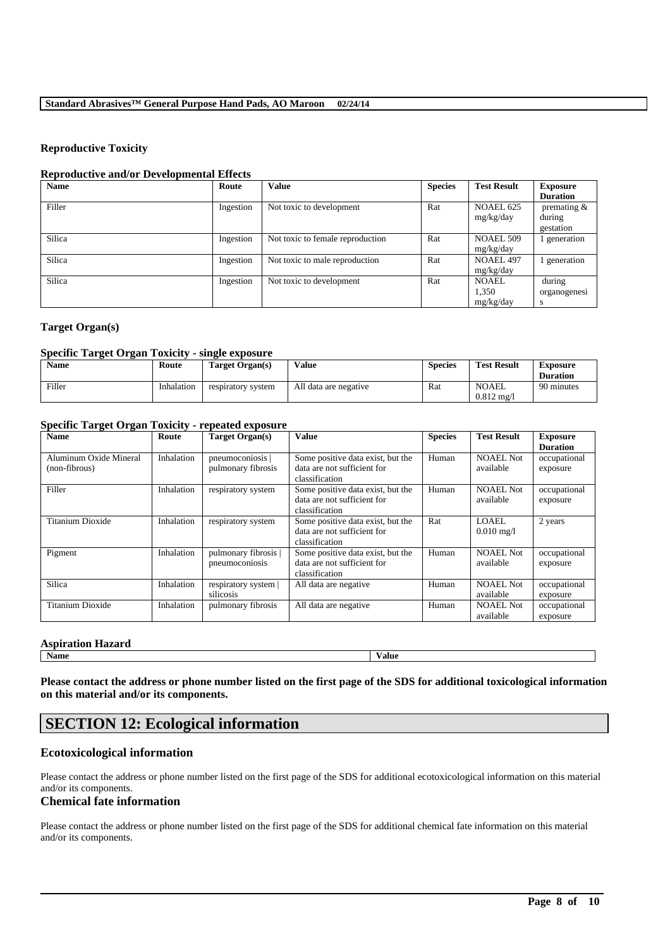## **Reproductive Toxicity**

## **Reproductive and/or Developmental Effects**

| <b>Name</b> | Route     | <b>Value</b>                     | <b>Species</b> | <b>Test Result</b>                 | <b>Exposure</b><br><b>Duration</b>    |
|-------------|-----------|----------------------------------|----------------|------------------------------------|---------------------------------------|
| Filler      | Ingestion | Not toxic to development         | Rat            | NOAEL 625<br>mg/kg/day             | premating $\&$<br>during<br>gestation |
| Silica      | Ingestion | Not toxic to female reproduction | Rat            | <b>NOAEL 509</b><br>mg/kg/day      | generation                            |
| Silica      | Ingestion | Not toxic to male reproduction   | Rat            | NOAEL 497<br>mg/kg/day             | generation                            |
| Silica      | Ingestion | Not toxic to development         | Rat            | <b>NOAEL</b><br>1,350<br>mg/kg/day | during<br>organogenesi<br>S           |

# **Target Organ(s)**

#### **Specific Target Organ Toxicity - single exposure**

| <b>Name</b> | Route      | Target Organ(s)    | Value                 | <b>Species</b> | <b>Test Result</b>                    | <b>Exposure</b><br><b>Duration</b> |
|-------------|------------|--------------------|-----------------------|----------------|---------------------------------------|------------------------------------|
| Filler      | Inhalation | respiratory system | All data are negative | Rat            | <b>NOAEL</b><br>$0.812 \text{ mg}$ /l | 90 minutes                         |

# **Specific Target Organ Toxicity - repeated exposure**

| <b>Name</b>                             | Route      | Target Organ(s)                        | <b>Value</b>                                                                       | <b>Species</b> | <b>Test Result</b>                   | <b>Exposure</b><br><b>Duration</b> |
|-----------------------------------------|------------|----------------------------------------|------------------------------------------------------------------------------------|----------------|--------------------------------------|------------------------------------|
| Aluminum Oxide Mineral<br>(non-fibrous) | Inhalation | pneumoconiosis  <br>pulmonary fibrosis | Some positive data exist, but the<br>data are not sufficient for<br>classification | Human          | <b>NOAEL Not</b><br>available        | occupational<br>exposure           |
| Filler                                  | Inhalation | respiratory system                     | Some positive data exist, but the<br>data are not sufficient for<br>classification | Human          | <b>NOAEL Not</b><br>available        | occupational<br>exposure           |
| Titanium Dioxide                        | Inhalation | respiratory system                     | Some positive data exist, but the<br>data are not sufficient for<br>classification | Rat            | <b>LOAEL</b><br>$0.010 \text{ mg}/1$ | 2 years                            |
| Pigment                                 | Inhalation | pulmonary fibrosis  <br>pneumoconiosis | Some positive data exist, but the<br>data are not sufficient for<br>classification | Human          | <b>NOAEL Not</b><br>available        | occupational<br>exposure           |
| Silica                                  | Inhalation | respiratory system  <br>silicosis      | All data are negative                                                              | Human          | <b>NOAEL Not</b><br>available        | occupational<br>exposure           |
| Titanium Dioxide                        | Inhalation | pulmonary fibrosis                     | All data are negative                                                              | Human          | <b>NOAEL Not</b><br>available        | occupational<br>exposure           |

## **Aspiration Hazard**

**Name Value**

**Please contact the address or phone number listed on the first page of the SDS for additional toxicological information on this material and/or its components.**

# **SECTION 12: Ecological information**

## **Ecotoxicological information**

Please contact the address or phone number listed on the first page of the SDS for additional ecotoxicological information on this material and/or its components.

# **Chemical fate information**

Please contact the address or phone number listed on the first page of the SDS for additional chemical fate information on this material and/or its components.

\_\_\_\_\_\_\_\_\_\_\_\_\_\_\_\_\_\_\_\_\_\_\_\_\_\_\_\_\_\_\_\_\_\_\_\_\_\_\_\_\_\_\_\_\_\_\_\_\_\_\_\_\_\_\_\_\_\_\_\_\_\_\_\_\_\_\_\_\_\_\_\_\_\_\_\_\_\_\_\_\_\_\_\_\_\_\_\_\_\_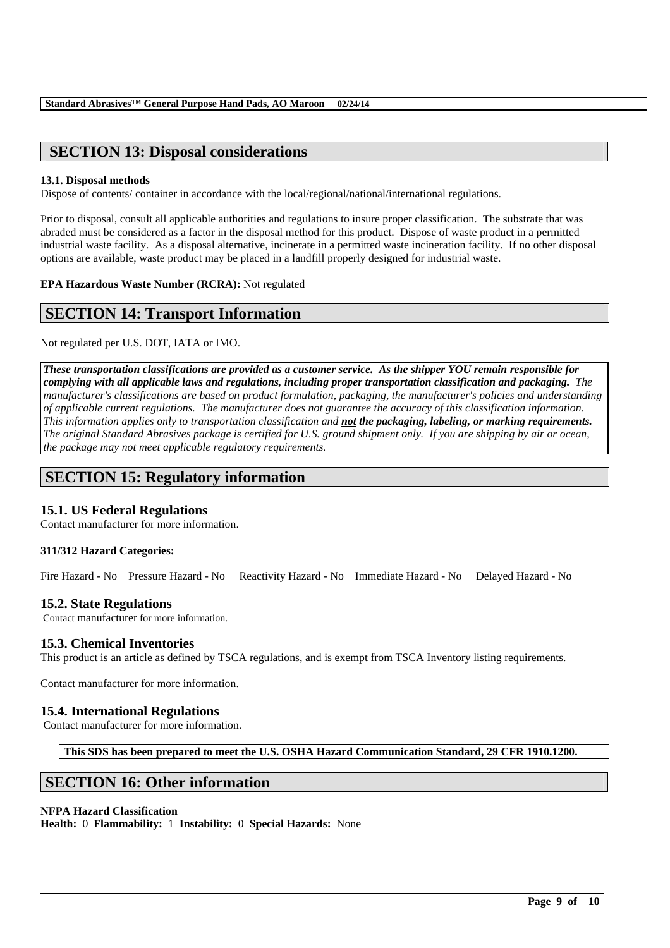# **SECTION 13: Disposal considerations**

## **13.1. Disposal methods**

Dispose of contents/ container in accordance with the local/regional/national/international regulations.

Prior to disposal, consult all applicable authorities and regulations to insure proper classification. The substrate that was abraded must be considered as a factor in the disposal method for this product. Dispose of waste product in a permitted industrial waste facility. As a disposal alternative, incinerate in a permitted waste incineration facility. If no other disposal options are available, waste product may be placed in a landfill properly designed for industrial waste.

**EPA Hazardous Waste Number (RCRA):** Not regulated

# **SECTION 14: Transport Information**

Not regulated per U.S. DOT, IATA or IMO.

*These transportation classifications are provided as a customer service. As the shipper YOU remain responsible for complying with all applicable laws and regulations, including proper transportation classification and packaging. The manufacturer's classifications are based on product formulation, packaging, the manufacturer's policies and understanding of applicable current regulations. The manufacturer does not guarantee the accuracy of this classification information. This information applies only to transportation classification and not the packaging, labeling, or marking requirements. The original Standard Abrasives package is certified for U.S. ground shipment only. If you are shipping by air or ocean, the package may not meet applicable regulatory requirements.* 

# **SECTION 15: Regulatory information**

## **15.1. US Federal Regulations**

Contact manufacturer for more information.

## **311/312 Hazard Categories:**

Fire Hazard - No Pressure Hazard - No Reactivity Hazard - No Immediate Hazard - No Delayed Hazard - No

## **15.2. State Regulations**

Contact manufacturer for more information.

## **15.3. Chemical Inventories**

This product is an article as defined by TSCA regulations, and is exempt from TSCA Inventory listing requirements.

Contact manufacturer for more information.

## **15.4. International Regulations**

Contact manufacturer for more information.

**This SDS has been prepared to meet the U.S. OSHA Hazard Communication Standard, 29 CFR 1910.1200.**

\_\_\_\_\_\_\_\_\_\_\_\_\_\_\_\_\_\_\_\_\_\_\_\_\_\_\_\_\_\_\_\_\_\_\_\_\_\_\_\_\_\_\_\_\_\_\_\_\_\_\_\_\_\_\_\_\_\_\_\_\_\_\_\_\_\_\_\_\_\_\_\_\_\_\_\_\_\_\_\_\_\_\_\_\_\_\_\_\_\_

# **SECTION 16: Other information**

## **NFPA Hazard Classification**

**Health:** 0 **Flammability:** 1 **Instability:** 0 **Special Hazards:** None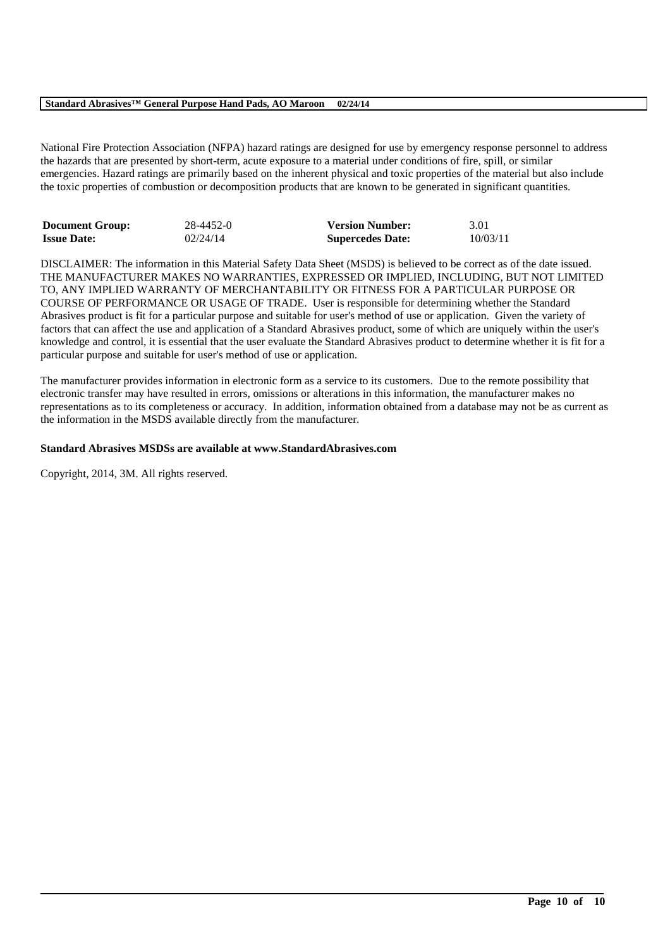## **Standard Abrasives™ General Purpose Hand Pads, AO Maroon 02/24/14**

National Fire Protection Association (NFPA) hazard ratings are designed for use by emergency response personnel to address the hazards that are presented by short-term, acute exposure to a material under conditions of fire, spill, or similar emergencies. Hazard ratings are primarily based on the inherent physical and toxic properties of the material but also include the toxic properties of combustion or decomposition products that are known to be generated in significant quantities.

| <b>Document Group:</b> | 28-4452-0 | <b>Version Number:</b>  | 3.01     |
|------------------------|-----------|-------------------------|----------|
| <b>Issue Date:</b>     | 02/24/14  | <b>Supercedes Date:</b> | 10/03/11 |

DISCLAIMER: The information in this Material Safety Data Sheet (MSDS) is believed to be correct as of the date issued. THE MANUFACTURER MAKES NO WARRANTIES, EXPRESSED OR IMPLIED, INCLUDING, BUT NOT LIMITED TO, ANY IMPLIED WARRANTY OF MERCHANTABILITY OR FITNESS FOR A PARTICULAR PURPOSE OR COURSE OF PERFORMANCE OR USAGE OF TRADE. User is responsible for determining whether the Standard Abrasives product is fit for a particular purpose and suitable for user's method of use or application. Given the variety of factors that can affect the use and application of a Standard Abrasives product, some of which are uniquely within the user's knowledge and control, it is essential that the user evaluate the Standard Abrasives product to determine whether it is fit for a particular purpose and suitable for user's method of use or application.

The manufacturer provides information in electronic form as a service to its customers. Due to the remote possibility that electronic transfer may have resulted in errors, omissions or alterations in this information, the manufacturer makes no representations as to its completeness or accuracy. In addition, information obtained from a database may not be as current as the information in the MSDS available directly from the manufacturer.

\_\_\_\_\_\_\_\_\_\_\_\_\_\_\_\_\_\_\_\_\_\_\_\_\_\_\_\_\_\_\_\_\_\_\_\_\_\_\_\_\_\_\_\_\_\_\_\_\_\_\_\_\_\_\_\_\_\_\_\_\_\_\_\_\_\_\_\_\_\_\_\_\_\_\_\_\_\_\_\_\_\_\_\_\_\_\_\_\_\_

## **Standard Abrasives MSDSs are available at www.StandardAbrasives.com**

Copyright, 2014, 3M. All rights reserved.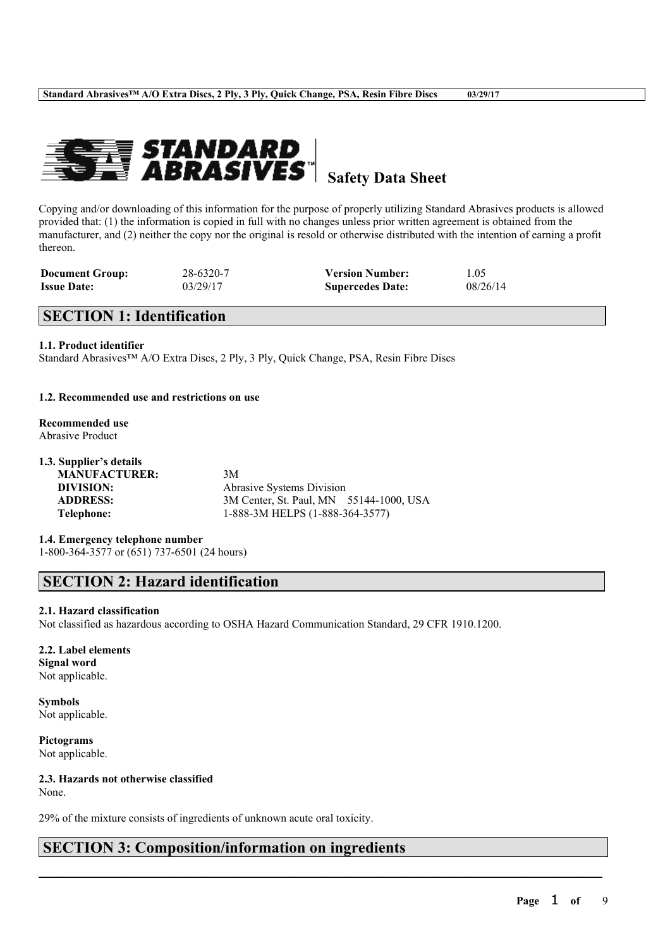

# **Safety Data Sheet**

Copying and/or downloading of this information for the purpose of properly utilizing Standard Abrasives products is allowed provided that: (1) the information is copied in full with no changes unless prior written agreement is obtained from the manufacturer, and (2) neither the copy nor the original is resold or otherwise distributed with the intention of earning a profit thereon.

| <b>Document Group:</b> | 28-6320-7 | <b>Version Number:</b>  | 1.05     |
|------------------------|-----------|-------------------------|----------|
| <b>Issue Date:</b>     | 03/29/17  | <b>Supercedes Date:</b> | 08/26/14 |

# **SECTION 1: Identification**

## **1.1. Product identifier**

Standard Abrasives™ A/O Extra Discs, 2 Ply, 3 Ply, Quick Change, PSA, Resin Fibre Discs

## **1.2. Recommended use and restrictions on use**

## **Recommended use** Abrasive Product

## **1.3. Supplier's details**

**MANUFACTURER:** 3M

**DIVISION:** Abrasive Systems Division **ADDRESS:** 3M Center, St. Paul, MN 55144-1000, USA **Telephone:** 1-888-3M HELPS (1-888-364-3577)

 $\mathcal{L}_\mathcal{L} = \mathcal{L}_\mathcal{L} = \mathcal{L}_\mathcal{L} = \mathcal{L}_\mathcal{L} = \mathcal{L}_\mathcal{L} = \mathcal{L}_\mathcal{L} = \mathcal{L}_\mathcal{L} = \mathcal{L}_\mathcal{L} = \mathcal{L}_\mathcal{L} = \mathcal{L}_\mathcal{L} = \mathcal{L}_\mathcal{L} = \mathcal{L}_\mathcal{L} = \mathcal{L}_\mathcal{L} = \mathcal{L}_\mathcal{L} = \mathcal{L}_\mathcal{L} = \mathcal{L}_\mathcal{L} = \mathcal{L}_\mathcal{L}$ 

**1.4. Emergency telephone number** 1-800-364-3577 or (651) 737-6501 (24 hours)

# **SECTION 2: Hazard identification**

## **2.1. Hazard classification**

Not classified as hazardous according to OSHA Hazard Communication Standard, 29 CFR 1910.1200.

**2.2. Label elements Signal word** Not applicable.

**Symbols** Not applicable.

**Pictograms** Not applicable.

**2.3. Hazards not otherwise classified** None.

29% of the mixture consists of ingredients of unknown acute oral toxicity.

# **SECTION 3: Composition/information on ingredients**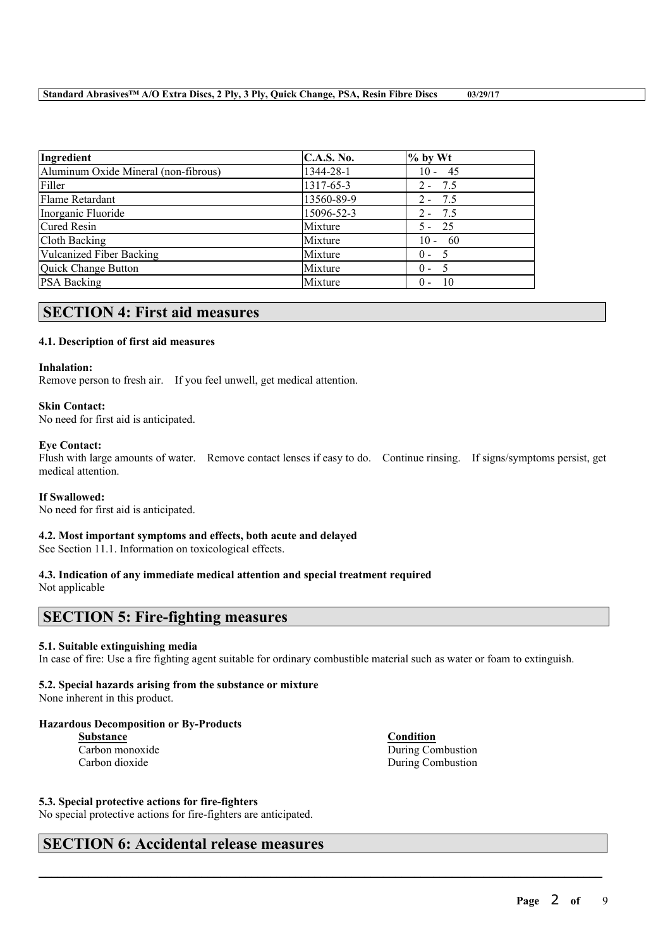| Ingredient                           | <b>C.A.S. No.</b> | $%$ by Wt     |  |
|--------------------------------------|-------------------|---------------|--|
| Aluminum Oxide Mineral (non-fibrous) | 1344-28-1         | $10 - 45$     |  |
| Filler                               | 1317-65-3         | $2 - 7.5$     |  |
| Flame Retardant                      | 13560-89-9        | $2 - 7.5$     |  |
| Inorganic Fluoride                   | 15096-52-3        | $2 - 7.5$     |  |
| Cured Resin                          | Mixture           | $5 - 25$      |  |
| Cloth Backing                        | Mixture           | $10 - 60$     |  |
| <b>Vulcanized Fiber Backing</b>      | Mixture           | $0 -$<br>- 5  |  |
| Quick Change Button                  | Mixture           | $0 - 5$       |  |
| <b>PSA Backing</b>                   | Mixture           | - 10<br>$0 -$ |  |

# **SECTION 4: First aid measures**

## **4.1. Description of first aid measures**

## **Inhalation:**

Remove person to fresh air. If you feel unwell, get medical attention.

## **Skin Contact:**

No need for first aid is anticipated.

## **Eye Contact:**

Flush with large amounts of water. Remove contact lenses if easy to do. Continue rinsing. If signs/symptoms persist, get medical attention.

## **If Swallowed:**

No need for first aid is anticipated.

## **4.2. Most important symptoms and effects, both acute and delayed**

See Section 11.1. Information on toxicological effects.

## **4.3. Indication of any immediate medical attention and special treatment required**

Not applicable

# **SECTION 5: Fire-fighting measures**

## **5.1. Suitable extinguishing media**

In case of fire: Use a fire fighting agent suitable for ordinary combustible material such as water or foam to extinguish.

 $\mathcal{L}_\mathcal{L} = \mathcal{L}_\mathcal{L} = \mathcal{L}_\mathcal{L} = \mathcal{L}_\mathcal{L} = \mathcal{L}_\mathcal{L} = \mathcal{L}_\mathcal{L} = \mathcal{L}_\mathcal{L} = \mathcal{L}_\mathcal{L} = \mathcal{L}_\mathcal{L} = \mathcal{L}_\mathcal{L} = \mathcal{L}_\mathcal{L} = \mathcal{L}_\mathcal{L} = \mathcal{L}_\mathcal{L} = \mathcal{L}_\mathcal{L} = \mathcal{L}_\mathcal{L} = \mathcal{L}_\mathcal{L} = \mathcal{L}_\mathcal{L}$ 

## **5.2. Special hazards arising from the substance or mixture**

None inherent in this product.

## **Hazardous Decomposition or By-Products**

**Substance Condition** Carbon dioxide During Combustion

Carbon monoxide During Combustion

## **5.3. Special protective actions for fire-fighters**

No special protective actions for fire-fighters are anticipated.

# **SECTION 6: Accidental release measures**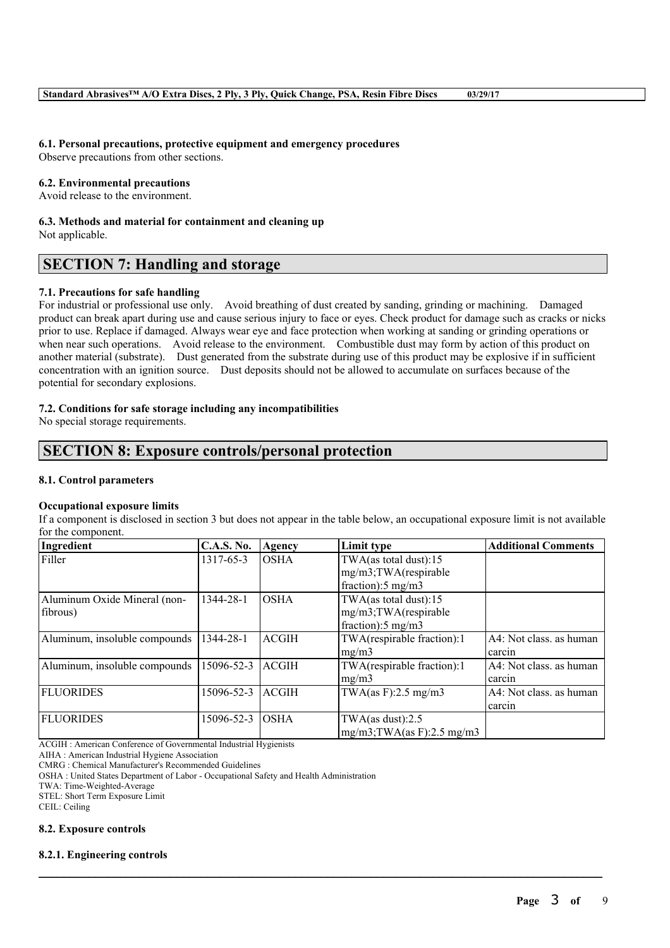# **6.1. Personal precautions, protective equipment and emergency procedures**

Observe precautions from other sections.

## **6.2. Environmental precautions**

Avoid release to the environment.

# **6.3. Methods and material for containment and cleaning up**

Not applicable.

# **SECTION 7: Handling and storage**

## **7.1. Precautions for safe handling**

For industrial or professional use only. Avoid breathing of dust created by sanding, grinding or machining. Damaged product can break apart during use and cause serious injury to face or eyes. Check product for damage such as cracks or nicks prior to use. Replace if damaged. Always wear eye and face protection when working at sanding or grinding operations or when near such operations. Avoid release to the environment. Combustible dust may form by action of this product on another material (substrate). Dust generated from the substrate during use of this product may be explosive if in sufficient concentration with an ignition source. Dust deposits should not be allowed to accumulate on surfaces because of the potential for secondary explosions.

## **7.2. Conditions for safe storage including any incompatibilities**

No special storage requirements.

# **SECTION 8: Exposure controls/personal protection**

## **8.1. Control parameters**

## **Occupational exposure limits**

If a component is disclosed in section 3 but does not appear in the table below, an occupational exposure limit is not available for the component.

| Ingredient                               | <b>C.A.S. No.</b> | Agency       | Limit type                                                                        | <b>Additional Comments</b>        |
|------------------------------------------|-------------------|--------------|-----------------------------------------------------------------------------------|-----------------------------------|
| Filler                                   | 1317-65-3         | <b>OSHA</b>  | TWA(as total dust): $15$<br>mg/m3;TWA(respirable<br>fraction): $5 \text{ mg/m}$ 3 |                                   |
| Aluminum Oxide Mineral (non-<br>fibrous) | 1344-28-1         | <b>OSHA</b>  | TWA(as total dust):15<br>mg/m3;TWA(respirable<br>fraction): $5 \text{ mg/m}$ 3    |                                   |
| Aluminum, insoluble compounds            | 1344-28-1         | <b>ACGIH</b> | TWA(respirable fraction):1<br>mg/m3                                               | A4: Not class, as human<br>carcin |
| Aluminum, insoluble compounds            | 15096-52-3        | <b>ACGIH</b> | TWA(respirable fraction):1<br>mg/m3                                               | A4: Not class, as human<br>carcin |
| <b>FLUORIDES</b>                         | 15096-52-3        | <b>ACGIH</b> | TWA $(as F): 2.5 mg/m3$                                                           | A4: Not class, as human<br>carcin |
| <b>FLUORIDES</b>                         | 15096-52-3        | <b>OSHA</b>  | TWA(as dust): $2.5$<br>$mg/m3$ ; TWA(as F): 2.5 mg/m3                             |                                   |

 $\mathcal{L}_\mathcal{L} = \mathcal{L}_\mathcal{L} = \mathcal{L}_\mathcal{L} = \mathcal{L}_\mathcal{L} = \mathcal{L}_\mathcal{L} = \mathcal{L}_\mathcal{L} = \mathcal{L}_\mathcal{L} = \mathcal{L}_\mathcal{L} = \mathcal{L}_\mathcal{L} = \mathcal{L}_\mathcal{L} = \mathcal{L}_\mathcal{L} = \mathcal{L}_\mathcal{L} = \mathcal{L}_\mathcal{L} = \mathcal{L}_\mathcal{L} = \mathcal{L}_\mathcal{L} = \mathcal{L}_\mathcal{L} = \mathcal{L}_\mathcal{L}$ 

ACGIH : American Conference of Governmental Industrial Hygienists

AIHA : American Industrial Hygiene Association

CMRG : Chemical Manufacturer's Recommended Guidelines

OSHA : United States Department of Labor - Occupational Safety and Health Administration

TWA: Time-Weighted-Average

STEL: Short Term Exposure Limit

CEIL: Ceiling

## **8.2. Exposure controls**

## **8.2.1. Engineering controls**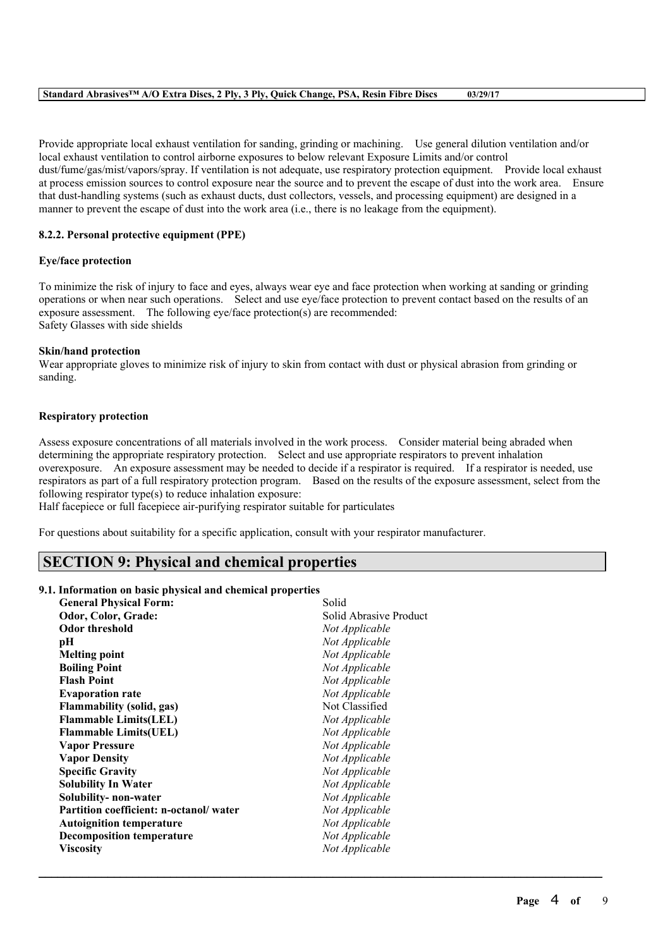| Standard Abrasives <sup>TM</sup> A/O Extra Discs, 2 Ply, 3 Ply, Quick Change, PSA, Resin Fibre Discs | 03/29/17 |
|------------------------------------------------------------------------------------------------------|----------|
|------------------------------------------------------------------------------------------------------|----------|

Provide appropriate local exhaust ventilation for sanding, grinding or machining. Use general dilution ventilation and/or local exhaust ventilation to control airborne exposures to below relevant Exposure Limits and/or control dust/fume/gas/mist/vapors/spray. If ventilation is not adequate, use respiratory protection equipment. Provide local exhaust at process emission sources to control exposure near the source and to prevent the escape of dust into the work area. Ensure that dust-handling systems (such as exhaust ducts, dust collectors, vessels, and processing equipment) are designed in a manner to prevent the escape of dust into the work area (i.e., there is no leakage from the equipment).

## **8.2.2. Personal protective equipment (PPE)**

## **Eye/face protection**

To minimize the risk of injury to face and eyes, always wear eye and face protection when working at sanding or grinding operations or when near such operations. Select and use eye/face protection to prevent contact based on the results of an exposure assessment. The following eye/face protection(s) are recommended: Safety Glasses with side shields

## **Skin/hand protection**

Wear appropriate gloves to minimize risk of injury to skin from contact with dust or physical abrasion from grinding or sanding.

## **Respiratory protection**

Assess exposure concentrations of all materials involved in the work process. Consider material being abraded when determining the appropriate respiratory protection. Select and use appropriate respirators to prevent inhalation overexposure. An exposure assessment may be needed to decide if a respirator is required. If a respirator is needed, use respirators as part of a full respiratory protection program. Based on the results of the exposure assessment, select from the following respirator type(s) to reduce inhalation exposure:

 $\mathcal{L}_\mathcal{L} = \mathcal{L}_\mathcal{L} = \mathcal{L}_\mathcal{L} = \mathcal{L}_\mathcal{L} = \mathcal{L}_\mathcal{L} = \mathcal{L}_\mathcal{L} = \mathcal{L}_\mathcal{L} = \mathcal{L}_\mathcal{L} = \mathcal{L}_\mathcal{L} = \mathcal{L}_\mathcal{L} = \mathcal{L}_\mathcal{L} = \mathcal{L}_\mathcal{L} = \mathcal{L}_\mathcal{L} = \mathcal{L}_\mathcal{L} = \mathcal{L}_\mathcal{L} = \mathcal{L}_\mathcal{L} = \mathcal{L}_\mathcal{L}$ 

Half facepiece or full facepiece air-purifying respirator suitable for particulates

For questions about suitability for a specific application, consult with your respirator manufacturer.

# **SECTION 9: Physical and chemical properties**

## **9.1. Information on basic physical and chemical properties**

| <b>General Physical Form:</b>          | Solid                  |
|----------------------------------------|------------------------|
| Odor, Color, Grade:                    | Solid Abrasive Product |
| <b>Odor threshold</b>                  | Not Applicable         |
| pН                                     | Not Applicable         |
| <b>Melting point</b>                   | Not Applicable         |
| <b>Boiling Point</b>                   | Not Applicable         |
| <b>Flash Point</b>                     | Not Applicable         |
| <b>Evaporation rate</b>                | Not Applicable         |
| <b>Flammability (solid, gas)</b>       | Not Classified         |
| <b>Flammable Limits(LEL)</b>           | Not Applicable         |
| <b>Flammable Limits(UEL)</b>           | Not Applicable         |
| <b>Vapor Pressure</b>                  | Not Applicable         |
| <b>Vapor Density</b>                   | Not Applicable         |
| <b>Specific Gravity</b>                | Not Applicable         |
| <b>Solubility In Water</b>             | Not Applicable         |
| Solubility-non-water                   | Not Applicable         |
| Partition coefficient: n-octanol/water | Not Applicable         |
| <b>Autoignition temperature</b>        | Not Applicable         |
| <b>Decomposition temperature</b>       | Not Applicable         |
| <b>Viscosity</b>                       | Not Applicable         |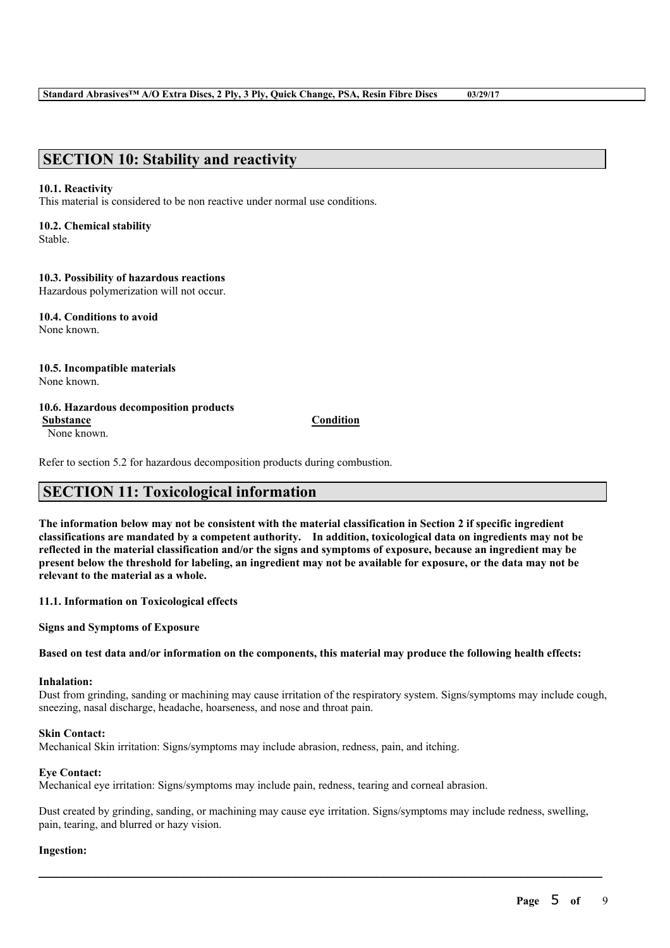# **SECTION 10: Stability and reactivity**

## **10.1. Reactivity**

This material is considered to be non reactive under normal use conditions.

## **10.2. Chemical stability**

Stable.

# **10.3. Possibility of hazardous reactions**

Hazardous polymerization will not occur.

**10.4. Conditions to avoid** None known.

#### **10.5. Incompatible materials** None known.

## **10.6. Hazardous decomposition products**

**Substance Condition**

None known.

Refer to section 5.2 for hazardous decomposition products during combustion.

# **SECTION 11: Toxicological information**

The information below may not be consistent with the material classification in Section 2 if specific ingredient **classifications are mandated by a competent authority. In addition, toxicological data on ingredients may not be** reflected in the material classification and/or the signs and symptoms of exposure, because an ingredient may be present below the threshold for labeling, an ingredient may not be available for exposure, or the data may not be **relevant to the material as a whole.**

**11.1. Information on Toxicological effects**

**Signs and Symptoms of Exposure**

## Based on test data and/or information on the components, this material may produce the following health effects:

# **Inhalation:**

Dust from grinding, sanding or machining may cause irritation of the respiratory system. Signs/symptoms may include cough, sneezing, nasal discharge, headache, hoarseness, and nose and throat pain.

## **Skin Contact:**

Mechanical Skin irritation: Signs/symptoms may include abrasion, redness, pain, and itching.

## **Eye Contact:**

Mechanical eye irritation: Signs/symptoms may include pain, redness, tearing and corneal abrasion.

Dust created by grinding, sanding, or machining may cause eye irritation. Signs/symptoms may include redness, swelling, pain, tearing, and blurred or hazy vision.

 $\mathcal{L}_\mathcal{L} = \mathcal{L}_\mathcal{L} = \mathcal{L}_\mathcal{L} = \mathcal{L}_\mathcal{L} = \mathcal{L}_\mathcal{L} = \mathcal{L}_\mathcal{L} = \mathcal{L}_\mathcal{L} = \mathcal{L}_\mathcal{L} = \mathcal{L}_\mathcal{L} = \mathcal{L}_\mathcal{L} = \mathcal{L}_\mathcal{L} = \mathcal{L}_\mathcal{L} = \mathcal{L}_\mathcal{L} = \mathcal{L}_\mathcal{L} = \mathcal{L}_\mathcal{L} = \mathcal{L}_\mathcal{L} = \mathcal{L}_\mathcal{L}$ 

## **Ingestion:**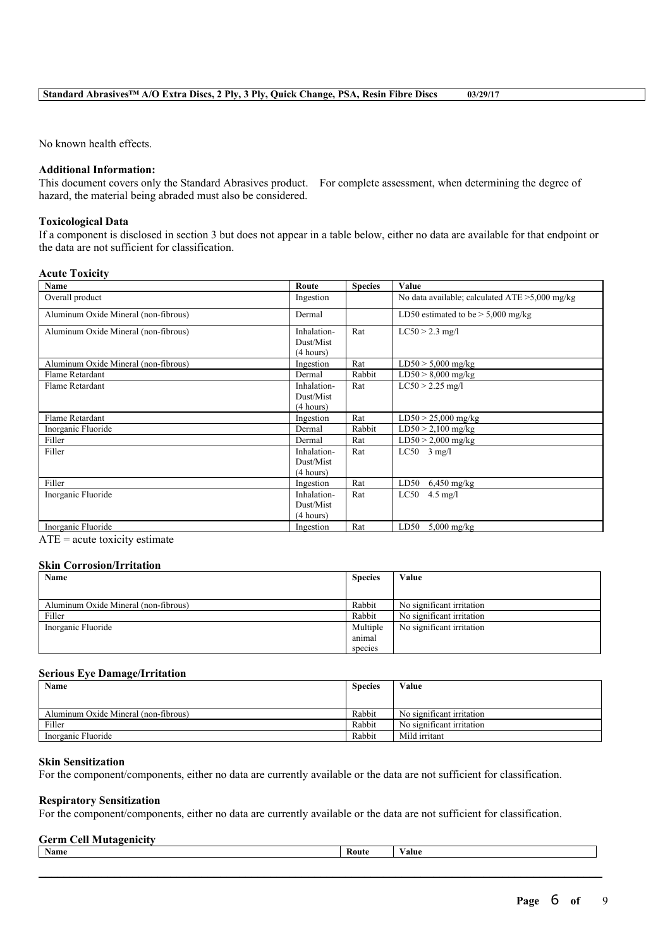No known health effects.

## **Additional Information:**

This document covers only the Standard Abrasives product. For complete assessment, when determining the degree of hazard, the material being abraded must also be considered.

## **Toxicological Data**

If a component is disclosed in section 3 but does not appear in a table below, either no data are available for that endpoint or the data are not sufficient for classification.

## **Acute Toxicity**

| Name                                 | Route                  | <b>Species</b> | Value                                             |
|--------------------------------------|------------------------|----------------|---------------------------------------------------|
| Overall product                      | Ingestion              |                | No data available; calculated $ATE > 5,000$ mg/kg |
| Aluminum Oxide Mineral (non-fibrous) | Dermal                 |                | LD50 estimated to be $>$ 5,000 mg/kg              |
| Aluminum Oxide Mineral (non-fibrous) | Inhalation-            | Rat            | $LC50 > 2.3$ mg/l                                 |
|                                      | Dust/Mist<br>(4 hours) |                |                                                   |
| Aluminum Oxide Mineral (non-fibrous) | Ingestion              | Rat            | $LD50 > 5,000$ mg/kg                              |
| Flame Retardant                      | Dermal                 | Rabbit         | $LD50 > 8,000$ mg/kg                              |
| Flame Retardant                      | Inhalation-            | Rat            | $LC50 > 2.25$ mg/l                                |
|                                      | Dust/Mist              |                |                                                   |
|                                      | (4 hours)              |                |                                                   |
| Flame Retardant                      | Ingestion              | Rat            | $LD50 > 25,000$ mg/kg                             |
| Inorganic Fluoride                   | Dermal                 | Rabbit         | $LD50 > 2,100$ mg/kg                              |
| Filler                               | Dermal                 | Rat            | $LD50 > 2,000$ mg/kg                              |
| Filler                               | Inhalation-            | Rat            | $LC50$ 3 mg/l                                     |
|                                      | Dust/Mist              |                |                                                   |
|                                      | (4 hours)              |                |                                                   |
| Filler                               | Ingestion              | Rat            | LD50<br>$6,450$ mg/kg                             |
| Inorganic Fluoride                   | Inhalation-            | Rat            | LC50<br>$4.5$ mg/l                                |
|                                      | Dust/Mist              |                |                                                   |
|                                      | (4 hours)              |                |                                                   |
| Inorganic Fluoride                   | Ingestion              | Rat            | LD50<br>$5,000$ mg/kg                             |

 $ATE = acute$  toxicity estimate

## **Skin Corrosion/Irritation**

| Name                                 | <b>Species</b>                | Value                     |
|--------------------------------------|-------------------------------|---------------------------|
|                                      |                               |                           |
| Aluminum Oxide Mineral (non-fibrous) | Rabbit                        | No significant irritation |
| Filler                               | Rabbit                        | No significant irritation |
| Inorganic Fluoride                   | Multiple<br>animal<br>species | No significant irritation |

## **Serious Eye Damage/Irritation**

| Name                                 | <b>Species</b> | Value                     |
|--------------------------------------|----------------|---------------------------|
|                                      |                |                           |
| Aluminum Oxide Mineral (non-fibrous) | Rabbit         | No significant irritation |
| Filler                               | Rabbit         | No significant irritation |
| Inorganic Fluoride                   | Rabbit         | Mild irritant             |

## **Skin Sensitization**

For the component/components, either no data are currently available or the data are not sufficient for classification.

## **Respiratory Sensitization**

For the component/components, either no data are currently available or the data are not sufficient for classification.

#### **Germ Cell Mutagenicity**

| <b>Name</b> | <b>Route</b> | $-1 - 1$ |
|-------------|--------------|----------|
|             |              |          |
|             |              |          |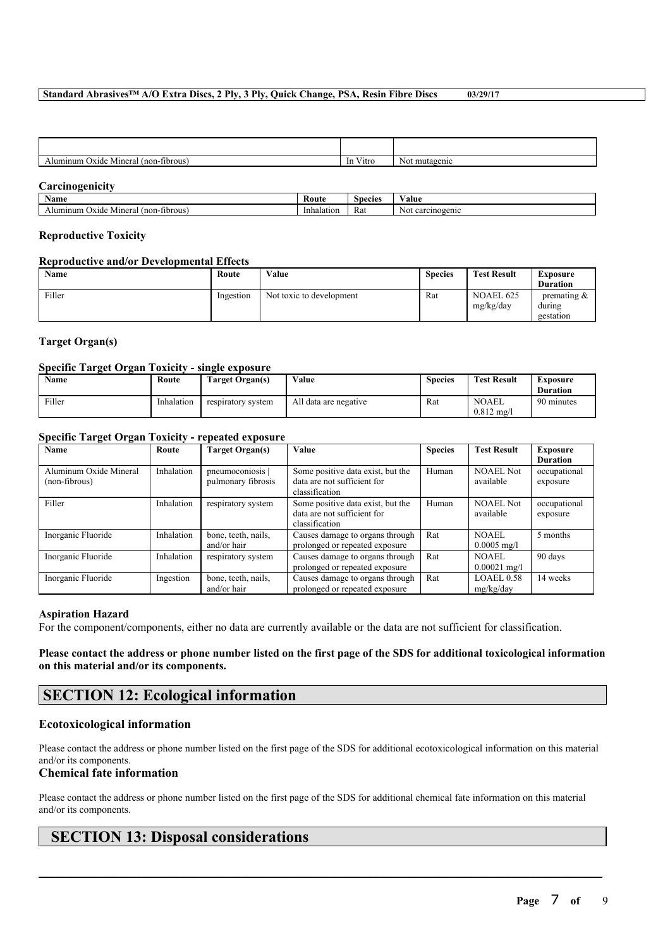## **Standard Abrasives™ A/O Extra Discs, 2 Ply, 3 Ply, Quick Change, PSA, Resin Fibre Discs 03/29/17**

| (non-fibrous)<br>Mineral<br>12.48<br>nun | $ -$<br>V itro<br>1n | NC<br>110 |
|------------------------------------------|----------------------|-----------|
|                                          |                      |           |

## **Carcinogenicity**

| Name                                                          | Route      | species    | 'alue                  |
|---------------------------------------------------------------|------------|------------|------------------------|
|                                                               | .          | ינול       | . .                    |
| fibrous<br>Aluminum<br>Minera <sub>1</sub><br>non-<br>. )xide | Inhalation | <b>Rat</b> | carcinogenic<br>``\\\. |

## **Reproductive Toxicity**

## **Reproductive and/or Developmental Effects**

| <b>Name</b> | Route     | Value                    | <b>Species</b> | <b>Test Result</b>     | Exposure                              |
|-------------|-----------|--------------------------|----------------|------------------------|---------------------------------------|
|             |           |                          |                |                        | <b>Duration</b>                       |
| Filler      | Ingestion | Not toxic to development | Rat            | NOAEL 625<br>mg/kg/day | premating $\&$<br>during<br>gestation |

## **Target Organ(s)**

## **Specific Target Organ Toxicity - single exposure**

| <b>Name</b> | Route      | Target Organ(s)    | Value                 | Species | <b>Test Result</b>                 | Exposure<br><b>Duration</b> |
|-------------|------------|--------------------|-----------------------|---------|------------------------------------|-----------------------------|
| Filler      | Inhalation | respiratory system | All data are negative | Rat     | <b>NOAEL</b><br>$0.812 \text{ mg}$ | 90 minutes                  |

## **Specific Target Organ Toxicity - repeated exposure**

| Name                                    | Route      | <b>Target Organ(s)</b>                 | <b>Value</b>                                                                       | <b>Species</b> | <b>Test Result</b>            | <b>Exposure</b><br><b>Duration</b> |
|-----------------------------------------|------------|----------------------------------------|------------------------------------------------------------------------------------|----------------|-------------------------------|------------------------------------|
| Aluminum Oxide Mineral<br>(non-fibrous) | Inhalation | pneumoconiosis  <br>pulmonary fibrosis | Some positive data exist, but the<br>data are not sufficient for<br>classification | Human          | <b>NOAEL Not</b><br>available | occupational<br>exposure           |
| Filler                                  | Inhalation | respiratory system                     | Some positive data exist, but the<br>data are not sufficient for<br>classification | Human          | <b>NOAEL Not</b><br>available | occupational<br>exposure           |
| Inorganic Fluoride                      | Inhalation | bone, teeth, nails,<br>and/or hair     | Causes damage to organs through<br>prolonged or repeated exposure                  | Rat            | NOAEL<br>$0.0005$ mg/l        | 5 months                           |
| Inorganic Fluoride                      | Inhalation | respiratory system                     | Causes damage to organs through<br>prolonged or repeated exposure                  | Rat            | NOAEL<br>$0.00021$ mg/l       | 90 days                            |
| Inorganic Fluoride                      | Ingestion  | bone, teeth, nails,<br>and/or hair     | Causes damage to organs through<br>prolonged or repeated exposure                  | Rat            | LOAEL 0.58<br>mg/kg/day       | 14 weeks                           |

## **Aspiration Hazard**

For the component/components, either no data are currently available or the data are not sufficient for classification.

Please contact the address or phone number listed on the first page of the SDS for additional toxicological information **on this material and/or its components.**

# **SECTION 12: Ecological information**

## **Ecotoxicological information**

Please contact the address or phone number listed on the first page of the SDS for additional ecotoxicological information on this material and/or its components.

## **Chemical fate information**

Please contact the address or phone number listed on the first page of the SDS for additional chemical fate information on this material and/or its components.

 $\mathcal{L}_\mathcal{L} = \mathcal{L}_\mathcal{L} = \mathcal{L}_\mathcal{L} = \mathcal{L}_\mathcal{L} = \mathcal{L}_\mathcal{L} = \mathcal{L}_\mathcal{L} = \mathcal{L}_\mathcal{L} = \mathcal{L}_\mathcal{L} = \mathcal{L}_\mathcal{L} = \mathcal{L}_\mathcal{L} = \mathcal{L}_\mathcal{L} = \mathcal{L}_\mathcal{L} = \mathcal{L}_\mathcal{L} = \mathcal{L}_\mathcal{L} = \mathcal{L}_\mathcal{L} = \mathcal{L}_\mathcal{L} = \mathcal{L}_\mathcal{L}$ 

# **SECTION 13: Disposal considerations**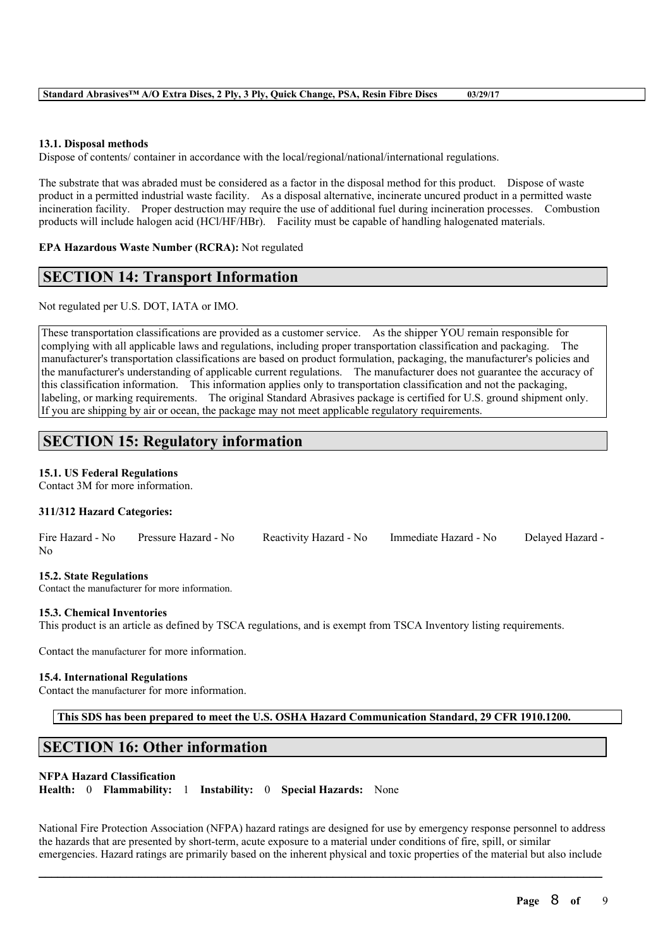## **13.1. Disposal methods**

Dispose of contents/ container in accordance with the local/regional/national/international regulations.

The substrate that was abraded must be considered as a factor in the disposal method for this product. Dispose of waste product in a permitted industrial waste facility. As a disposal alternative, incinerate uncured product in a permitted waste incineration facility. Proper destruction may require the use of additional fuel during incineration processes. Combustion products will include halogen acid (HCl/HF/HBr). Facility must be capable of handling halogenated materials.

**EPA Hazardous Waste Number (RCRA):** Not regulated

# **SECTION 14: Transport Information**

Not regulated per U.S. DOT, IATA or IMO.

These transportation classifications are provided as a customer service. As the shipper YOU remain responsible for complying with all applicable laws and regulations, including proper transportation classification and packaging. The manufacturer's transportation classifications are based on product formulation, packaging, the manufacturer's policies and the manufacturer's understanding of applicable current regulations. The manufacturer does not guarantee the accuracy of this classification information. This information applies only to transportation classification and not the packaging, labeling, or marking requirements. The original Standard Abrasives package is certified for U.S. ground shipment only. If you are shipping by air or ocean, the package may not meet applicable regulatory requirements.

# **SECTION 15: Regulatory information**

## **15.1. US Federal Regulations**

Contact 3M for more information.

## **311/312 Hazard Categories:**

|    | Fire Hazard - No Pressure Hazard - No | Reactivity Hazard - No Immediate Hazard - No | Delayed Hazard - |
|----|---------------------------------------|----------------------------------------------|------------------|
| No |                                       |                                              |                  |

## **15.2. State Regulations**

Contact the manufacturer for more information.

### **15.3. Chemical Inventories**

This product is an article as defined by TSCA regulations, and is exempt from TSCA Inventory listing requirements.

Contact the manufacturer for more information.

#### **15.4. International Regulations**

Contact the manufacturer for more information.

**This SDS has been prepared to meet the U.S. OSHA Hazard Communication Standard, 29 CFR 1910.1200.**

# **SECTION 16: Other information**

## **NFPA Hazard Classification**

**Health:** 0 **Flammability:** 1 **Instability:** 0 **Special Hazards:** None

National Fire Protection Association (NFPA) hazard ratings are designed for use by emergency response personnel to address the hazards that are presented by short-term, acute exposure to a material under conditions of fire, spill, or similar emergencies. Hazard ratings are primarily based on the inherent physical and toxic properties of the material but also include

 $\mathcal{L}_\mathcal{L} = \mathcal{L}_\mathcal{L} = \mathcal{L}_\mathcal{L} = \mathcal{L}_\mathcal{L} = \mathcal{L}_\mathcal{L} = \mathcal{L}_\mathcal{L} = \mathcal{L}_\mathcal{L} = \mathcal{L}_\mathcal{L} = \mathcal{L}_\mathcal{L} = \mathcal{L}_\mathcal{L} = \mathcal{L}_\mathcal{L} = \mathcal{L}_\mathcal{L} = \mathcal{L}_\mathcal{L} = \mathcal{L}_\mathcal{L} = \mathcal{L}_\mathcal{L} = \mathcal{L}_\mathcal{L} = \mathcal{L}_\mathcal{L}$